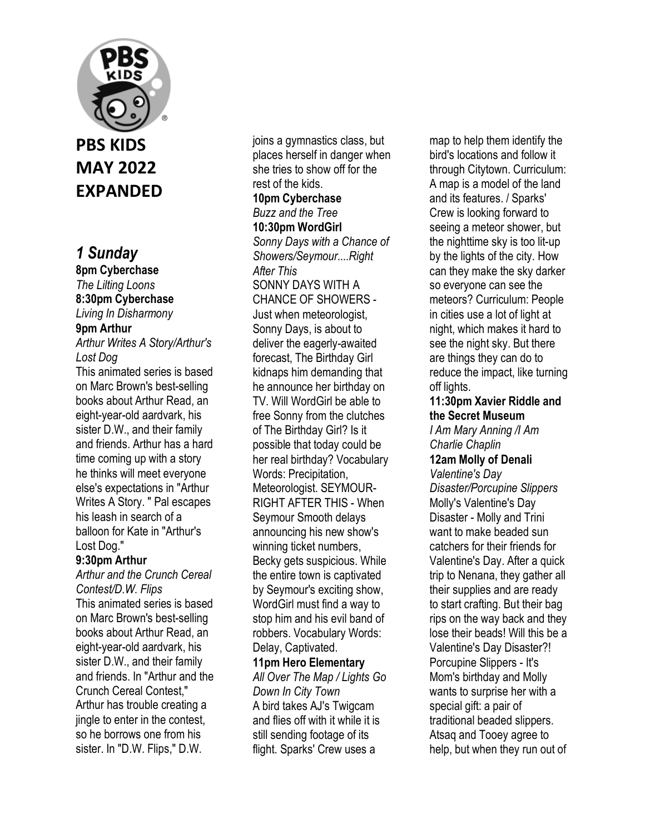

## **PBS KIDS MAY 2022 EXPANDED**

## *1 Sunday*

**8pm Cyberchase**  *The Lilting Loons*  **8:30pm Cyberchase**  *Living In Disharmony*  **9pm Arthur**  *Arthur Writes A Story/Arthur's Lost Dog*  This animated series is based

on Marc Brown's best-selling books about Arthur Read, an eight-year-old aardvark, his sister D.W., and their family and friends. Arthur has a hard time coming up with a story he thinks will meet everyone else's expectations in "Arthur Writes A Story. " Pal escapes his leash in search of a balloon for Kate in "Arthur's Lost Dog."

#### **9:30pm Arthur**

*Arthur and the Crunch Cereal Contest/D.W. Flips*  This animated series is based on Marc Brown's best-selling books about Arthur Read, an eight-year-old aardvark, his sister D.W., and their family and friends. In "Arthur and the Crunch Cereal Contest," Arthur has trouble creating a jingle to enter in the contest, so he borrows one from his sister. In "D.W. Flips," D.W.

joins a gymnastics class, but places herself in danger when she tries to show off for the rest of the kids.

#### **10pm Cyberchase**  *Buzz and the Tree*  **10:30pm WordGirl**

*Sonny Days with a Chance of Showers/Seymour....Right After This* 

SONNY DAYS WITH A CHANCE OF SHOWERS - Just when meteorologist, Sonny Days, is about to deliver the eagerly-awaited forecast, The Birthday Girl kidnaps him demanding that he announce her birthday on TV. Will WordGirl be able to free Sonny from the clutches of The Birthday Girl? Is it possible that today could be her real birthday? Vocabulary Words: Precipitation, Meteorologist. SEYMOUR-RIGHT AFTER THIS - When Seymour Smooth delays announcing his new show's winning ticket numbers, Becky gets suspicious. While the entire town is captivated by Seymour's exciting show, WordGirl must find a way to stop him and his evil band of robbers. Vocabulary Words: Delay, Captivated. **11pm Hero Elementary** 

#### *All Over The Map / Lights Go Down In City Town*  A bird takes AJ's Twigcam and flies off with it while it is still sending footage of its flight. Sparks' Crew uses a

map to help them identify the bird's locations and follow it through Citytown. Curriculum: A map is a model of the land and its features. / Sparks' Crew is looking forward to seeing a meteor shower, but the nighttime sky is too lit-up by the lights of the city. How can they make the sky darker so everyone can see the meteors? Curriculum: People in cities use a lot of light at night, which makes it hard to see the night sky. But there are things they can do to reduce the impact, like turning off lights.

#### **11:30pm Xavier Riddle and the Secret Museum**

*I Am Mary Anning /I Am Charlie Chaplin* 

#### **12am Molly of Denali**  *Valentine's Day*

*Disaster/Porcupine Slippers*  Molly's Valentine's Day Disaster - Molly and Trini want to make beaded sun catchers for their friends for Valentine's Day. After a quick trip to Nenana, they gather all their supplies and are ready to start crafting. But their bag rips on the way back and they lose their beads! Will this be a Valentine's Day Disaster?! Porcupine Slippers - It's Mom's birthday and Molly wants to surprise her with a special gift: a pair of traditional beaded slippers. Atsaq and Tooey agree to help, but when they run out of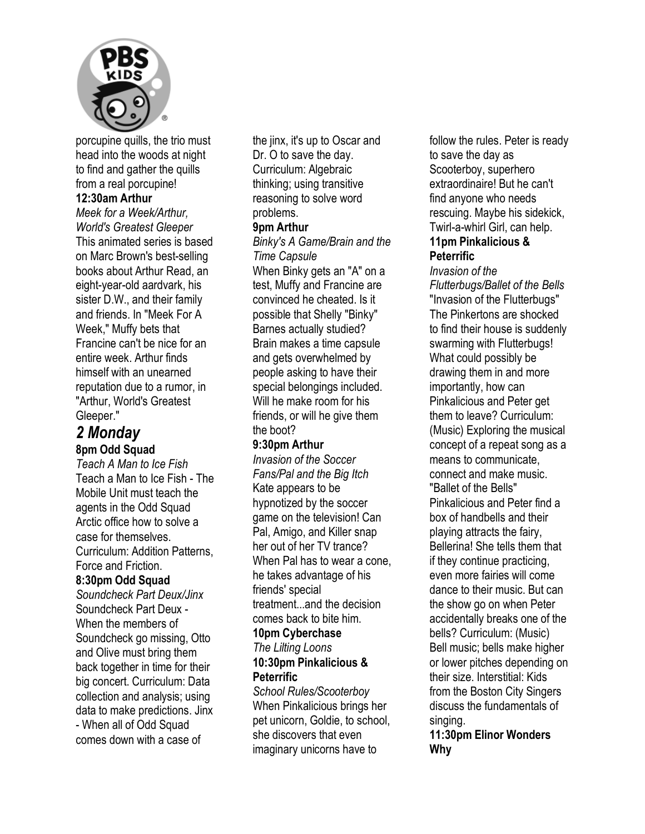

porcupine quills, the trio must head into the woods at night to find and gather the quills from a real porcupine!

#### **12:30am Arthur**

*Meek for a Week/Arthur, World's Greatest Gleeper*  This animated series is based on Marc Brown's best-selling books about Arthur Read, an eight-year-old aardvark, his sister D.W., and their family and friends. In "Meek For A Week," Muffy bets that Francine can't be nice for an entire week. Arthur finds himself with an unearned reputation due to a rumor, in "Arthur, World's Greatest Gleeper."

#### *2 Monday*  **8pm Odd Squad**

*Teach A Man to Ice Fish*  Teach a Man to Ice Fish - The Mobile Unit must teach the agents in the Odd Squad

Arctic office how to solve a case for themselves. Curriculum: Addition Patterns, Force and Friction.

#### **8:30pm Odd Squad**

*Soundcheck Part Deux/Jinx*  Soundcheck Part Deux - When the members of Soundcheck go missing, Otto and Olive must bring them back together in time for their big concert. Curriculum: Data collection and analysis; using data to make predictions. Jinx - When all of Odd Squad comes down with a case of

the jinx, it's up to Oscar and Dr. O to save the day. Curriculum: Algebraic thinking; using transitive reasoning to solve word problems.

#### **9pm Arthur**

*Binky's A Game/Brain and the Time Capsule*  When Binky gets an "A" on a

test, Muffy and Francine are convinced he cheated. Is it possible that Shelly "Binky" Barnes actually studied? Brain makes a time capsule and gets overwhelmed by people asking to have their special belongings included. Will he make room for his friends, or will he give them the boot?

#### **9:30pm Arthur**

*Invasion of the Soccer Fans/Pal and the Big Itch*  Kate appears to be hypnotized by the soccer game on the television! Can Pal, Amigo, and Killer snap her out of her TV trance? When Pal has to wear a cone, he takes advantage of his friends' special treatment...and the decision comes back to bite him. **10pm Cyberchase**  *The Lilting Loons* 

## **10:30pm Pinkalicious & Peterrific**

*School Rules/Scooterboy*  When Pinkalicious brings her pet unicorn, Goldie, to school, she discovers that even imaginary unicorns have to

follow the rules. Peter is ready to save the day as Scooterboy, superhero extraordinaire! But he can't find anyone who needs rescuing. Maybe his sidekick, Twirl-a-whirl Girl, can help. **11pm Pinkalicious &** 

# **Peterrific**

*Invasion of the Flutterbugs/Ballet of the Bells*  "Invasion of the Flutterbugs" The Pinkertons are shocked to find their house is suddenly swarming with Flutterbugs! What could possibly be drawing them in and more importantly, how can Pinkalicious and Peter get them to leave? Curriculum: (Music) Exploring the musical concept of a repeat song as a means to communicate, connect and make music. "Ballet of the Bells" Pinkalicious and Peter find a box of handbells and their playing attracts the fairy, Bellerina! She tells them that if they continue practicing, even more fairies will come dance to their music. But can the show go on when Peter accidentally breaks one of the bells? Curriculum: (Music) Bell music; bells make higher or lower pitches depending on their size. Interstitial: Kids from the Boston City Singers discuss the fundamentals of singing.

**11:30pm Elinor Wonders Why**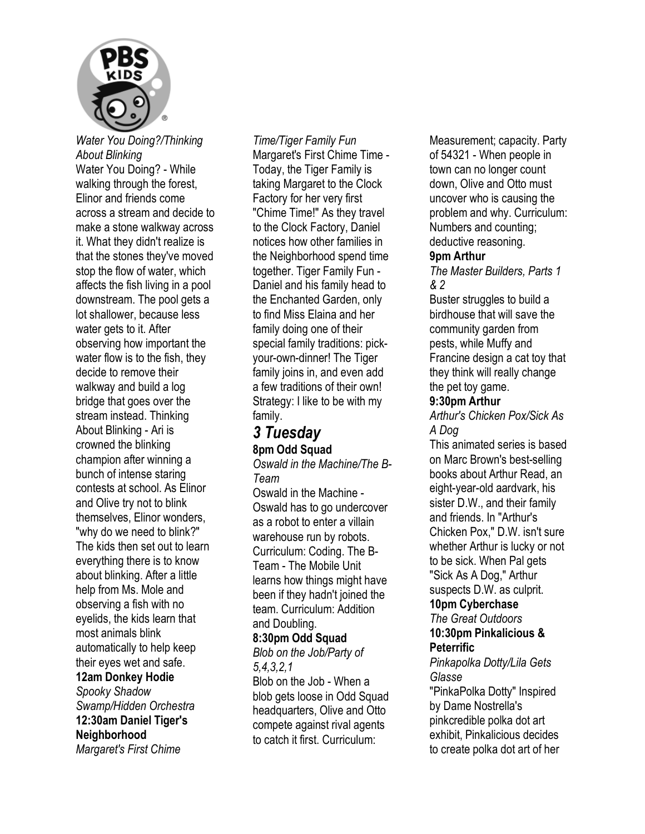

*Water You Doing?/Thinking About Blinking*  Water You Doing? - While walking through the forest, Elinor and friends come across a stream and decide to make a stone walkway across it. What they didn't realize is that the stones they've moved stop the flow of water, which affects the fish living in a pool downstream. The pool gets a lot shallower, because less water gets to it. After observing how important the water flow is to the fish, they decide to remove their walkway and build a log bridge that goes over the stream instead. Thinking About Blinking - Ari is crowned the blinking champion after winning a bunch of intense staring contests at school. As Elinor and Olive try not to blink themselves, Elinor wonders, "why do we need to blink?" The kids then set out to learn everything there is to know about blinking. After a little help from Ms. Mole and observing a fish with no eyelids, the kids learn that most animals blink automatically to help keep their eyes wet and safe. **12am Donkey Hodie**  *Spooky Shadow* 

*Swamp/Hidden Orchestra*  **12:30am Daniel Tiger's Neighborhood**  *Margaret's First Chime* 

*Time/Tiger Family Fun*  Margaret's First Chime Time - Today, the Tiger Family is taking Margaret to the Clock Factory for her very first "Chime Time!" As they travel to the Clock Factory, Daniel notices how other families in the Neighborhood spend time together. Tiger Family Fun - Daniel and his family head to the Enchanted Garden, only to find Miss Elaina and her family doing one of their special family traditions: pickyour-own-dinner! The Tiger family joins in, and even add a few traditions of their own! Strategy: I like to be with my family.

## *3 Tuesday*  **8pm Odd Squad**

*Oswald in the Machine/The B-Team* 

Oswald in the Machine - Oswald has to go undercover as a robot to enter a villain warehouse run by robots. Curriculum: Coding. The B-Team - The Mobile Unit learns how things might have been if they hadn't joined the team. Curriculum: Addition and Doubling.

#### **8:30pm Odd Squad**

*Blob on the Job/Party of 5,4,3,2,1* 

Blob on the Job - When a blob gets loose in Odd Squad headquarters, Olive and Otto compete against rival agents to catch it first. Curriculum:

Measurement; capacity. Party of 54321 - When people in town can no longer count down, Olive and Otto must uncover who is causing the problem and why. Curriculum: Numbers and counting; deductive reasoning.

#### **9pm Arthur**

*The Master Builders, Parts 1 & 2* 

Buster struggles to build a birdhouse that will save the community garden from pests, while Muffy and Francine design a cat toy that they think will really change the pet toy game.

#### **9:30pm Arthur**

*Arthur's Chicken Pox/Sick As A Dog* 

This animated series is based on Marc Brown's best-selling books about Arthur Read, an eight-year-old aardvark, his sister D.W., and their family and friends. In "Arthur's Chicken Pox," D.W. isn't sure whether Arthur is lucky or not to be sick. When Pal gets "Sick As A Dog," Arthur suspects D.W. as culprit.

#### **10pm Cyberchase**

*The Great Outdoors*  **10:30pm Pinkalicious & Peterrific** 

*Pinkapolka Dotty/Lila Gets Glasse* 

"PinkaPolka Dotty" Inspired by Dame Nostrella's pinkcredible polka dot art exhibit, Pinkalicious decides to create polka dot art of her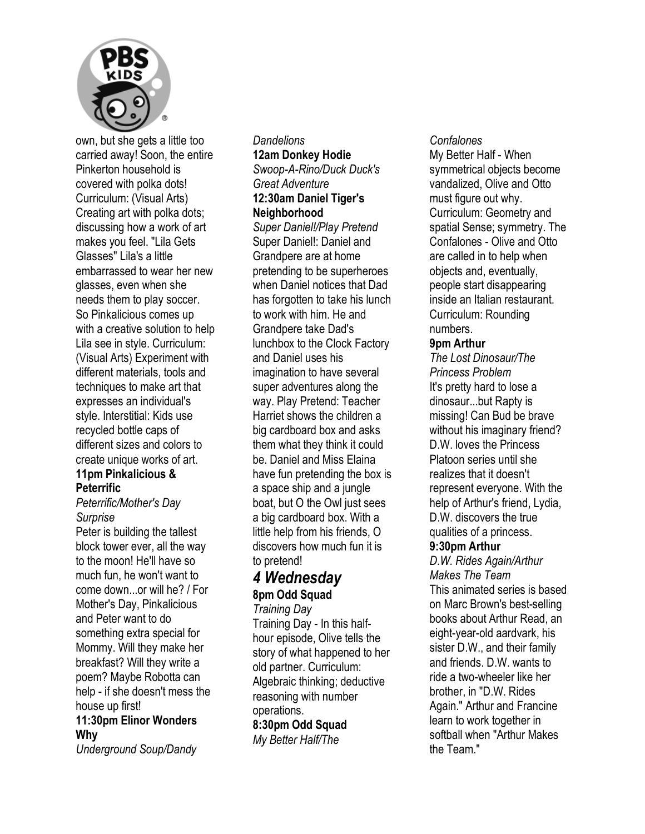

own, but she gets a little too carried away! Soon, the entire Pinkerton household is covered with polka dots! Curriculum: (Visual Arts) Creating art with polka dots; discussing how a work of art makes you feel. "Lila Gets Glasses" Lila's a little embarrassed to wear her new glasses, even when she needs them to play soccer. So Pinkalicious comes up with a creative solution to help Lila see in style. Curriculum: (Visual Arts) Experiment with different materials, tools and techniques to make art that expresses an individual's style. Interstitial: Kids use recycled bottle caps of different sizes and colors to create unique works of art.

### **11pm Pinkalicious & Peterrific**

#### *Peterrific/Mother's Day Surprise*

Peter is building the tallest block tower ever, all the way to the moon! He'll have so much fun, he won't want to come down...or will he? / For Mother's Day, Pinkalicious and Peter want to do something extra special for Mommy. Will they make her breakfast? Will they write a poem? Maybe Robotta can help - if she doesn't mess the house up first!

#### **11:30pm Elinor Wonders Why**

*Underground Soup/Dandy* 

#### *Dandelions*  **12am Donkey Hodie**  *Swoop-A-Rino/Duck Duck's Great Adventure*  **12:30am Daniel Tiger's**

## **Neighborhood**

*Super Daniel!/Play Pretend*  Super Daniel!: Daniel and Grandpere are at home pretending to be superheroes when Daniel notices that Dad has forgotten to take his lunch to work with him. He and Grandpere take Dad's lunchbox to the Clock Factory and Daniel uses his imagination to have several super adventures along the way. Play Pretend: Teacher Harriet shows the children a big cardboard box and asks them what they think it could be. Daniel and Miss Elaina have fun pretending the box is a space ship and a jungle boat, but O the Owl just sees a big cardboard box. With a little help from his friends, O discovers how much fun it is to pretend!

## *4 Wednesday*  **8pm Odd Squad**

*Training Day*  Training Day - In this halfhour episode, Olive tells the story of what happened to her old partner. Curriculum: Algebraic thinking; deductive reasoning with number operations.

**8:30pm Odd Squad**  *My Better Half/The* 

#### *Confalones*

My Better Half - When symmetrical objects become vandalized, Olive and Otto must figure out why. Curriculum: Geometry and spatial Sense; symmetry. The Confalones - Olive and Otto are called in to help when objects and, eventually, people start disappearing inside an Italian restaurant. Curriculum: Rounding numbers.

#### **9pm Arthur**

*The Lost Dinosaur/The Princess Problem*  It's pretty hard to lose a dinosaur...but Rapty is missing! Can Bud be brave without his imaginary friend? D.W. loves the Princess Platoon series until she realizes that it doesn't represent everyone. With the help of Arthur's friend, Lydia, D.W. discovers the true qualities of a princess.

#### **9:30pm Arthur**

*D.W. Rides Again/Arthur Makes The Team*  This animated series is based on Marc Brown's best-selling books about Arthur Read, an eight-year-old aardvark, his sister D.W., and their family and friends. D.W. wants to ride a two-wheeler like her brother, in "D.W. Rides Again." Arthur and Francine learn to work together in softball when "Arthur Makes the Team."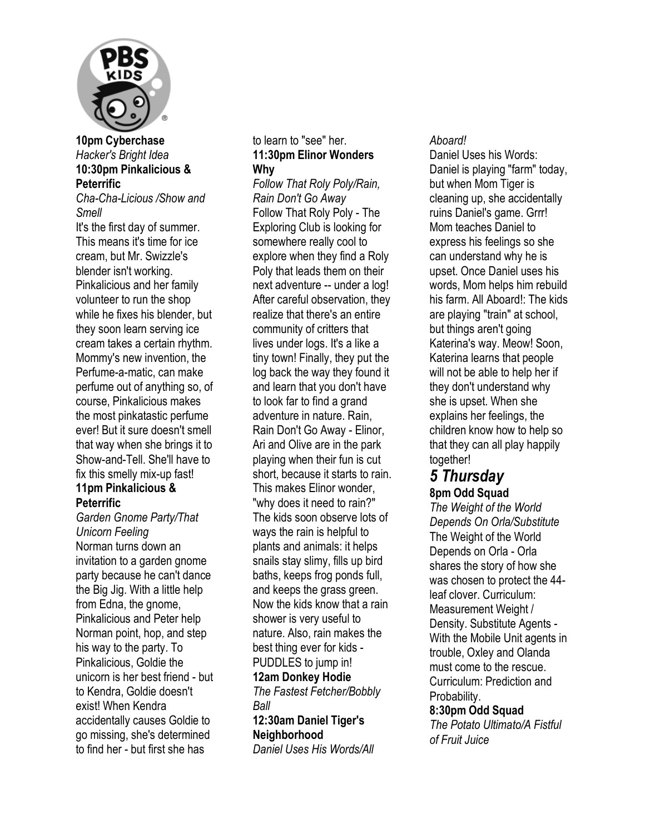

#### **10pm Cyberchase**  *Hacker's Bright Idea*  **10:30pm Pinkalicious & Peterrific**

*Cha-Cha-Licious /Show and Smell* 

It's the first day of summer. This means it's time for ice cream, but Mr. Swizzle's blender isn't working. Pinkalicious and her family volunteer to run the shop while he fixes his blender, but they soon learn serving ice cream takes a certain rhythm. Mommy's new invention, the Perfume-a-matic, can make perfume out of anything so, of course, Pinkalicious makes the most pinkatastic perfume ever! But it sure doesn't smell that way when she brings it to Show-and-Tell. She'll have to fix this smelly mix-up fast! **11pm Pinkalicious & Peterrific** 

*Garden Gnome Party/That Unicorn Feeling*  Norman turns down an invitation to a garden gnome party because he can't dance the Big Jig. With a little help from Edna, the gnome, Pinkalicious and Peter help Norman point, hop, and step his way to the party. To Pinkalicious, Goldie the unicorn is her best friend - but to Kendra, Goldie doesn't exist! When Kendra accidentally causes Goldie to go missing, she's determined to find her - but first she has

#### to learn to "see" her. **11:30pm Elinor Wonders Why**

*Follow That Roly Poly/Rain, Rain Don't Go Away*  Follow That Roly Poly - The Exploring Club is looking for somewhere really cool to explore when they find a Roly Poly that leads them on their next adventure -- under a log! After careful observation, they realize that there's an entire community of critters that lives under logs. It's a like a tiny town! Finally, they put the log back the way they found it and learn that you don't have to look far to find a grand adventure in nature. Rain, Rain Don't Go Away - Elinor, Ari and Olive are in the park playing when their fun is cut short, because it starts to rain. This makes Elinor wonder, "why does it need to rain?" The kids soon observe lots of ways the rain is helpful to plants and animals: it helps snails stay slimy, fills up bird baths, keeps frog ponds full, and keeps the grass green. Now the kids know that a rain shower is very useful to nature. Also, rain makes the best thing ever for kids - PUDDLES to jump in! **12am Donkey Hodie**  *The Fastest Fetcher/Bobbly Ball*  **12:30am Daniel Tiger's** 

**Neighborhood**  *Daniel Uses His Words/All* 

#### *Aboard!*

Daniel Uses his Words: Daniel is playing "farm" today, but when Mom Tiger is cleaning up, she accidentally ruins Daniel's game. Grrr! Mom teaches Daniel to express his feelings so she can understand why he is upset. Once Daniel uses his words, Mom helps him rebuild his farm. All Aboard!: The kids are playing "train" at school, but things aren't going Katerina's way. Meow! Soon, Katerina learns that people will not be able to help her if they don't understand why she is upset. When she explains her feelings, the children know how to help so that they can all play happily together!

### *5 Thursday*  **8pm Odd Squad**

*The Weight of the World Depends On Orla/Substitute*  The Weight of the World Depends on Orla - Orla shares the story of how she was chosen to protect the 44 leaf clover. Curriculum: Measurement Weight / Density. Substitute Agents - With the Mobile Unit agents in trouble, Oxley and Olanda must come to the rescue. Curriculum: Prediction and Probability.

#### **8:30pm Odd Squad**

*The Potato Ultimato/A Fistful of Fruit Juice*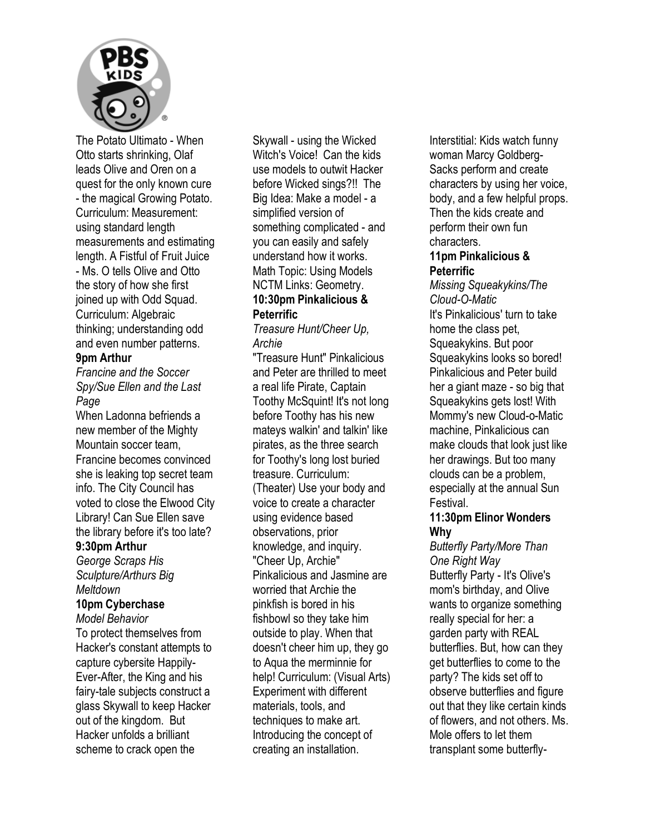

The Potato Ultimato - When Otto starts shrinking, Olaf leads Olive and Oren on a quest for the only known cure - the magical Growing Potato. Curriculum: Measurement: using standard length measurements and estimating length. A Fistful of Fruit Juice - Ms. O tells Olive and Otto the story of how she first joined up with Odd Squad. Curriculum: Algebraic thinking; understanding odd and even number patterns.

#### **9pm Arthur**

*Francine and the Soccer Spy/Sue Ellen and the Last Page* 

When Ladonna befriends a new member of the Mighty Mountain soccer team, Francine becomes convinced she is leaking top secret team info. The City Council has voted to close the Elwood City Library! Can Sue Ellen save the library before it's too late?

#### **9:30pm Arthur**

*George Scraps His Sculpture/Arthurs Big Meltdown* 

#### **10pm Cyberchase**

*Model Behavior*  To protect themselves from Hacker's constant attempts to capture cybersite Happily-Ever-After, the King and his fairy-tale subjects construct a glass Skywall to keep Hacker out of the kingdom. But Hacker unfolds a brilliant scheme to crack open the

Skywall - using the Wicked Witch's Voice! Can the kids use models to outwit Hacker before Wicked sings?!! The Big Idea: Make a model - a simplified version of something complicated - and you can easily and safely understand how it works. Math Topic: Using Models NCTM Links: Geometry. **10:30pm Pinkalicious & Peterrific** 

*Treasure Hunt/Cheer Up, Archie* 

"Treasure Hunt" Pinkalicious and Peter are thrilled to meet a real life Pirate, Captain Toothy McSquint! It's not long before Toothy has his new mateys walkin' and talkin' like pirates, as the three search for Toothy's long lost buried treasure. Curriculum: (Theater) Use your body and voice to create a character using evidence based observations, prior knowledge, and inquiry. "Cheer Up, Archie" Pinkalicious and Jasmine are worried that Archie the pinkfish is bored in his fishbowl so they take him outside to play. When that doesn't cheer him up, they go to Aqua the merminnie for help! Curriculum: (Visual Arts) Experiment with different materials, tools, and techniques to make art. Introducing the concept of creating an installation.

Interstitial: Kids watch funny woman Marcy Goldberg-Sacks perform and create characters by using her voice, body, and a few helpful props. Then the kids create and perform their own fun characters.

#### **11pm Pinkalicious & Peterrific**

*Missing Squeakykins/The Cloud-O-Matic*  It's Pinkalicious' turn to take home the class pet, Squeakykins. But poor Squeakykins looks so bored! Pinkalicious and Peter build her a giant maze - so big that Squeakykins gets lost! With Mommy's new Cloud-o-Matic machine, Pinkalicious can make clouds that look just like her drawings. But too many clouds can be a problem, especially at the annual Sun Festival.

#### **11:30pm Elinor Wonders Why**

*Butterfly Party/More Than One Right Way*  Butterfly Party - It's Olive's mom's birthday, and Olive wants to organize something really special for her: a garden party with REAL butterflies. But, how can they get butterflies to come to the party? The kids set off to observe butterflies and figure out that they like certain kinds of flowers, and not others. Ms. Mole offers to let them transplant some butterfly-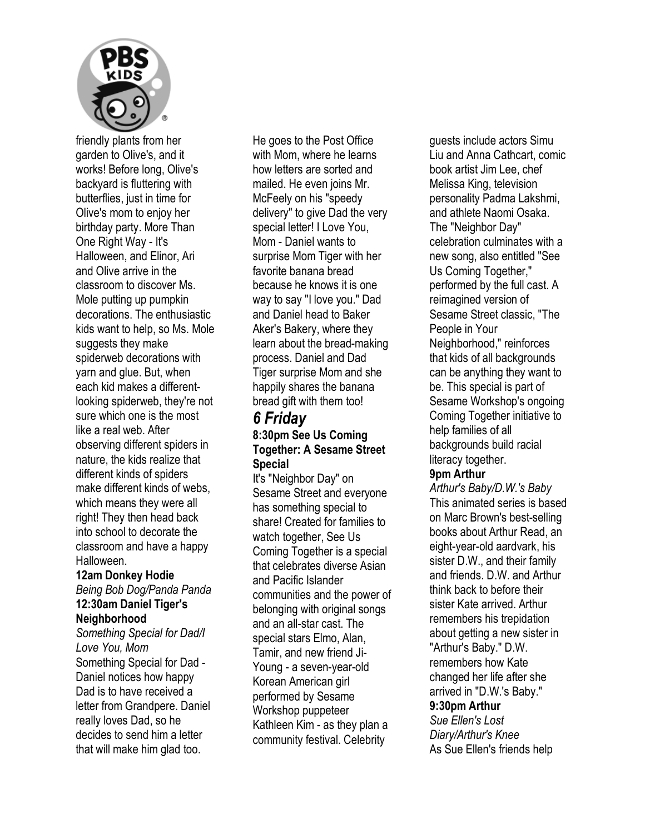

friendly plants from her garden to Olive's, and it works! Before long, Olive's backyard is fluttering with butterflies, just in time for Olive's mom to enjoy her birthday party. More Than One Right Way - It's Halloween, and Elinor, Ari and Olive arrive in the classroom to discover Ms. Mole putting up pumpkin decorations. The enthusiastic kids want to help, so Ms. Mole suggests they make spiderweb decorations with yarn and glue. But, when each kid makes a differentlooking spiderweb, they're not sure which one is the most like a real web. After observing different spiders in nature, the kids realize that different kinds of spiders make different kinds of webs, which means they were all right! They then head back into school to decorate the classroom and have a happy Halloween.

## **12am Donkey Hodie**

#### *Being Bob Dog/Panda Panda*  **12:30am Daniel Tiger's Neighborhood**

*Something Special for Dad/I Love You, Mom*  Something Special for Dad - Daniel notices how happy Dad is to have received a letter from Grandpere. Daniel really loves Dad, so he decides to send him a letter that will make him glad too.

He goes to the Post Office with Mom, where he learns how letters are sorted and mailed. He even joins Mr. McFeely on his "speedy delivery" to give Dad the very special letter! I Love You, Mom - Daniel wants to surprise Mom Tiger with her favorite banana bread because he knows it is one way to say "I love you." Dad and Daniel head to Baker Aker's Bakery, where they learn about the bread-making process. Daniel and Dad Tiger surprise Mom and she happily shares the banana bread gift with them too!

### *6 Friday*  **8:30pm See Us Coming Together: A Sesame Street Special**

It's "Neighbor Day" on Sesame Street and everyone has something special to share! Created for families to watch together, See Us Coming Together is a special that celebrates diverse Asian and Pacific Islander communities and the power of belonging with original songs and an all-star cast. The special stars Elmo, Alan, Tamir, and new friend Ji-Young - a seven-year-old Korean American girl performed by Sesame Workshop puppeteer Kathleen Kim - as they plan a community festival. Celebrity

guests include actors Simu Liu and Anna Cathcart, comic book artist Jim Lee, chef Melissa King, television personality Padma Lakshmi, and athlete Naomi Osaka. The "Neighbor Day" celebration culminates with a new song, also entitled "See Us Coming Together," performed by the full cast. A reimagined version of Sesame Street classic, "The People in Your Neighborhood," reinforces that kids of all backgrounds can be anything they want to be. This special is part of Sesame Workshop's ongoing Coming Together initiative to help families of all backgrounds build racial literacy together.

#### **9pm Arthur**

*Arthur's Baby/D.W.'s Baby*  This animated series is based on Marc Brown's best-selling books about Arthur Read, an eight-year-old aardvark, his sister D.W., and their family and friends. D.W. and Arthur think back to before their sister Kate arrived. Arthur remembers his trepidation about getting a new sister in "Arthur's Baby." D.W. remembers how Kate changed her life after she arrived in "D.W.'s Baby." **9:30pm Arthur**  *Sue Ellen's Lost* 

*Diary/Arthur's Knee*  As Sue Ellen's friends help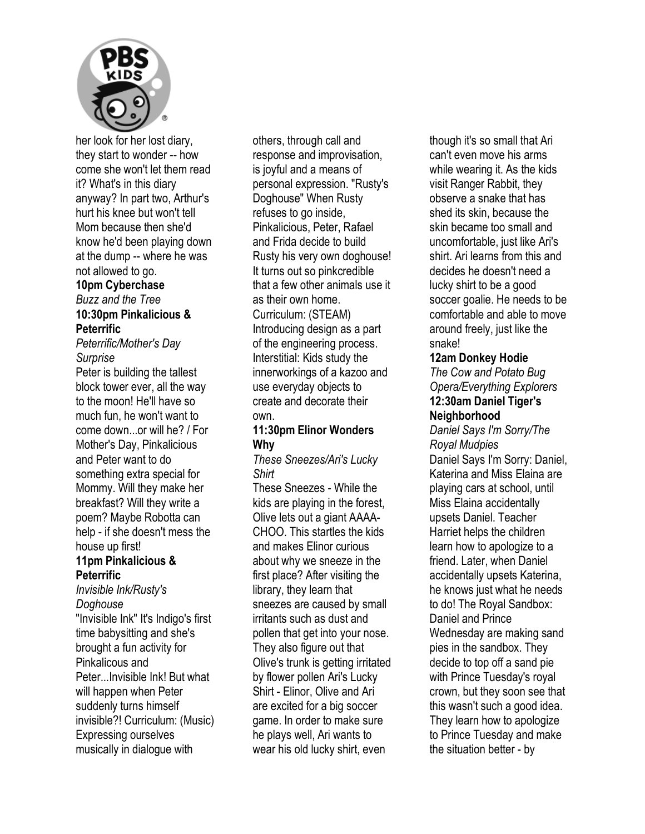

her look for her lost diary, they start to wonder -- how come she won't let them read it? What's in this diary anyway? In part two, Arthur's hurt his knee but won't tell Mom because then she'd know he'd been playing down at the dump -- where he was not allowed to go.

## **10pm Cyberchase**

*Buzz and the Tree* 

#### **10:30pm Pinkalicious & Peterrific**

*Peterrific/Mother's Day Surprise* 

Peter is building the tallest block tower ever, all the way to the moon! He'll have so much fun, he won't want to come down...or will he? / For Mother's Day, Pinkalicious and Peter want to do something extra special for Mommy. Will they make her breakfast? Will they write a poem? Maybe Robotta can help - if she doesn't mess the house up first!

#### **11pm Pinkalicious & Peterrific**

#### *Invisible Ink/Rusty's Doghouse*

"Invisible Ink" It's Indigo's first time babysitting and she's brought a fun activity for Pinkalicous and Peter...Invisible Ink! But what will happen when Peter suddenly turns himself invisible?! Curriculum: (Music) Expressing ourselves musically in dialogue with

others, through call and response and improvisation, is joyful and a means of personal expression. "Rusty's Doghouse" When Rusty refuses to go inside, Pinkalicious, Peter, Rafael and Frida decide to build Rusty his very own doghouse! It turns out so pinkcredible that a few other animals use it as their own home. Curriculum: (STEAM) Introducing design as a part of the engineering process. Interstitial: Kids study the innerworkings of a kazoo and use everyday objects to create and decorate their own.

#### **11:30pm Elinor Wonders Why**

*These Sneezes/Ari's Lucky Shirt* 

These Sneezes - While the kids are playing in the forest, Olive lets out a giant AAAA-CHOO. This startles the kids and makes Elinor curious about why we sneeze in the first place? After visiting the library, they learn that sneezes are caused by small irritants such as dust and pollen that get into your nose. They also figure out that Olive's trunk is getting irritated by flower pollen Ari's Lucky Shirt - Elinor, Olive and Ari are excited for a big soccer game. In order to make sure he plays well, Ari wants to wear his old lucky shirt, even

though it's so small that Ari can't even move his arms while wearing it. As the kids visit Ranger Rabbit, they observe a snake that has shed its skin, because the skin became too small and uncomfortable, just like Ari's shirt. Ari learns from this and decides he doesn't need a lucky shirt to be a good soccer goalie. He needs to be comfortable and able to move around freely, just like the snake!

#### **12am Donkey Hodie**

*The Cow and Potato Bug Opera/Everything Explorers*  **12:30am Daniel Tiger's Neighborhood** 

*Daniel Says I'm Sorry/The Royal Mudpies*  Daniel Says I'm Sorry: Daniel, Katerina and Miss Elaina are playing cars at school, until Miss Elaina accidentally upsets Daniel. Teacher Harriet helps the children learn how to apologize to a friend. Later, when Daniel accidentally upsets Katerina, he knows just what he needs to do! The Royal Sandbox: Daniel and Prince Wednesday are making sand pies in the sandbox. They decide to top off a sand pie with Prince Tuesday's royal crown, but they soon see that this wasn't such a good idea. They learn how to apologize to Prince Tuesday and make the situation better - by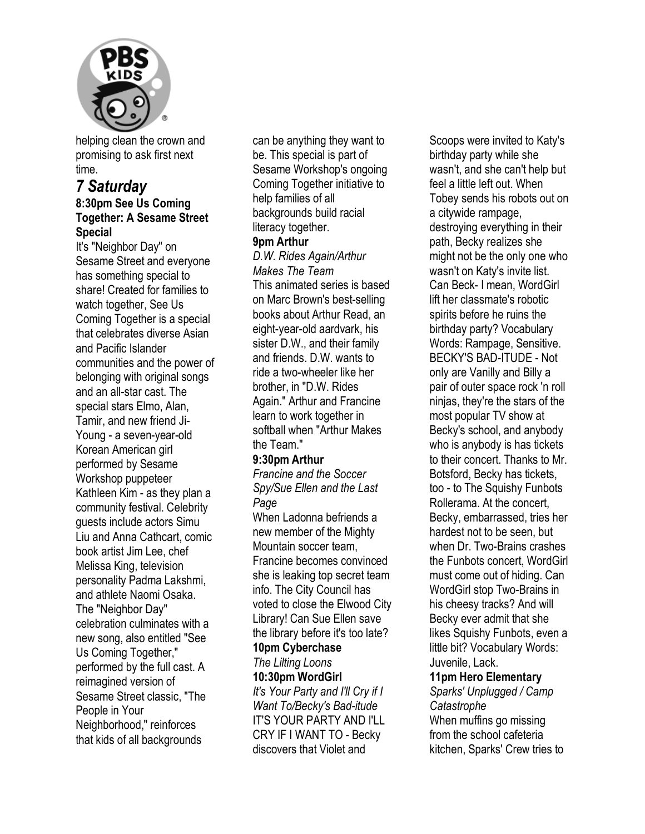

helping clean the crown and promising to ask first next time.

## *7 Saturday*

#### **8:30pm See Us Coming Together: A Sesame Street Special**

It's "Neighbor Day" on Sesame Street and everyone has something special to share! Created for families to watch together, See Us Coming Together is a special that celebrates diverse Asian and Pacific Islander communities and the power of belonging with original songs and an all-star cast. The special stars Elmo, Alan, Tamir, and new friend Ji-Young - a seven-year-old Korean American girl performed by Sesame Workshop puppeteer Kathleen Kim - as they plan a community festival. Celebrity guests include actors Simu Liu and Anna Cathcart, comic book artist Jim Lee, chef Melissa King, television personality Padma Lakshmi, and athlete Naomi Osaka. The "Neighbor Day" celebration culminates with a new song, also entitled "See Us Coming Together," performed by the full cast. A reimagined version of Sesame Street classic, "The People in Your Neighborhood," reinforces that kids of all backgrounds

can be anything they want to be. This special is part of Sesame Workshop's ongoing Coming Together initiative to help families of all backgrounds build racial literacy together.

#### **9pm Arthur**

*D.W. Rides Again/Arthur Makes The Team*  This animated series is based on Marc Brown's best-selling books about Arthur Read, an eight-year-old aardvark, his sister D.W., and their family and friends. D.W. wants to ride a two-wheeler like her brother, in "D.W. Rides Again." Arthur and Francine learn to work together in softball when "Arthur Makes the Team."

#### **9:30pm Arthur**

*Francine and the Soccer Spy/Sue Ellen and the Last Page* 

When Ladonna befriends a new member of the Mighty Mountain soccer team, Francine becomes convinced she is leaking top secret team info. The City Council has voted to close the Elwood City Library! Can Sue Ellen save the library before it's too late? **10pm Cyberchase** 

## *The Lilting Loons*

**10:30pm WordGirl**  *It's Your Party and I'll Cry if I Want To/Becky's Bad-itude* 

IT'S YOUR PARTY AND I'LL CRY IF I WANT TO - Becky discovers that Violet and

Scoops were invited to Katy's birthday party while she wasn't, and she can't help but feel a little left out. When Tobey sends his robots out on a citywide rampage, destroying everything in their path, Becky realizes she might not be the only one who wasn't on Katy's invite list. Can Beck- I mean, WordGirl lift her classmate's robotic spirits before he ruins the birthday party? Vocabulary Words: Rampage, Sensitive. BECKY'S BAD-ITUDE - Not only are Vanilly and Billy a pair of outer space rock 'n roll ninjas, they're the stars of the most popular TV show at Becky's school, and anybody who is anybody is has tickets to their concert. Thanks to Mr. Botsford, Becky has tickets, too - to The Squishy Funbots Rollerama. At the concert, Becky, embarrassed, tries her hardest not to be seen, but when Dr. Two-Brains crashes the Funbots concert, WordGirl must come out of hiding. Can WordGirl stop Two-Brains in his cheesy tracks? And will Becky ever admit that she likes Squishy Funbots, even a little bit? Vocabulary Words: Juvenile, Lack.

#### **11pm Hero Elementary**

*Sparks' Unplugged / Camp Catastrophe*  When muffins go missing from the school cafeteria kitchen, Sparks' Crew tries to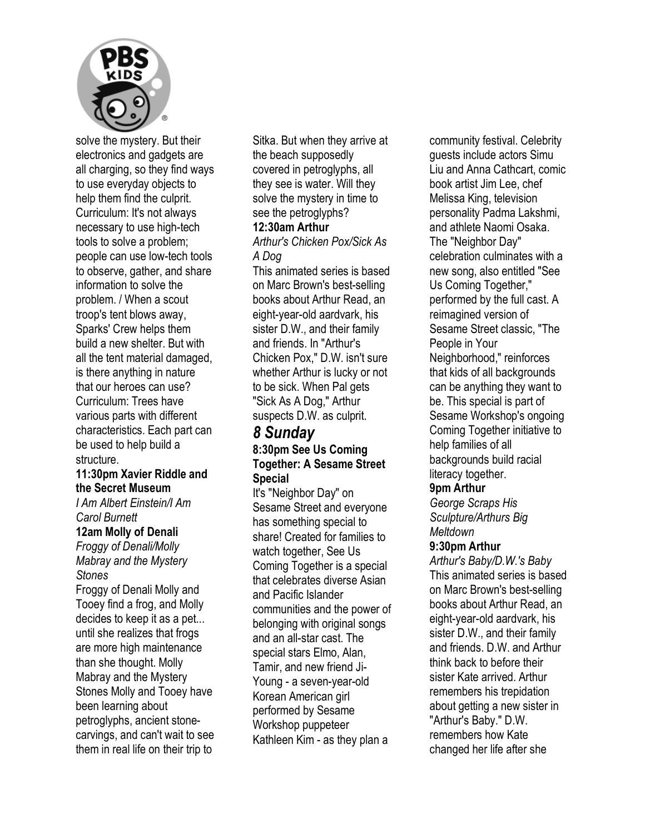

solve the mystery. But their electronics and gadgets are all charging, so they find ways to use everyday objects to help them find the culprit. Curriculum: It's not always necessary to use high-tech tools to solve a problem; people can use low-tech tools to observe, gather, and share information to solve the problem. / When a scout troop's tent blows away, Sparks' Crew helps them build a new shelter. But with all the tent material damaged, is there anything in nature that our heroes can use? Curriculum: Trees have various parts with different characteristics. Each part can be used to help build a structure.

#### **11:30pm Xavier Riddle and the Secret Museum**

*I Am Albert Einstein/I Am Carol Burnett* 

#### **12am Molly of Denali**

*Froggy of Denali/Molly Mabray and the Mystery Stones* 

Froggy of Denali Molly and Tooey find a frog, and Molly decides to keep it as a pet... until she realizes that frogs are more high maintenance than she thought. Molly Mabray and the Mystery Stones Molly and Tooey have been learning about petroglyphs, ancient stonecarvings, and can't wait to see them in real life on their trip to

Sitka. But when they arrive at the beach supposedly covered in petroglyphs, all they see is water. Will they solve the mystery in time to see the petroglyphs?

#### **12:30am Arthur**

*Arthur's Chicken Pox/Sick As A Dog* 

This animated series is based on Marc Brown's best-selling books about Arthur Read, an eight-year-old aardvark, his sister D.W., and their family and friends. In "Arthur's Chicken Pox," D.W. isn't sure whether Arthur is lucky or not to be sick. When Pal gets "Sick As A Dog," Arthur suspects D.W. as culprit.

#### *8 Sunday*  **8:30pm See Us Coming Together: A Sesame Street Special**

It's "Neighbor Day" on Sesame Street and everyone has something special to share! Created for families to watch together, See Us Coming Together is a special that celebrates diverse Asian and Pacific Islander communities and the power of belonging with original songs and an all-star cast. The special stars Elmo, Alan, Tamir, and new friend Ji-Young - a seven-year-old Korean American girl performed by Sesame Workshop puppeteer Kathleen Kim - as they plan a

community festival. Celebrity guests include actors Simu Liu and Anna Cathcart, comic book artist Jim Lee, chef Melissa King, television personality Padma Lakshmi, and athlete Naomi Osaka. The "Neighbor Day" celebration culminates with a new song, also entitled "See Us Coming Together," performed by the full cast. A reimagined version of Sesame Street classic, "The People in Your Neighborhood," reinforces that kids of all backgrounds can be anything they want to be. This special is part of Sesame Workshop's ongoing Coming Together initiative to help families of all backgrounds build racial literacy together.

#### **9pm Arthur**

*George Scraps His Sculpture/Arthurs Big Meltdown* 

#### **9:30pm Arthur**

*Arthur's Baby/D.W.'s Baby*  This animated series is based on Marc Brown's best-selling books about Arthur Read, an eight-year-old aardvark, his sister D.W., and their family and friends. D.W. and Arthur think back to before their sister Kate arrived. Arthur remembers his trepidation about getting a new sister in "Arthur's Baby." D.W. remembers how Kate changed her life after she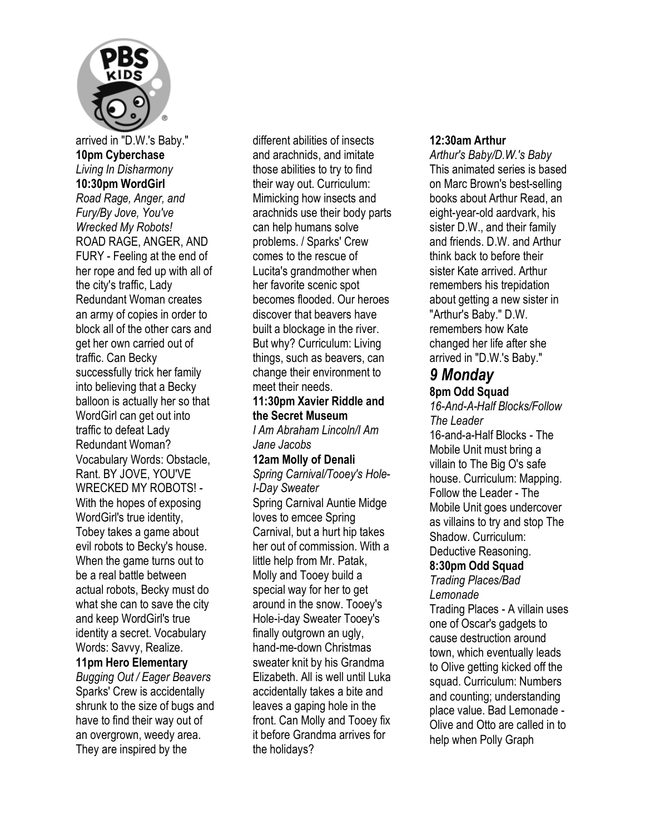

arrived in "D.W.'s Baby." **10pm Cyberchase**  *Living In Disharmony*  **10:30pm WordGirl**  *Road Rage, Anger, and Fury/By Jove, You've Wrecked My Robots!*  ROAD RAGE, ANGER, AND FURY - Feeling at the end of her rope and fed up with all of the city's traffic, Lady Redundant Woman creates an army of copies in order to block all of the other cars and get her own carried out of traffic. Can Becky successfully trick her family into believing that a Becky balloon is actually her so that WordGirl can get out into traffic to defeat Lady Redundant Woman? Vocabulary Words: Obstacle, Rant. BY JOVE, YOU'VE WRECKED MY ROBOTS! - With the hopes of exposing WordGirl's true identity, Tobey takes a game about evil robots to Becky's house. When the game turns out to be a real battle between actual robots, Becky must do what she can to save the city and keep WordGirl's true identity a secret. Vocabulary Words: Savvy, Realize. **11pm Hero Elementary**  *Bugging Out / Eager Beavers* 

Sparks' Crew is accidentally shrunk to the size of bugs and have to find their way out of an overgrown, weedy area. They are inspired by the

different abilities of insects and arachnids, and imitate those abilities to try to find their way out. Curriculum: Mimicking how insects and arachnids use their body parts can help humans solve problems. / Sparks' Crew comes to the rescue of Lucita's grandmother when her favorite scenic spot becomes flooded. Our heroes discover that beavers have built a blockage in the river. But why? Curriculum: Living things, such as beavers, can change their environment to meet their needs.

#### **11:30pm Xavier Riddle and the Secret Museum**

*I Am Abraham Lincoln/I Am Jane Jacobs* 

#### **12am Molly of Denali**

*Spring Carnival/Tooey's Hole-I-Day Sweater*  Spring Carnival Auntie Midge loves to emcee Spring Carnival, but a hurt hip takes her out of commission. With a little help from Mr. Patak, Molly and Tooey build a special way for her to get around in the snow. Tooey's Hole-i-day Sweater Tooey's finally outgrown an ugly, hand-me-down Christmas sweater knit by his Grandma Elizabeth. All is well until Luka accidentally takes a bite and leaves a gaping hole in the front. Can Molly and Tooey fix it before Grandma arrives for the holidays?

#### **12:30am Arthur**

*Arthur's Baby/D.W.'s Baby*  This animated series is based on Marc Brown's best-selling books about Arthur Read, an eight-year-old aardvark, his sister D.W., and their family and friends. D.W. and Arthur think back to before their sister Kate arrived. Arthur remembers his trepidation about getting a new sister in "Arthur's Baby." D.W. remembers how Kate changed her life after she arrived in "D.W.'s Baby."

#### *9 Monday*  **8pm Odd Squad**

*16-And-A-Half Blocks/Follow The Leader* 

16-and-a-Half Blocks - The Mobile Unit must bring a villain to The Big O's safe house. Curriculum: Mapping. Follow the Leader - The Mobile Unit goes undercover as villains to try and stop The Shadow. Curriculum: Deductive Reasoning.

#### **8:30pm Odd Squad**

*Trading Places/Bad Lemonade* 

Trading Places - A villain uses one of Oscar's gadgets to cause destruction around town, which eventually leads to Olive getting kicked off the squad. Curriculum: Numbers and counting; understanding place value. Bad Lemonade - Olive and Otto are called in to help when Polly Graph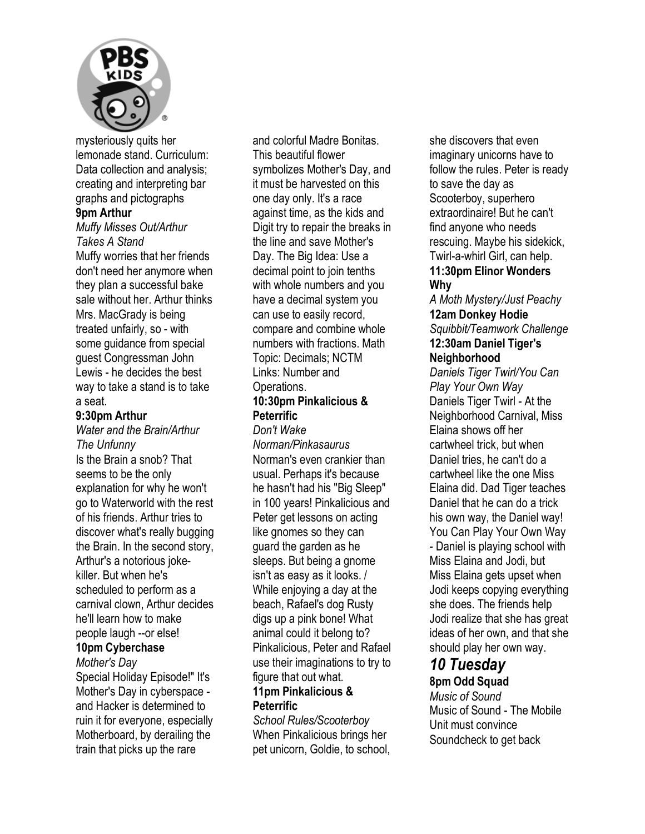

mysteriously quits her lemonade stand. Curriculum: Data collection and analysis: creating and interpreting bar graphs and pictographs **9pm Arthur**  *Muffy Misses Out/Arthur Takes A Stand* 

Muffy worries that her friends don't need her anymore when they plan a successful bake sale without her. Arthur thinks Mrs. MacGrady is being treated unfairly, so - with some guidance from special guest Congressman John Lewis - he decides the best way to take a stand is to take a seat.

#### **9:30pm Arthur**

#### *Water and the Brain/Arthur The Unfunny*

Is the Brain a snob? That seems to be the only explanation for why he won't go to Waterworld with the rest of his friends. Arthur tries to discover what's really bugging the Brain. In the second story, Arthur's a notorious jokekiller. But when he's scheduled to perform as a carnival clown, Arthur decides he'll learn how to make people laugh --or else!

#### **10pm Cyberchase**

*Mother's Day* 

Special Holiday Episode!" It's Mother's Day in cyberspace and Hacker is determined to ruin it for everyone, especially Motherboard, by derailing the train that picks up the rare

and colorful Madre Bonitas. This beautiful flower symbolizes Mother's Day, and it must be harvested on this one day only. It's a race against time, as the kids and Digit try to repair the breaks in the line and save Mother's Day. The Big Idea: Use a decimal point to join tenths with whole numbers and you have a decimal system you can use to easily record, compare and combine whole numbers with fractions. Math Topic: Decimals; NCTM Links: Number and **Operations** 

#### **10:30pm Pinkalicious & Peterrific**  *Don't Wake*

#### *Norman/Pinkasaurus*  Norman's even crankier than usual. Perhaps it's because he hasn't had his "Big Sleep" in 100 years! Pinkalicious and Peter get lessons on acting like gnomes so they can guard the garden as he sleeps. But being a gnome isn't as easy as it looks. / While enjoying a day at the beach, Rafael's dog Rusty digs up a pink bone! What animal could it belong to? Pinkalicious, Peter and Rafael use their imaginations to try to figure that out what.

#### **11pm Pinkalicious & Peterrific**

*School Rules/Scooterboy*  When Pinkalicious brings her pet unicorn, Goldie, to school, she discovers that even imaginary unicorns have to follow the rules. Peter is ready to save the day as Scooterboy, superhero extraordinaire! But he can't find anyone who needs rescuing. Maybe his sidekick, Twirl-a-whirl Girl, can help. **11:30pm Elinor Wonders** 

#### **Why**

*A Moth Mystery/Just Peachy*  **12am Donkey Hodie**  *Squibbit/Teamwork Challenge*  **12:30am Daniel Tiger's** 

## **Neighborhood**

*Daniels Tiger Twirl/You Can Play Your Own Way*  Daniels Tiger Twirl - At the Neighborhood Carnival, Miss Elaina shows off her cartwheel trick, but when Daniel tries, he can't do a cartwheel like the one Miss Elaina did. Dad Tiger teaches Daniel that he can do a trick his own way, the Daniel way! You Can Play Your Own Way - Daniel is playing school with Miss Elaina and Jodi, but Miss Elaina gets upset when Jodi keeps copying everything she does. The friends help Jodi realize that she has great ideas of her own, and that she should play her own way.

## *10 Tuesday*

## **8pm Odd Squad**

*Music of Sound*  Music of Sound - The Mobile Unit must convince Soundcheck to get back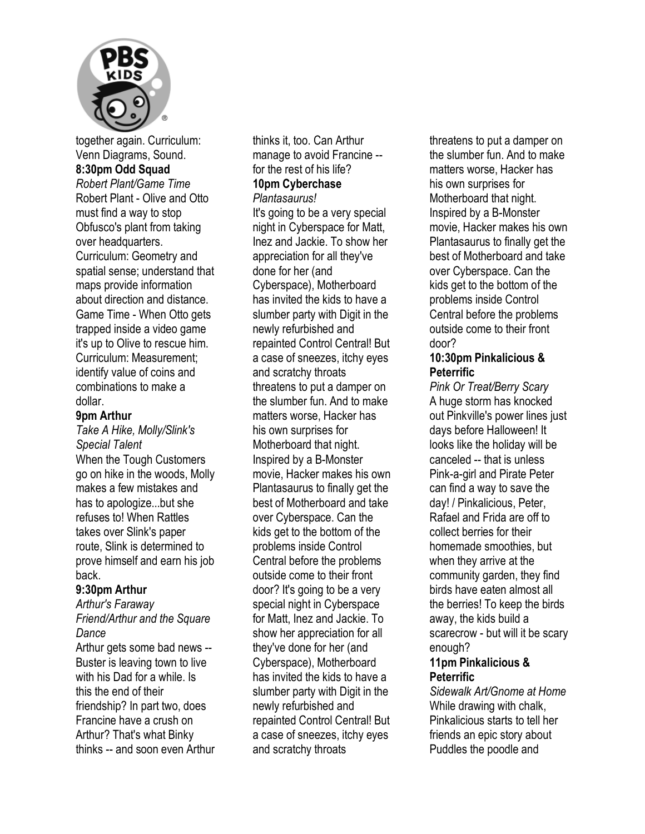

together again. Curriculum: Venn Diagrams, Sound. **8:30pm Odd Squad**  *Robert Plant/Game Time*  Robert Plant - Olive and Otto must find a way to stop Obfusco's plant from taking over headquarters. Curriculum: Geometry and spatial sense; understand that maps provide information about direction and distance. Game Time - When Otto gets trapped inside a video game it's up to Olive to rescue him. Curriculum: Measurement; identify value of coins and combinations to make a dollar.

#### **9pm Arthur**

#### *Take A Hike, Molly/Slink's Special Talent*

When the Tough Customers go on hike in the woods, Molly makes a few mistakes and has to apologize...but she refuses to! When Rattles takes over Slink's paper route, Slink is determined to prove himself and earn his job back.

#### **9:30pm Arthur**

*Arthur's Faraway Friend/Arthur and the Square Dance* 

Arthur gets some bad news -- Buster is leaving town to live with his Dad for a while. Is this the end of their friendship? In part two, does Francine have a crush on Arthur? That's what Binky thinks -- and soon even Arthur thinks it, too. Can Arthur manage to avoid Francine - for the rest of his life? **10pm Cyberchase**  *Plantasaurus!* 

It's going to be a very special night in Cyberspace for Matt, Inez and Jackie. To show her appreciation for all they've done for her (and Cyberspace), Motherboard has invited the kids to have a slumber party with Digit in the newly refurbished and repainted Control Central! But a case of sneezes, itchy eyes and scratchy throats threatens to put a damper on the slumber fun. And to make matters worse, Hacker has his own surprises for Motherboard that night. Inspired by a B-Monster movie, Hacker makes his own Plantasaurus to finally get the best of Motherboard and take over Cyberspace. Can the kids get to the bottom of the problems inside Control Central before the problems outside come to their front door? It's going to be a very special night in Cyberspace for Matt, Inez and Jackie. To show her appreciation for all they've done for her (and Cyberspace), Motherboard has invited the kids to have a slumber party with Digit in the newly refurbished and repainted Control Central! But a case of sneezes, itchy eyes and scratchy throats

threatens to put a damper on the slumber fun. And to make matters worse, Hacker has his own surprises for Motherboard that night. Inspired by a B-Monster movie, Hacker makes his own Plantasaurus to finally get the best of Motherboard and take over Cyberspace. Can the kids get to the bottom of the problems inside Control Central before the problems outside come to their front door?

#### **10:30pm Pinkalicious & Peterrific**

*Pink Or Treat/Berry Scary*  A huge storm has knocked out Pinkville's power lines just days before Halloween! It looks like the holiday will be canceled -- that is unless Pink-a-girl and Pirate Peter can find a way to save the day! / Pinkalicious, Peter, Rafael and Frida are off to collect berries for their homemade smoothies, but when they arrive at the community garden, they find birds have eaten almost all the berries! To keep the birds away, the kids build a scarecrow - but will it be scary enough?

#### **11pm Pinkalicious & Peterrific**

*Sidewalk Art/Gnome at Home*  While drawing with chalk, Pinkalicious starts to tell her friends an epic story about Puddles the poodle and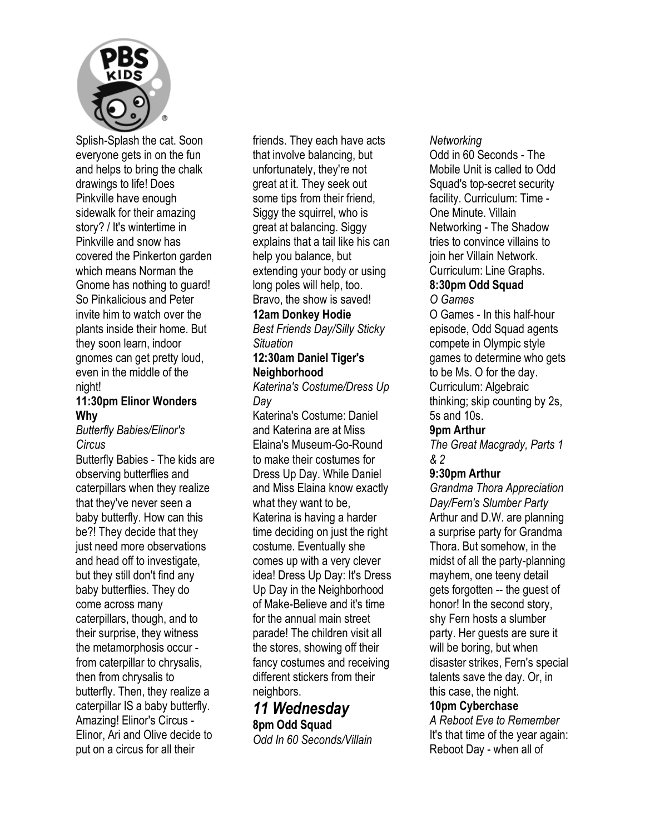

Splish-Splash the cat. Soon everyone gets in on the fun and helps to bring the chalk drawings to life! Does Pinkville have enough sidewalk for their amazing story? / It's wintertime in Pinkville and snow has covered the Pinkerton garden which means Norman the Gnome has nothing to guard! So Pinkalicious and Peter invite him to watch over the plants inside their home. But they soon learn, indoor gnomes can get pretty loud, even in the middle of the night!

#### **11:30pm Elinor Wonders Why**

#### *Butterfly Babies/Elinor's Circus*

Butterfly Babies - The kids are observing butterflies and caterpillars when they realize that they've never seen a baby butterfly. How can this be?! They decide that they just need more observations and head off to investigate, but they still don't find any baby butterflies. They do come across many caterpillars, though, and to their surprise, they witness the metamorphosis occur from caterpillar to chrysalis, then from chrysalis to butterfly. Then, they realize a caterpillar IS a baby butterfly. Amazing! Elinor's Circus - Elinor, Ari and Olive decide to put on a circus for all their

friends. They each have acts that involve balancing, but unfortunately, they're not great at it. They seek out some tips from their friend, Siggy the squirrel, who is great at balancing. Siggy explains that a tail like his can help you balance, but extending your body or using long poles will help, too. Bravo, the show is saved!

## **12am Donkey Hodie**

*Best Friends Day/Silly Sticky Situation* 

#### **12:30am Daniel Tiger's Neighborhood**

*Katerina's Costume/Dress Up Day* 

Katerina's Costume: Daniel and Katerina are at Miss Elaina's Museum-Go-Round to make their costumes for Dress Up Day. While Daniel and Miss Elaina know exactly what they want to be, Katerina is having a harder time deciding on just the right costume. Eventually she comes up with a very clever idea! Dress Up Day: It's Dress Up Day in the Neighborhood of Make-Believe and it's time for the annual main street parade! The children visit all the stores, showing off their fancy costumes and receiving different stickers from their neighbors.

## *11 Wednesday*  **8pm Odd Squad**

*Odd In 60 Seconds/Villain* 

#### *Networking*

Odd in 60 Seconds - The Mobile Unit is called to Odd Squad's top-secret security facility. Curriculum: Time - One Minute. Villain Networking - The Shadow tries to convince villains to join her Villain Network. Curriculum: Line Graphs.

#### **8:30pm Odd Squad**  *O Games*

O Games - In this half-hour episode, Odd Squad agents compete in Olympic style games to determine who gets to be Ms. O for the day. Curriculum: Algebraic thinking; skip counting by 2s, 5s and 10s.

#### **9pm Arthur**

*The Great Macgrady, Parts 1 & 2* 

#### **9:30pm Arthur**

*Grandma Thora Appreciation Day/Fern's Slumber Party*  Arthur and D.W. are planning a surprise party for Grandma Thora. But somehow, in the midst of all the party-planning mayhem, one teeny detail gets forgotten -- the guest of honor! In the second story, shy Fern hosts a slumber party. Her guests are sure it will be boring, but when disaster strikes, Fern's special talents save the day. Or, in this case, the night. **10pm Cyberchase**  *A Reboot Eve to Remember*  It's that time of the year again:

Reboot Day - when all of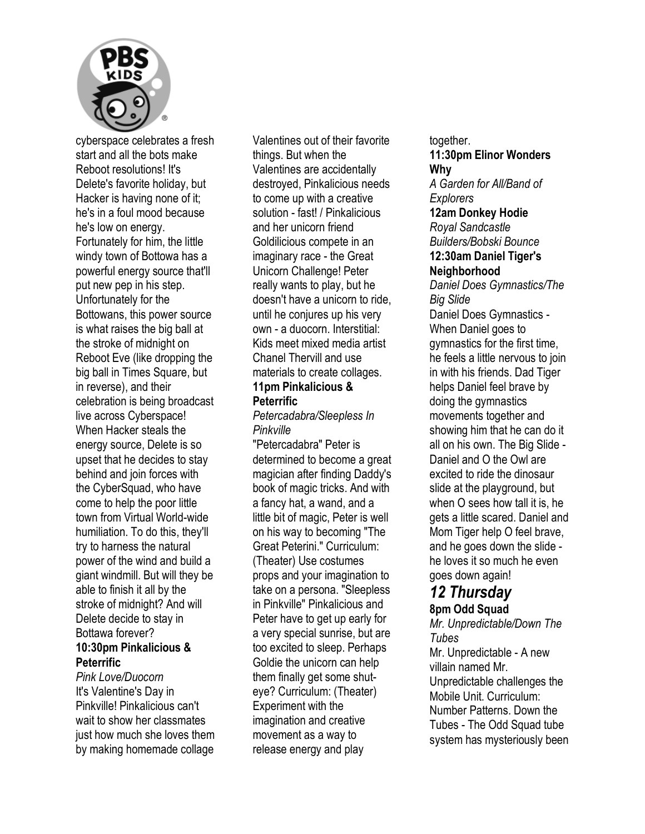

cyberspace celebrates a fresh start and all the bots make Reboot resolutions! It's Delete's favorite holiday, but Hacker is having none of it; he's in a foul mood because he's low on energy. Fortunately for him, the little windy town of Bottowa has a powerful energy source that'll put new pep in his step. Unfortunately for the Bottowans, this power source is what raises the big ball at the stroke of midnight on Reboot Eve (like dropping the big ball in Times Square, but in reverse), and their celebration is being broadcast live across Cyberspace! When Hacker steals the energy source, Delete is so upset that he decides to stay behind and join forces with the CyberSquad, who have come to help the poor little town from Virtual World-wide humiliation. To do this, they'll try to harness the natural power of the wind and build a giant windmill. But will they be able to finish it all by the stroke of midnight? And will Delete decide to stay in Bottawa forever? **10:30pm Pinkalicious & Peterrific** 

*Pink Love/Duocorn*  It's Valentine's Day in Pinkville! Pinkalicious can't wait to show her classmates just how much she loves them by making homemade collage

Valentines out of their favorite things. But when the Valentines are accidentally destroyed, Pinkalicious needs to come up with a creative solution - fast! / Pinkalicious and her unicorn friend Goldilicious compete in an imaginary race - the Great Unicorn Challenge! Peter really wants to play, but he doesn't have a unicorn to ride, until he conjures up his very own - a duocorn. Interstitial: Kids meet mixed media artist Chanel Thervill and use materials to create collages. **11pm Pinkalicious &** 

## **Peterrific**

#### *Petercadabra/Sleepless In Pinkville*

"Petercadabra" Peter is determined to become a great magician after finding Daddy's book of magic tricks. And with a fancy hat, a wand, and a little bit of magic, Peter is well on his way to becoming "The Great Peterini." Curriculum: (Theater) Use costumes props and your imagination to take on a persona. "Sleepless in Pinkville" Pinkalicious and Peter have to get up early for a very special sunrise, but are too excited to sleep. Perhaps Goldie the unicorn can help them finally get some shuteye? Curriculum: (Theater) Experiment with the imagination and creative movement as a way to release energy and play

together. **11:30pm Elinor Wonders Why**  *A Garden for All/Band of Explorers*  **12am Donkey Hodie**  *Royal Sandcastle Builders/Bobski Bounce*  **12:30am Daniel Tiger's Neighborhood**  *Daniel Does Gymnastics/The Big Slide*  Daniel Does Gymnastics - When Daniel goes to gymnastics for the first time, he feels a little nervous to join in with his friends. Dad Tiger helps Daniel feel brave by doing the gymnastics movements together and showing him that he can do it all on his own. The Big Slide - Daniel and O the Owl are excited to ride the dinosaur slide at the playground, but when O sees how tall it is, he gets a little scared. Daniel and Mom Tiger help O feel brave, and he goes down the slide he loves it so much he even goes down again!

#### *12 Thursday*  **8pm Odd Squad**

## *Mr. Unpredictable/Down The Tubes*

Mr. Unpredictable - A new villain named Mr. Unpredictable challenges the Mobile Unit. Curriculum: Number Patterns. Down the Tubes - The Odd Squad tube system has mysteriously been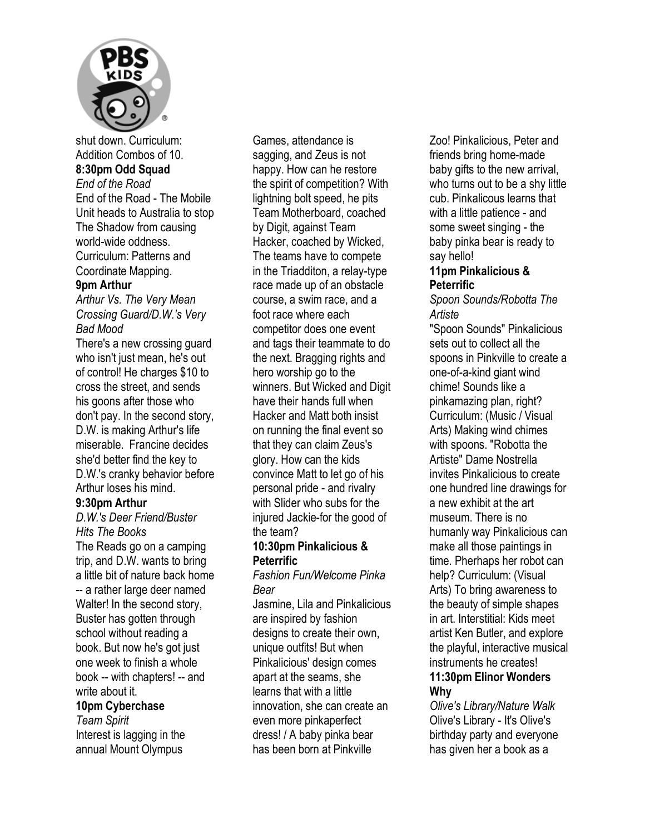

shut down. Curriculum: Addition Combos of 10. **8:30pm Odd Squad**  *End of the Road*  End of the Road - The Mobile Unit heads to Australia to stop The Shadow from causing world-wide oddness. Curriculum: Patterns and Coordinate Mapping.

#### **9pm Arthur**

*Arthur Vs. The Very Mean Crossing Guard/D.W.'s Very Bad Mood* 

There's a new crossing guard who isn't just mean, he's out of control! He charges \$10 to cross the street, and sends his goons after those who don't pay. In the second story, D.W. is making Arthur's life miserable. Francine decides she'd better find the key to D.W.'s cranky behavior before Arthur loses his mind.

#### **9:30pm Arthur**

*D.W.'s Deer Friend/Buster Hits The Books* 

The Reads go on a camping trip, and D.W. wants to bring a little bit of nature back home -- a rather large deer named Walter! In the second story, Buster has gotten through school without reading a book. But now he's got just one week to finish a whole book -- with chapters! -- and write about it. **10pm Cyberchase**  *Team Spirit* 

Interest is lagging in the annual Mount Olympus

Games, attendance is sagging, and Zeus is not happy. How can he restore the spirit of competition? With lightning bolt speed, he pits Team Motherboard, coached by Digit, against Team Hacker, coached by Wicked, The teams have to compete in the Triadditon, a relay-type race made up of an obstacle course, a swim race, and a foot race where each competitor does one event and tags their teammate to do the next. Bragging rights and hero worship go to the winners. But Wicked and Digit have their hands full when Hacker and Matt both insist on running the final event so that they can claim Zeus's glory. How can the kids convince Matt to let go of his personal pride - and rivalry with Slider who subs for the injured Jackie-for the good of the team?

#### **10:30pm Pinkalicious & Peterrific**

*Fashion Fun/Welcome Pinka Bear* 

Jasmine, Lila and Pinkalicious are inspired by fashion designs to create their own, unique outfits! But when Pinkalicious' design comes apart at the seams, she learns that with a little innovation, she can create an even more pinkaperfect dress! / A baby pinka bear has been born at Pinkville

Zoo! Pinkalicious, Peter and friends bring home-made baby gifts to the new arrival, who turns out to be a shy little cub. Pinkalicous learns that with a little patience - and some sweet singing - the baby pinka bear is ready to say hello!

#### **11pm Pinkalicious & Peterrific**

*Spoon Sounds/Robotta The Artiste* 

"Spoon Sounds" Pinkalicious sets out to collect all the spoons in Pinkville to create a one-of-a-kind giant wind chime! Sounds like a pinkamazing plan, right? Curriculum: (Music / Visual Arts) Making wind chimes with spoons. "Robotta the Artiste" Dame Nostrella invites Pinkalicious to create one hundred line drawings for a new exhibit at the art museum. There is no humanly way Pinkalicious can make all those paintings in time. Pherhaps her robot can help? Curriculum: (Visual Arts) To bring awareness to the beauty of simple shapes in art. Interstitial: Kids meet artist Ken Butler, and explore the playful, interactive musical instruments he creates! **11:30pm Elinor Wonders Why** 

*Olive's Library/Nature Walk*  Olive's Library - It's Olive's birthday party and everyone has given her a book as a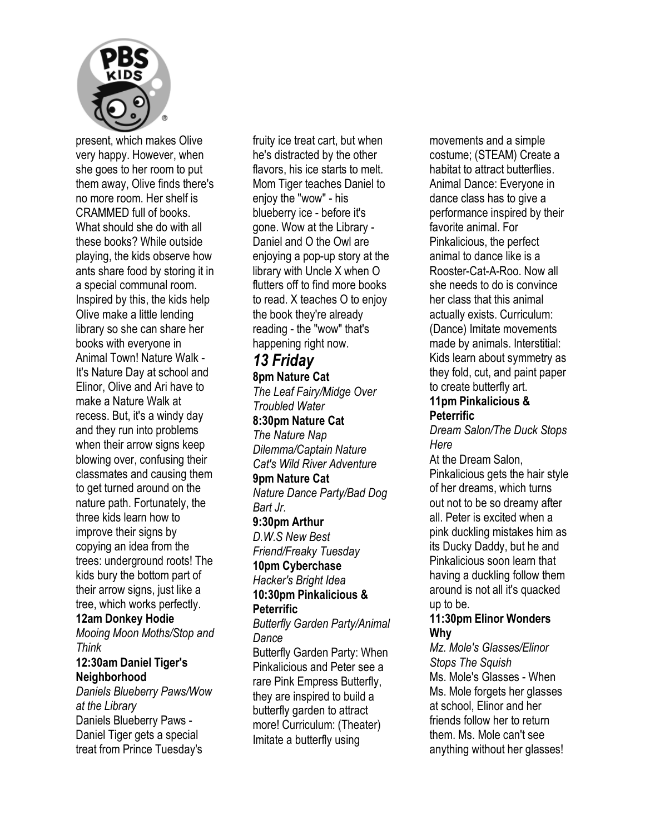

present, which makes Olive very happy. However, when she goes to her room to put them away, Olive finds there's no more room. Her shelf is CRAMMED full of books. What should she do with all these books? While outside playing, the kids observe how ants share food by storing it in a special communal room. Inspired by this, the kids help Olive make a little lending library so she can share her books with everyone in Animal Town! Nature Walk - It's Nature Day at school and Elinor, Olive and Ari have to make a Nature Walk at recess. But, it's a windy day and they run into problems when their arrow signs keep blowing over, confusing their classmates and causing them to get turned around on the nature path. Fortunately, the three kids learn how to improve their signs by copying an idea from the trees: underground roots! The kids bury the bottom part of their arrow signs, just like a tree, which works perfectly. **12am Donkey Hodie** 

*Mooing Moon Moths/Stop and Think* 

#### **12:30am Daniel Tiger's Neighborhood**

*Daniels Blueberry Paws/Wow at the Library*  Daniels Blueberry Paws - Daniel Tiger gets a special treat from Prince Tuesday's

fruity ice treat cart, but when he's distracted by the other flavors, his ice starts to melt. Mom Tiger teaches Daniel to enjoy the "wow" - his blueberry ice - before it's gone. Wow at the Library - Daniel and O the Owl are enjoying a pop-up story at the library with Uncle X when O flutters off to find more books to read. X teaches O to enjoy the book they're already reading - the "wow" that's happening right now.

## *13 Friday*

**8pm Nature Cat** 

*The Leaf Fairy/Midge Over Troubled Water*  **8:30pm Nature Cat** 

*The Nature Nap Dilemma/Captain Nature Cat's Wild River Adventure* 

#### **9pm Nature Cat**

*Nature Dance Party/Bad Dog Bart Jr.* 

#### **9:30pm Arthur**

*D.W.S New Best Friend/Freaky Tuesday* 

## **10pm Cyberchase**

*Hacker's Bright Idea*  **10:30pm Pinkalicious &** 

## **Peterrific**

*Butterfly Garden Party/Animal Dance* 

Butterfly Garden Party: When Pinkalicious and Peter see a rare Pink Empress Butterfly, they are inspired to build a butterfly garden to attract more! Curriculum: (Theater) Imitate a butterfly using

movements and a simple costume; (STEAM) Create a habitat to attract butterflies. Animal Dance: Everyone in dance class has to give a performance inspired by their favorite animal. For Pinkalicious, the perfect animal to dance like is a Rooster-Cat-A-Roo. Now all she needs to do is convince her class that this animal actually exists. Curriculum: (Dance) Imitate movements made by animals. Interstitial: Kids learn about symmetry as they fold, cut, and paint paper to create butterfly art.

#### **11pm Pinkalicious & Peterrific**

*Dream Salon/The Duck Stops Here* 

At the Dream Salon, Pinkalicious gets the hair style of her dreams, which turns out not to be so dreamy after all. Peter is excited when a pink duckling mistakes him as its Ducky Daddy, but he and Pinkalicious soon learn that having a duckling follow them around is not all it's quacked up to be.

#### **11:30pm Elinor Wonders Why**

*Mz. Mole's Glasses/Elinor Stops The Squish*  Ms. Mole's Glasses - When Ms. Mole forgets her glasses at school, Elinor and her friends follow her to return them. Ms. Mole can't see anything without her glasses!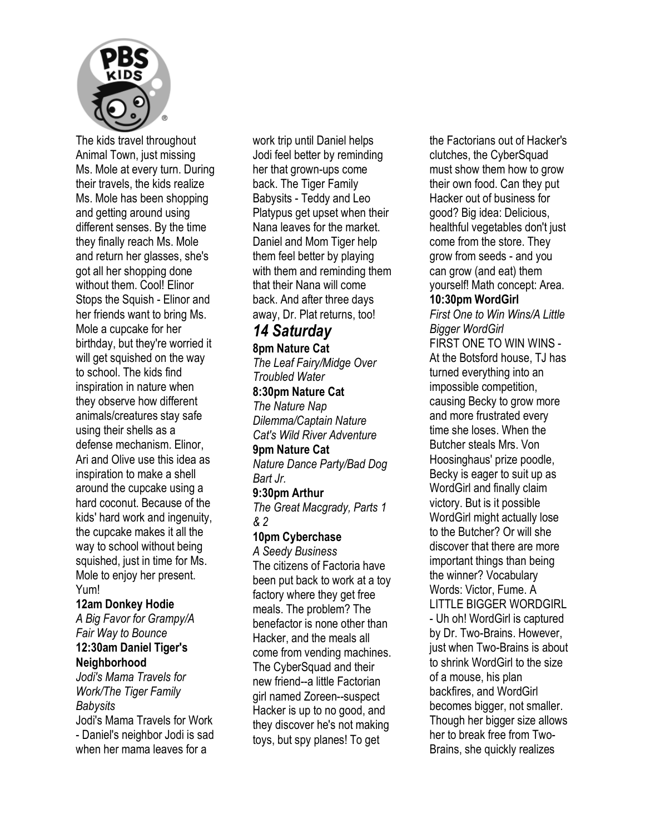

The kids travel throughout Animal Town, just missing Ms. Mole at every turn. During their travels, the kids realize Ms. Mole has been shopping and getting around using different senses. By the time they finally reach Ms. Mole and return her glasses, she's got all her shopping done without them. Cool! Elinor Stops the Squish - Elinor and her friends want to bring Ms. Mole a cupcake for her birthday, but they're worried it will get squished on the way to school. The kids find inspiration in nature when they observe how different animals/creatures stay safe using their shells as a defense mechanism. Elinor, Ari and Olive use this idea as inspiration to make a shell around the cupcake using a hard coconut. Because of the kids' hard work and ingenuity, the cupcake makes it all the way to school without being squished, just in time for Ms. Mole to enjoy her present. Yum!

#### **12am Donkey Hodie**  *A Big Favor for Grampy/A Fair Way to Bounce*  **12:30am Daniel Tiger's Neighborhood**

*Jodi's Mama Travels for Work/The Tiger Family Babysits*  Jodi's Mama Travels for Work - Daniel's neighbor Jodi is sad when her mama leaves for a

work trip until Daniel helps Jodi feel better by reminding her that grown-ups come back. The Tiger Family Babysits - Teddy and Leo Platypus get upset when their Nana leaves for the market. Daniel and Mom Tiger help them feel better by playing with them and reminding them that their Nana will come back. And after three days away, Dr. Plat returns, too!

## *14 Saturday*

**8pm Nature Cat**  *The Leaf Fairy/Midge Over Troubled Water*  **8:30pm Nature Cat**  *The Nature Nap* 

*Dilemma/Captain Nature Cat's Wild River Adventure* 

#### **9pm Nature Cat**

*Nature Dance Party/Bad Dog Bart Jr.* 

#### **9:30pm Arthur**

*The Great Macgrady, Parts 1 & 2* 

#### **10pm Cyberchase**

*A Seedy Business*  The citizens of Factoria have been put back to work at a toy factory where they get free meals. The problem? The benefactor is none other than Hacker, and the meals all come from vending machines. The CyberSquad and their new friend--a little Factorian girl named Zoreen--suspect Hacker is up to no good, and they discover he's not making toys, but spy planes! To get

the Factorians out of Hacker's clutches, the CyberSquad must show them how to grow their own food. Can they put Hacker out of business for good? Big idea: Delicious, healthful vegetables don't just come from the store. They grow from seeds - and you can grow (and eat) them yourself! Math concept: Area. **10:30pm WordGirl**  *First One to Win Wins/A Little Bigger WordGirl*  FIRST ONE TO WIN WINS - At the Botsford house, TJ has turned everything into an impossible competition, causing Becky to grow more and more frustrated every time she loses. When the Butcher steals Mrs. Von Hoosinghaus' prize poodle, Becky is eager to suit up as WordGirl and finally claim victory. But is it possible WordGirl might actually lose to the Butcher? Or will she discover that there are more important things than being the winner? Vocabulary Words: Victor, Fume. A LITTLE BIGGER WORDGIRL - Uh oh! WordGirl is captured by Dr. Two-Brains. However, just when Two-Brains is about to shrink WordGirl to the size of a mouse, his plan backfires, and WordGirl becomes bigger, not smaller. Though her bigger size allows her to break free from Two-Brains, she quickly realizes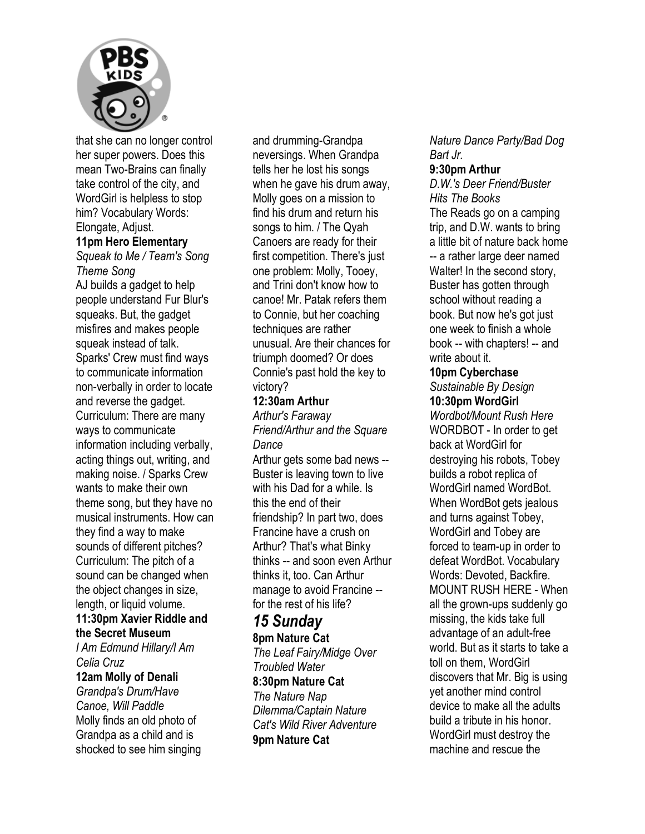

that she can no longer control her super powers. Does this mean Two-Brains can finally take control of the city, and WordGirl is helpless to stop him? Vocabulary Words:

Elongate, Adjust. **11pm Hero Elementary**  *Squeak to Me / Team's Song Theme Song*  AJ builds a gadget to help people understand Fur Blur's squeaks. But, the gadget misfires and makes people squeak instead of talk. Sparks' Crew must find ways to communicate information non-verbally in order to locate and reverse the gadget. Curriculum: There are many ways to communicate information including verbally, acting things out, writing, and making noise. / Sparks Crew wants to make their own theme song, but they have no musical instruments. How can they find a way to make sounds of different pitches? Curriculum: The pitch of a sound can be changed when the object changes in size, length, or liquid volume.

#### **11:30pm Xavier Riddle and the Secret Museum**

*I Am Edmund Hillary/I Am Celia Cruz* 

#### **12am Molly of Denali**

*Grandpa's Drum/Have Canoe, Will Paddle*  Molly finds an old photo of Grandpa as a child and is shocked to see him singing and drumming-Grandpa neversings. When Grandpa tells her he lost his songs when he gave his drum away, Molly goes on a mission to find his drum and return his songs to him. / The Qyah Canoers are ready for their first competition. There's just one problem: Molly, Tooey, and Trini don't know how to canoe! Mr. Patak refers them to Connie, but her coaching techniques are rather unusual. Are their chances for triumph doomed? Or does Connie's past hold the key to victory?

#### **12:30am Arthur**

*Arthur's Faraway Friend/Arthur and the Square Dance* 

Arthur gets some bad news -- Buster is leaving town to live with his Dad for a while. Is this the end of their friendship? In part two, does Francine have a crush on Arthur? That's what Binky thinks -- and soon even Arthur thinks it, too. Can Arthur manage to avoid Francine - for the rest of his life?

## *15 Sunday*

**8pm Nature Cat** 

*The Leaf Fairy/Midge Over Troubled Water*  **8:30pm Nature Cat**  *The Nature Nap* 

*Dilemma/Captain Nature Cat's Wild River Adventure*  **9pm Nature Cat** 

*Nature Dance Party/Bad Dog Bart Jr.* 

#### **9:30pm Arthur**

*D.W.'s Deer Friend/Buster Hits The Books*  The Reads go on a camping trip, and D.W. wants to bring a little bit of nature back home -- a rather large deer named Walter! In the second story, Buster has gotten through school without reading a book. But now he's got just one week to finish a whole book -- with chapters! -- and write about it.

#### **10pm Cyberchase**

*Sustainable By Design*  **10:30pm WordGirl** 

*Wordbot/Mount Rush Here*  WORDBOT - In order to get back at WordGirl for destroying his robots, Tobey builds a robot replica of WordGirl named WordBot. When WordBot gets jealous and turns against Tobey, WordGirl and Tobey are forced to team-up in order to defeat WordBot. Vocabulary Words: Devoted, Backfire. MOUNT RUSH HERE - When all the grown-ups suddenly go missing, the kids take full advantage of an adult-free world. But as it starts to take a toll on them, WordGirl discovers that Mr. Big is using yet another mind control device to make all the adults build a tribute in his honor. WordGirl must destroy the machine and rescue the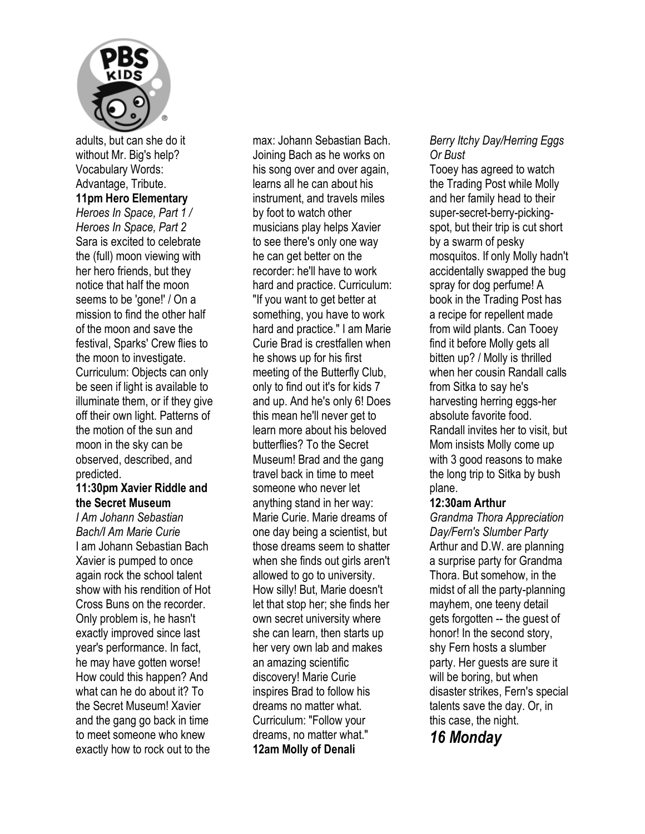

adults, but can she do it without Mr. Big's help? Vocabulary Words: Advantage, Tribute. **11pm Hero Elementary**  *Heroes In Space, Part 1 / Heroes In Space, Part 2*  Sara is excited to celebrate the (full) moon viewing with her hero friends, but they notice that half the moon seems to be 'gone!' / On a mission to find the other half of the moon and save the festival, Sparks' Crew flies to the moon to investigate. Curriculum: Objects can only be seen if light is available to illuminate them, or if they give off their own light. Patterns of the motion of the sun and moon in the sky can be observed, described, and predicted.

#### **11:30pm Xavier Riddle and the Secret Museum**

*I Am Johann Sebastian Bach/I Am Marie Curie*  I am Johann Sebastian Bach Xavier is pumped to once again rock the school talent show with his rendition of Hot Cross Buns on the recorder. Only problem is, he hasn't exactly improved since last year's performance. In fact, he may have gotten worse! How could this happen? And what can he do about it? To the Secret Museum! Xavier and the gang go back in time to meet someone who knew exactly how to rock out to the

max: Johann Sebastian Bach. Joining Bach as he works on his song over and over again, learns all he can about his instrument, and travels miles by foot to watch other musicians play helps Xavier to see there's only one way he can get better on the recorder: he'll have to work hard and practice. Curriculum: "If you want to get better at something, you have to work hard and practice." I am Marie Curie Brad is crestfallen when he shows up for his first meeting of the Butterfly Club, only to find out it's for kids 7 and up. And he's only 6! Does this mean he'll never get to learn more about his beloved butterflies? To the Secret Museum! Brad and the gang travel back in time to meet someone who never let anything stand in her way: Marie Curie. Marie dreams of one day being a scientist, but those dreams seem to shatter when she finds out girls aren't allowed to go to university. How silly! But, Marie doesn't let that stop her; she finds her own secret university where she can learn, then starts up her very own lab and makes an amazing scientific discovery! Marie Curie inspires Brad to follow his dreams no matter what. Curriculum: "Follow your dreams, no matter what." **12am Molly of Denali** 

#### *Berry Itchy Day/Herring Eggs Or Bust*

Tooey has agreed to watch the Trading Post while Molly and her family head to their super-secret-berry-pickingspot, but their trip is cut short by a swarm of pesky mosquitos. If only Molly hadn't accidentally swapped the bug spray for dog perfume! A book in the Trading Post has a recipe for repellent made from wild plants. Can Tooey find it before Molly gets all bitten up? / Molly is thrilled when her cousin Randall calls from Sitka to say he's harvesting herring eggs-her absolute favorite food. Randall invites her to visit, but Mom insists Molly come up with 3 good reasons to make the long trip to Sitka by bush plane.

#### **12:30am Arthur**

*Grandma Thora Appreciation Day/Fern's Slumber Party*  Arthur and D.W. are planning a surprise party for Grandma Thora. But somehow, in the midst of all the party-planning mayhem, one teeny detail gets forgotten -- the guest of honor! In the second story, shy Fern hosts a slumber party. Her guests are sure it will be boring, but when disaster strikes, Fern's special talents save the day. Or, in this case, the night.

*16 Monday*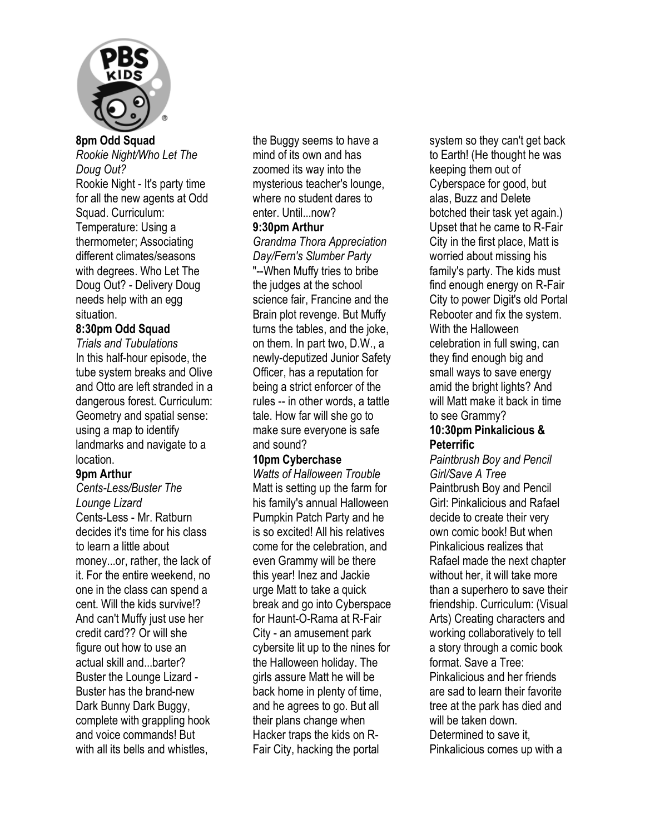

*Rookie Night/Who Let The Doug Out?*  Rookie Night - It's party time for all the new agents at Odd Squad. Curriculum: Temperature: Using a thermometer; Associating different climates/seasons with degrees. Who Let The Doug Out? - Delivery Doug needs help with an egg situation.

#### **8:30pm Odd Squad**

*Trials and Tubulations*  In this half-hour episode, the tube system breaks and Olive and Otto are left stranded in a dangerous forest. Curriculum: Geometry and spatial sense: using a map to identify landmarks and navigate to a location.

#### **9pm Arthur**

*Cents-Less/Buster The Lounge Lizard*  Cents-Less - Mr. Ratburn decides it's time for his class to learn a little about money...or, rather, the lack of it. For the entire weekend, no one in the class can spend a cent. Will the kids survive!? And can't Muffy just use her credit card?? Or will she figure out how to use an actual skill and...barter? Buster the Lounge Lizard - Buster has the brand-new Dark Bunny Dark Buggy, complete with grappling hook and voice commands! But with all its bells and whistles,

the Buggy seems to have a mind of its own and has zoomed its way into the mysterious teacher's lounge, where no student dares to enter. Until...now?

#### **9:30pm Arthur**

*Grandma Thora Appreciation Day/Fern's Slumber Party* 

"--When Muffy tries to bribe the judges at the school science fair, Francine and the Brain plot revenge. But Muffy turns the tables, and the joke, on them. In part two, D.W., a newly-deputized Junior Safety Officer, has a reputation for being a strict enforcer of the rules -- in other words, a tattle tale. How far will she go to make sure everyone is safe and sound?

#### **10pm Cyberchase**

*Watts of Halloween Trouble*  Matt is setting up the farm for his family's annual Halloween Pumpkin Patch Party and he is so excited! All his relatives come for the celebration, and even Grammy will be there this year! Inez and Jackie urge Matt to take a quick break and go into Cyberspace for Haunt-O-Rama at R-Fair City - an amusement park cybersite lit up to the nines for the Halloween holiday. The girls assure Matt he will be back home in plenty of time, and he agrees to go. But all their plans change when Hacker traps the kids on R-Fair City, hacking the portal

system so they can't get back to Earth! (He thought he was keeping them out of Cyberspace for good, but alas, Buzz and Delete botched their task yet again.) Upset that he came to R-Fair City in the first place, Matt is worried about missing his family's party. The kids must find enough energy on R-Fair City to power Digit's old Portal Rebooter and fix the system. With the Halloween celebration in full swing, can they find enough big and small ways to save energy amid the bright lights? And will Matt make it back in time to see Grammy?

#### **10:30pm Pinkalicious & Peterrific**

*Paintbrush Boy and Pencil Girl/Save A Tree*  Paintbrush Boy and Pencil Girl: Pinkalicious and Rafael decide to create their very own comic book! But when Pinkalicious realizes that Rafael made the next chapter without her, it will take more than a superhero to save their friendship. Curriculum: (Visual Arts) Creating characters and working collaboratively to tell a story through a comic book format. Save a Tree: Pinkalicious and her friends are sad to learn their favorite tree at the park has died and will be taken down Determined to save it, Pinkalicious comes up with a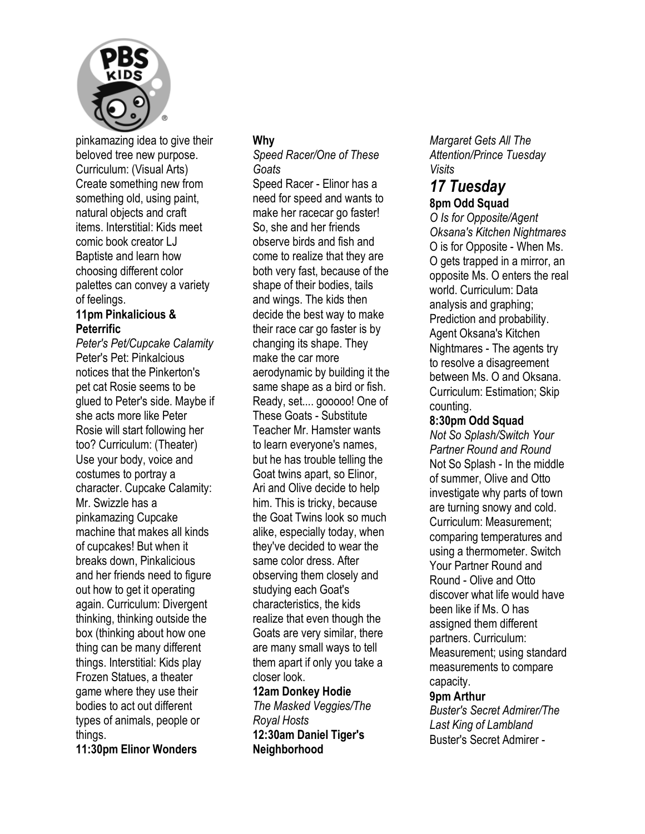

pinkamazing idea to give their beloved tree new purpose. Curriculum: (Visual Arts) Create something new from something old, using paint, natural objects and craft items. Interstitial: Kids meet comic book creator LJ Baptiste and learn how choosing different color palettes can convey a variety of feelings.

#### **11pm Pinkalicious & Peterrific**

*Peter's Pet/Cupcake Calamity*  Peter's Pet: Pinkalcious notices that the Pinkerton's pet cat Rosie seems to be glued to Peter's side. Maybe if she acts more like Peter Rosie will start following her too? Curriculum: (Theater) Use your body, voice and costumes to portray a character. Cupcake Calamity: Mr. Swizzle has a pinkamazing Cupcake machine that makes all kinds of cupcakes! But when it breaks down, Pinkalicious and her friends need to figure out how to get it operating again. Curriculum: Divergent thinking, thinking outside the box (thinking about how one thing can be many different things. Interstitial: Kids play Frozen Statues, a theater game where they use their bodies to act out different types of animals, people or things.

**11:30pm Elinor Wonders** 

#### **Why**

#### *Speed Racer/One of These Goats*

Speed Racer - Elinor has a need for speed and wants to make her racecar go faster! So, she and her friends observe birds and fish and come to realize that they are both very fast, because of the shape of their bodies, tails and wings. The kids then decide the best way to make their race car go faster is by changing its shape. They make the car more aerodynamic by building it the same shape as a bird or fish. Ready, set.... gooooo! One of These Goats - Substitute Teacher Mr. Hamster wants to learn everyone's names, but he has trouble telling the Goat twins apart, so Elinor, Ari and Olive decide to help him. This is tricky, because the Goat Twins look so much alike, especially today, when they've decided to wear the same color dress. After observing them closely and studying each Goat's characteristics, the kids realize that even though the Goats are very similar, there are many small ways to tell them apart if only you take a closer look.

**12am Donkey Hodie**  *The Masked Veggies/The Royal Hosts*  **12:30am Daniel Tiger's Neighborhood** 

*Margaret Gets All The Attention/Prince Tuesday Visits* 

## *17 Tuesday*  **8pm Odd Squad**

*O Is for Opposite/Agent Oksana's Kitchen Nightmares*  O is for Opposite - When Ms. O gets trapped in a mirror, an opposite Ms. O enters the real world. Curriculum: Data analysis and graphing; Prediction and probability. Agent Oksana's Kitchen Nightmares - The agents try to resolve a disagreement between Ms. O and Oksana. Curriculum: Estimation; Skip counting.

#### **8:30pm Odd Squad**

*Not So Splash/Switch Your Partner Round and Round*  Not So Splash - In the middle of summer, Olive and Otto investigate why parts of town are turning snowy and cold. Curriculum: Measurement; comparing temperatures and using a thermometer. Switch Your Partner Round and Round - Olive and Otto discover what life would have been like if Ms. O has assigned them different partners. Curriculum: Measurement; using standard measurements to compare capacity.

#### **9pm Arthur**

*Buster's Secret Admirer/The Last King of Lambland*  Buster's Secret Admirer -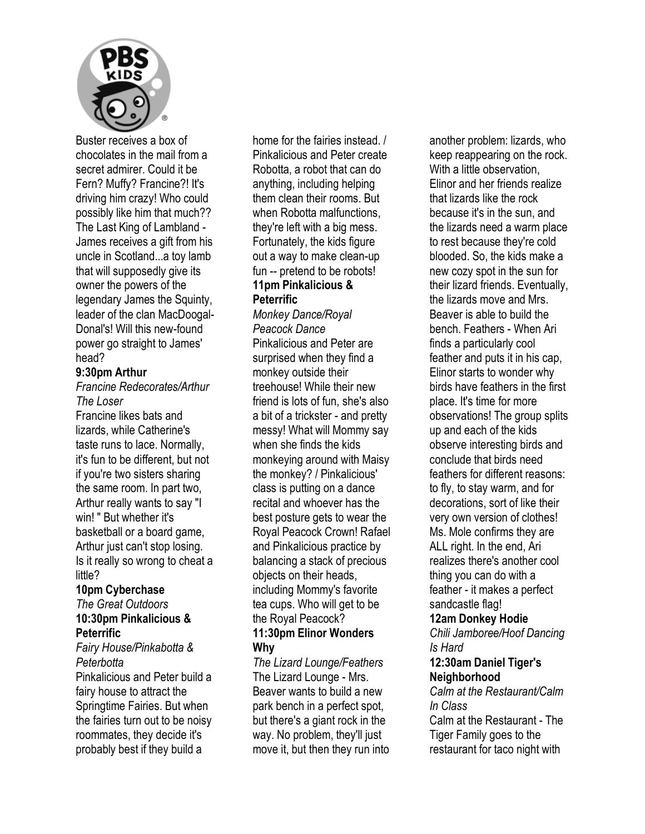

Buster receives a box of chocolates in the mail from a secret admirer. Could it be Fern? Muffy? Francine?! It's driving him crazy! Who could possibly like him that much?? The Last King of Lambland - James receives a gift from his uncle in Scotland...a toy lamb that will supposedly give its owner the powers of the legendary James the Squinty, leader of the clan MacDoogal-Donal's! Will this new-found power go straight to James' head?

#### **9:30pm Arthur**

*Francine Redecorates/Arthur The Loser* 

Francine likes bats and lizards, while Catherine's taste runs to lace. Normally, it's fun to be different, but not if you're two sisters sharing the same room. In part two, Arthur really wants to say "I win! " But whether it's basketball or a board game, Arthur just can't stop losing. Is it really so wrong to cheat a little?

#### **10pm Cyberchase**  *The Great Outdoors*  **10:30pm Pinkalicious & Peterrific**

*Fairy House/Pinkabotta & Peterbotta*  Pinkalicious and Peter build a fairy house to attract the Springtime Fairies. But when the fairies turn out to be noisy roommates, they decide it's probably best if they build a

home for the fairies instead. / Pinkalicious and Peter create Robotta, a robot that can do anything, including helping them clean their rooms. But when Robotta malfunctions. they're left with a big mess. Fortunately, the kids figure out a way to make clean-up fun -- pretend to be robots! **11pm Pinkalicious & Peterrific** 

*Monkey Dance/Royal Peacock Dance*  Pinkalicious and Peter are surprised when they find a monkey outside their treehouse! While their new friend is lots of fun, she's also a bit of a trickster - and pretty messy! What will Mommy say when she finds the kids monkeying around with Maisy the monkey? / Pinkalicious' class is putting on a dance recital and whoever has the best posture gets to wear the Royal Peacock Crown! Rafael and Pinkalicious practice by balancing a stack of precious objects on their heads, including Mommy's favorite tea cups. Who will get to be the Royal Peacock? **11:30pm Elinor Wonders Why** 

*The Lizard Lounge/Feathers*  The Lizard Lounge - Mrs. Beaver wants to build a new park bench in a perfect spot, but there's a giant rock in the way. No problem, they'll just move it, but then they run into another problem: lizards, who keep reappearing on the rock. With a little observation, Elinor and her friends realize that lizards like the rock because it's in the sun, and the lizards need a warm place to rest because they're cold blooded. So, the kids make a new cozy spot in the sun for their lizard friends. Eventually, the lizards move and Mrs. Beaver is able to build the bench. Feathers - When Ari finds a particularly cool feather and puts it in his cap, Elinor starts to wonder why birds have feathers in the first place. It's time for more observations! The group splits up and each of the kids observe interesting birds and conclude that birds need feathers for different reasons: to fly, to stay warm, and for decorations, sort of like their very own version of clothes! Ms. Mole confirms they are ALL right. In the end, Ari realizes there's another cool thing you can do with a feather - it makes a perfect sandcastle flag! **12am Donkey Hodie** 

*Chili Jamboree/Hoof Dancing Is Hard* 

#### **12:30am Daniel Tiger's Neighborhood**

*Calm at the Restaurant/Calm In Class*  Calm at the Restaurant - The Tiger Family goes to the restaurant for taco night with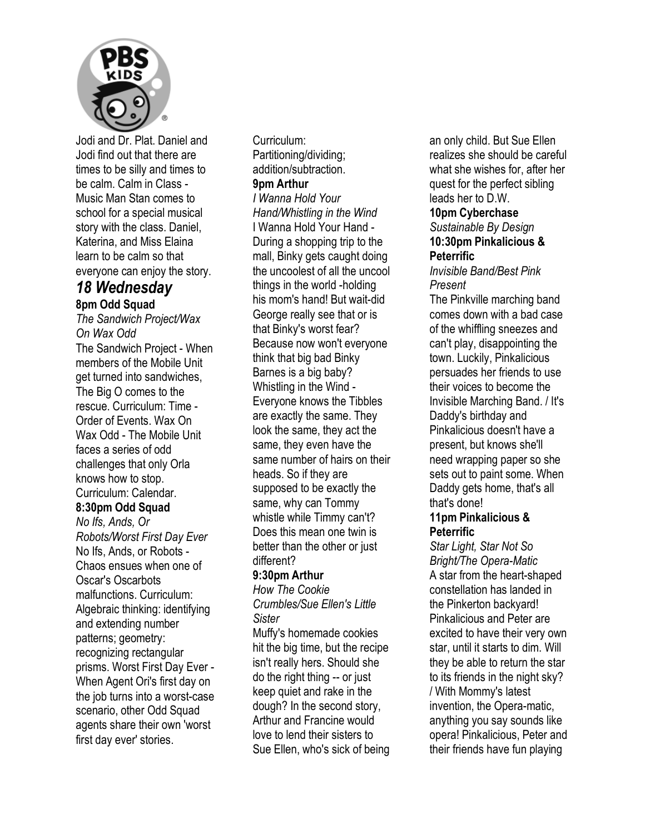

Jodi and Dr. Plat. Daniel and Jodi find out that there are times to be silly and times to be calm. Calm in Class - Music Man Stan comes to school for a special musical story with the class. Daniel, Katerina, and Miss Elaina learn to be calm so that everyone can enjoy the story.

#### *18 Wednesday*  **8pm Odd Squad**

*The Sandwich Project/Wax On Wax Odd*  The Sandwich Project - When members of the Mobile Unit get turned into sandwiches, The Big O comes to the rescue. Curriculum: Time - Order of Events. Wax On Wax Odd - The Mobile Unit faces a series of odd challenges that only Orla knows how to stop. Curriculum: Calendar. **8:30pm Odd Squad**  *No Ifs, Ands, Or Robots/Worst First Day Ever*  No Ifs, Ands, or Robots - Chaos ensues when one of Oscar's Oscarbots malfunctions. Curriculum: Algebraic thinking: identifying and extending number patterns; geometry: recognizing rectangular prisms. Worst First Day Ever -

When Agent Ori's first day on the job turns into a worst-case scenario, other Odd Squad agents share their own 'worst first day ever' stories.

Curriculum: Partitioning/dividing; addition/subtraction. **9pm Arthur** 

*I Wanna Hold Your Hand/Whistling in the Wind*  I Wanna Hold Your Hand - During a shopping trip to the mall, Binky gets caught doing the uncoolest of all the uncool things in the world -holding his mom's hand! But wait-did George really see that or is that Binky's worst fear? Because now won't everyone think that big bad Binky Barnes is a big baby? Whistling in the Wind - Everyone knows the Tibbles are exactly the same. They look the same, they act the same, they even have the same number of hairs on their heads. So if they are supposed to be exactly the same, why can Tommy whistle while Timmy can't? Does this mean one twin is better than the other or just different?

#### **9:30pm Arthur**

*How The Cookie Crumbles/Sue Ellen's Little Sister* 

Muffy's homemade cookies hit the big time, but the recipe isn't really hers. Should she do the right thing -- or just keep quiet and rake in the dough? In the second story, Arthur and Francine would love to lend their sisters to Sue Ellen, who's sick of being an only child. But Sue Ellen realizes she should be careful what she wishes for, after her quest for the perfect sibling leads her to D.W.

#### **10pm Cyberchase**

*Sustainable By Design*  **10:30pm Pinkalicious & Peterrific** 

#### *Invisible Band/Best Pink Present*

The Pinkville marching band comes down with a bad case of the whiffling sneezes and can't play, disappointing the town. Luckily, Pinkalicious persuades her friends to use their voices to become the Invisible Marching Band. / It's Daddy's birthday and Pinkalicious doesn't have a present, but knows she'll need wrapping paper so she sets out to paint some. When Daddy gets home, that's all that's done!

#### **11pm Pinkalicious & Peterrific**

*Star Light, Star Not So Bright/The Opera-Matic*  A star from the heart-shaped constellation has landed in the Pinkerton backyard! Pinkalicious and Peter are excited to have their very own star, until it starts to dim. Will they be able to return the star to its friends in the night sky? / With Mommy's latest invention, the Opera-matic, anything you say sounds like opera! Pinkalicious, Peter and their friends have fun playing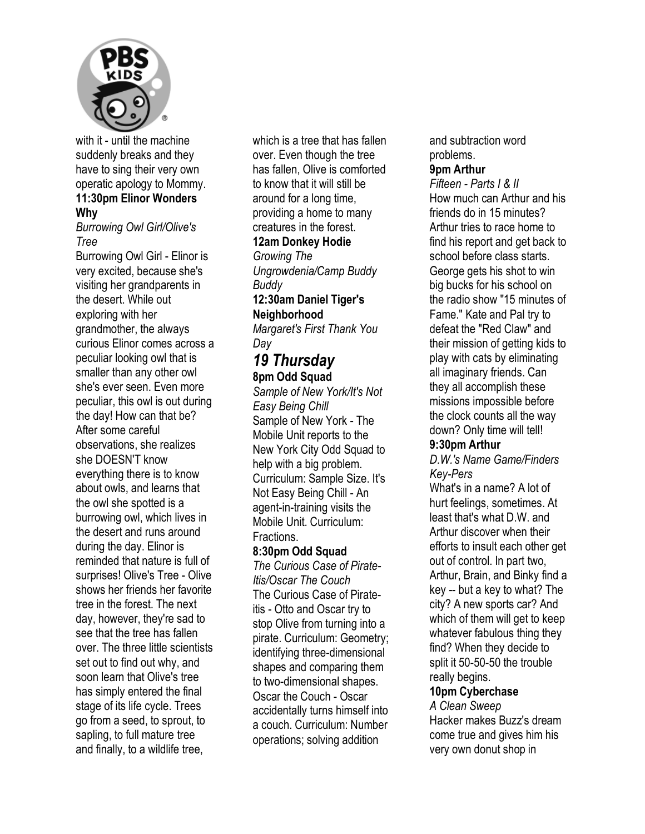

with it - until the machine suddenly breaks and they have to sing their very own operatic apology to Mommy. **11:30pm Elinor Wonders** 

#### **Why**

*Burrowing Owl Girl/Olive's Tree* 

Burrowing Owl Girl - Elinor is very excited, because she's visiting her grandparents in the desert. While out exploring with her grandmother, the always curious Elinor comes across a peculiar looking owl that is smaller than any other owl she's ever seen. Even more peculiar, this owl is out during the day! How can that be? After some careful observations, she realizes she DOESN'T know everything there is to know about owls, and learns that the owl she spotted is a burrowing owl, which lives in the desert and runs around during the day. Elinor is reminded that nature is full of surprises! Olive's Tree - Olive shows her friends her favorite tree in the forest. The next day, however, they're sad to see that the tree has fallen over. The three little scientists set out to find out why, and soon learn that Olive's tree has simply entered the final stage of its life cycle. Trees go from a seed, to sprout, to sapling, to full mature tree and finally, to a wildlife tree,

which is a tree that has fallen over. Even though the tree has fallen, Olive is comforted to know that it will still be around for a long time, providing a home to many creatures in the forest.

#### **12am Donkey Hodie**

*Growing The Ungrowdenia/Camp Buddy Buddy* 

## **12:30am Daniel Tiger's Neighborhood**

*Margaret's First Thank You Day* 

#### *19 Thursday*  **8pm Odd Squad**

*Sample of New York/It's Not Easy Being Chill*  Sample of New York - The Mobile Unit reports to the New York City Odd Squad to help with a big problem. Curriculum: Sample Size. It's Not Easy Being Chill - An agent-in-training visits the Mobile Unit. Curriculum: Fractions.

#### **8:30pm Odd Squad**

*The Curious Case of Pirate-Itis/Oscar The Couch*  The Curious Case of Pirateitis - Otto and Oscar try to stop Olive from turning into a pirate. Curriculum: Geometry; identifying three-dimensional shapes and comparing them to two-dimensional shapes. Oscar the Couch - Oscar accidentally turns himself into a couch. Curriculum: Number operations; solving addition

and subtraction word problems. **9pm Arthur** 

### *Fifteen - Parts I & II*

How much can Arthur and his friends do in 15 minutes? Arthur tries to race home to find his report and get back to school before class starts. George gets his shot to win big bucks for his school on the radio show "15 minutes of Fame." Kate and Pal try to defeat the "Red Claw" and their mission of getting kids to play with cats by eliminating all imaginary friends. Can they all accomplish these missions impossible before the clock counts all the way down? Only time will tell!

#### **9:30pm Arthur**

*D.W.'s Name Game/Finders Key-Pers* 

What's in a name? A lot of hurt feelings, sometimes. At least that's what D.W. and Arthur discover when their efforts to insult each other get out of control. In part two, Arthur, Brain, and Binky find a key -- but a key to what? The city? A new sports car? And which of them will get to keep whatever fabulous thing they find? When they decide to split it 50-50-50 the trouble really begins.

#### **10pm Cyberchase**

*A Clean Sweep*  Hacker makes Buzz's dream come true and gives him his very own donut shop in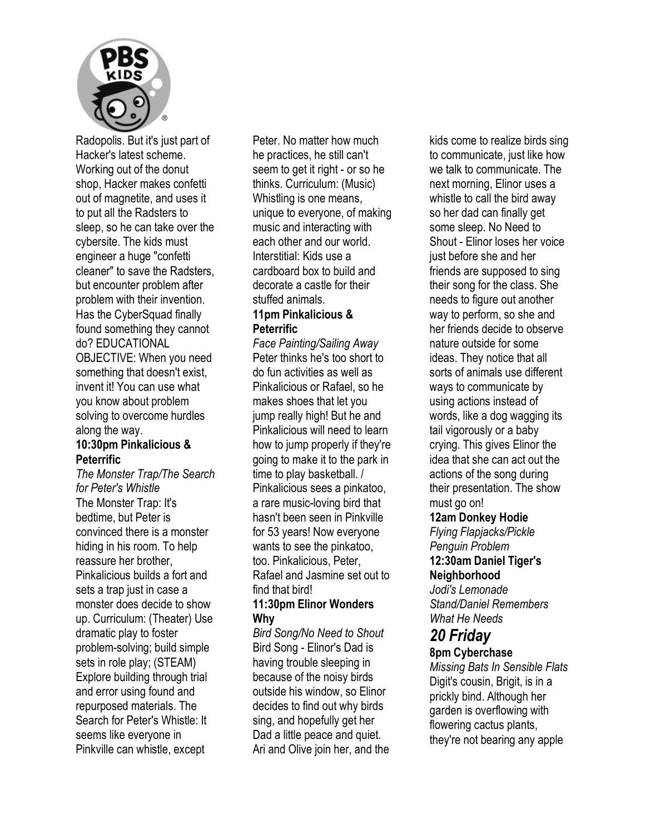

Radopolis. But it's just part of Hacker's latest scheme. Working out of the donut shop, Hacker makes confetti out of magnetite, and uses it to put all the Radsters to sleep, so he can take over the cybersite. The kids must engineer a huge "confetti cleaner" to save the Radsters, but encounter problem after problem with their invention. Has the CyberSquad finally found something they cannot do? EDUCATIONAL OBJECTIVE: When you need something that doesn't exist, invent it! You can use what you know about problem solving to overcome hurdles along the way.

#### **10:30pm Pinkalicious & Peterrific**

*The Monster Trap/The Search for Peter's Whistle*  The Monster Trap: It's bedtime, but Peter is convinced there is a monster hiding in his room. To help reassure her brother, Pinkalicious builds a fort and sets a trap just in case a monster does decide to show up. Curriculum: (Theater) Use dramatic play to foster problem-solving; build simple sets in role play; (STEAM) Explore building through trial and error using found and repurposed materials. The Search for Peter's Whistle: It seems like everyone in Pinkville can whistle, except

Peter. No matter how much he practices, he still can't seem to get it right - or so he thinks. Curriculum: (Music) Whistling is one means, unique to everyone, of making music and interacting with each other and our world. Interstitial: Kids use a cardboard box to build and decorate a castle for their stuffed animals.

#### **11pm Pinkalicious & Peterrific**

*Face Painting/Sailing Away*  Peter thinks he's too short to do fun activities as well as Pinkalicious or Rafael, so he makes shoes that let you jump really high! But he and Pinkalicious will need to learn how to jump properly if they're going to make it to the park in time to play basketball. / Pinkalicious sees a pinkatoo, a rare music-loving bird that hasn't been seen in Pinkville for 53 years! Now everyone wants to see the pinkatoo, too. Pinkalicious, Peter, Rafael and Jasmine set out to find that bird!

#### **11:30pm Elinor Wonders Why**

*Bird Song/No Need to Shout*  Bird Song - Elinor's Dad is having trouble sleeping in because of the noisy birds outside his window, so Elinor decides to find out why birds sing, and hopefully get her Dad a little peace and quiet. Ari and Olive join her, and the kids come to realize birds sing to communicate, just like how we talk to communicate. The next morning, Elinor uses a whistle to call the bird away so her dad can finally get some sleep. No Need to Shout - Elinor loses her voice just before she and her friends are supposed to sing their song for the class. She needs to figure out another way to perform, so she and her friends decide to observe nature outside for some ideas. They notice that all sorts of animals use different ways to communicate by using actions instead of words, like a dog wagging its tail vigorously or a baby crying. This gives Elinor the idea that she can act out the actions of the song during their presentation. The show must go on!

#### **12am Donkey Hodie**

*Flying Flapjacks/Pickle Penguin Problem* 

#### **12:30am Daniel Tiger's Neighborhood**

*Jodi's Lemonade Stand/Daniel Remembers What He Needs* 

## *20 Friday*

#### **8pm Cyberchase**

*Missing Bats In Sensible Flats*  Digit's cousin, Brigit, is in a prickly bind. Although her garden is overflowing with flowering cactus plants, they're not bearing any apple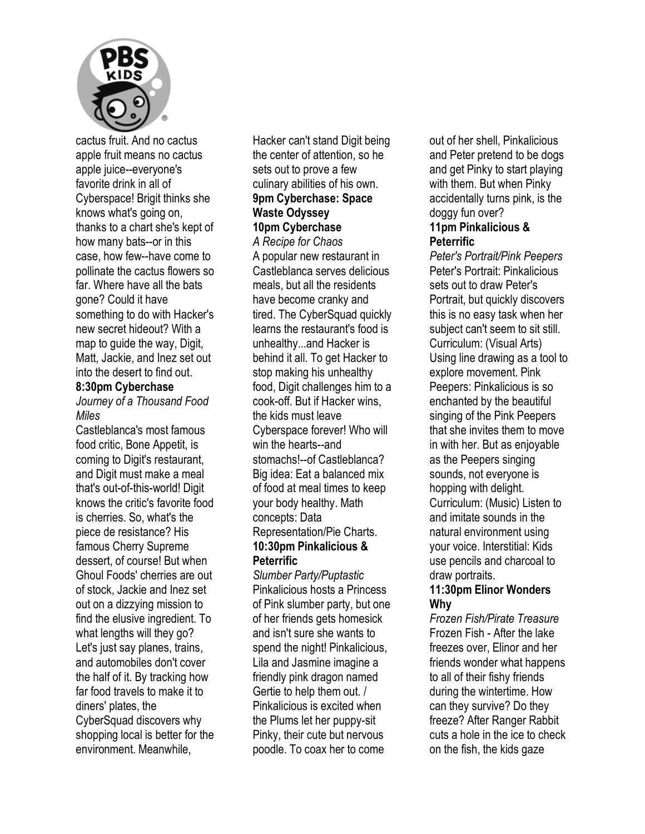

cactus fruit. And no cactus apple fruit means no cactus apple juice--everyone's favorite drink in all of Cyberspace! Brigit thinks she knows what's going on, thanks to a chart she's kept of how many bats--or in this case, how few--have come to pollinate the cactus flowers so far. Where have all the bats gone? Could it have something to do with Hacker's new secret hideout? With a map to guide the way, Digit, Matt, Jackie, and Inez set out into the desert to find out.

#### **8:30pm Cyberchase**

*Journey of a Thousand Food Miles* 

Castleblanca's most famous food critic, Bone Appetit, is coming to Digit's restaurant, and Digit must make a meal that's out-of-this-world! Digit knows the critic's favorite food is cherries. So, what's the piece de resistance? His famous Cherry Supreme dessert, of course! But when Ghoul Foods' cherries are out of stock, Jackie and Inez set out on a dizzying mission to find the elusive ingredient. To what lengths will they go? Let's just say planes, trains, and automobiles don't cover the half of it. By tracking how far food travels to make it to diners' plates, the CyberSquad discovers why shopping local is better for the environment. Meanwhile,

Hacker can't stand Digit being the center of attention, so he sets out to prove a few culinary abilities of his own. **9pm Cyberchase: Space Waste Odyssey 10pm Cyberchase** 

*A Recipe for Chaos*  A popular new restaurant in Castleblanca serves delicious meals, but all the residents have become cranky and tired. The CyberSquad quickly learns the restaurant's food is unhealthy...and Hacker is behind it all. To get Hacker to stop making his unhealthy food, Digit challenges him to a cook-off. But if Hacker wins, the kids must leave Cyberspace forever! Who will win the hearts--and stomachs!--of Castleblanca? Big idea: Eat a balanced mix of food at meal times to keep your body healthy. Math concepts: Data Representation/Pie Charts. **10:30pm Pinkalicious & Peterrific** 

*Slumber Party/Puptastic*  Pinkalicious hosts a Princess of Pink slumber party, but one of her friends gets homesick and isn't sure she wants to spend the night! Pinkalicious, Lila and Jasmine imagine a friendly pink dragon named Gertie to help them out. / Pinkalicious is excited when the Plums let her puppy-sit Pinky, their cute but nervous poodle. To coax her to come

out of her shell, Pinkalicious and Peter pretend to be dogs and get Pinky to start playing with them. But when Pinky accidentally turns pink, is the doggy fun over?

#### **11pm Pinkalicious & Peterrific**

*Peter's Portrait/Pink Peepers*  Peter's Portrait: Pinkalicious sets out to draw Peter's Portrait, but quickly discovers this is no easy task when her subject can't seem to sit still. Curriculum: (Visual Arts) Using line drawing as a tool to explore movement. Pink Peepers: Pinkalicious is so enchanted by the beautiful singing of the Pink Peepers that she invites them to move in with her. But as enjoyable as the Peepers singing sounds, not everyone is hopping with delight. Curriculum: (Music) Listen to and imitate sounds in the natural environment using your voice. Interstitial: Kids use pencils and charcoal to draw portraits.

#### **11:30pm Elinor Wonders Why**

*Frozen Fish/Pirate Treasure*  Frozen Fish - After the lake freezes over, Elinor and her friends wonder what happens to all of their fishy friends during the wintertime. How can they survive? Do they freeze? After Ranger Rabbit cuts a hole in the ice to check on the fish, the kids gaze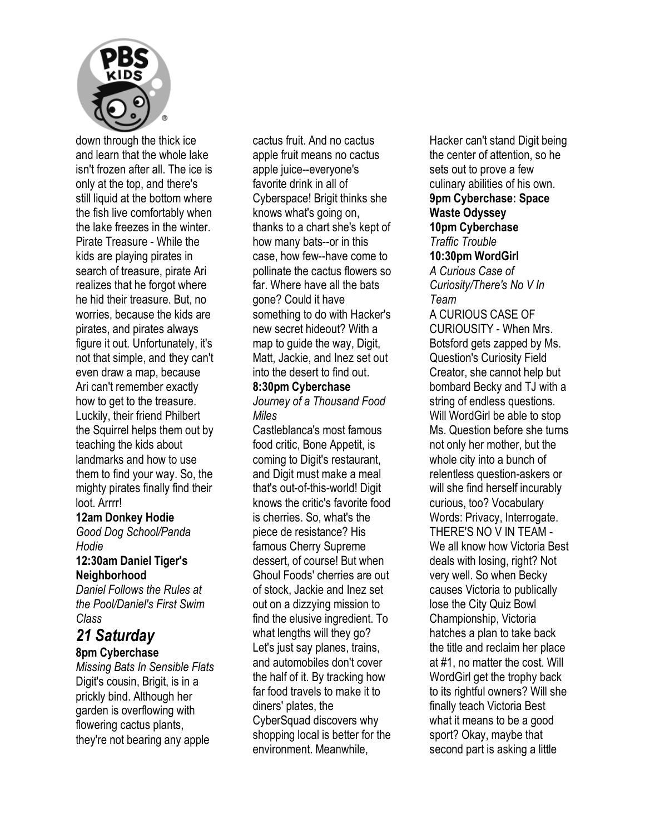

down through the thick ice and learn that the whole lake isn't frozen after all. The ice is only at the top, and there's still liquid at the bottom where the fish live comfortably when the lake freezes in the winter. Pirate Treasure - While the kids are playing pirates in search of treasure, pirate Ari realizes that he forgot where he hid their treasure. But, no worries, because the kids are pirates, and pirates always figure it out. Unfortunately, it's not that simple, and they can't even draw a map, because Ari can't remember exactly how to get to the treasure. Luckily, their friend Philbert the Squirrel helps them out by teaching the kids about landmarks and how to use them to find your way. So, the mighty pirates finally find their loot. Arrrr!

#### **12am Donkey Hodie**

*Good Dog School/Panda Hodie* 

#### **12:30am Daniel Tiger's Neighborhood**

*Daniel Follows the Rules at the Pool/Daniel's First Swim Class* 

## *21 Saturday*

## **8pm Cyberchase**

*Missing Bats In Sensible Flats*  Digit's cousin, Brigit, is in a prickly bind. Although her garden is overflowing with flowering cactus plants, they're not bearing any apple

cactus fruit. And no cactus apple fruit means no cactus apple juice--everyone's favorite drink in all of Cyberspace! Brigit thinks she knows what's going on, thanks to a chart she's kept of how many bats--or in this case, how few--have come to pollinate the cactus flowers so far. Where have all the bats gone? Could it have something to do with Hacker's new secret hideout? With a map to guide the way, Digit, Matt, Jackie, and Inez set out into the desert to find out.

#### **8:30pm Cyberchase**

*Journey of a Thousand Food Miles* 

Castleblanca's most famous food critic, Bone Appetit, is coming to Digit's restaurant, and Digit must make a meal that's out-of-this-world! Digit knows the critic's favorite food is cherries. So, what's the piece de resistance? His famous Cherry Supreme dessert, of course! But when Ghoul Foods' cherries are out of stock, Jackie and Inez set out on a dizzying mission to find the elusive ingredient. To what lengths will they go? Let's just say planes, trains, and automobiles don't cover the half of it. By tracking how far food travels to make it to diners' plates, the CyberSquad discovers why shopping local is better for the environment. Meanwhile,

Hacker can't stand Digit being the center of attention, so he sets out to prove a few culinary abilities of his own. **9pm Cyberchase: Space Waste Odyssey 10pm Cyberchase**  *Traffic Trouble*  **10:30pm WordGirl**  *A Curious Case of Curiosity/There's No V In Team*  A CURIOUS CASE OF CURIOUSITY - When Mrs. Botsford gets zapped by Ms. Question's Curiosity Field Creator, she cannot help but bombard Becky and TJ with a string of endless questions. Will WordGirl be able to stop Ms. Question before she turns not only her mother, but the whole city into a bunch of relentless question-askers or will she find herself incurably curious, too? Vocabulary Words: Privacy, Interrogate. THERE'S NO V IN TEAM - We all know how Victoria Best deals with losing, right? Not very well. So when Becky causes Victoria to publically lose the City Quiz Bowl Championship, Victoria hatches a plan to take back the title and reclaim her place at #1, no matter the cost. Will WordGirl get the trophy back to its rightful owners? Will she finally teach Victoria Best what it means to be a good sport? Okay, maybe that second part is asking a little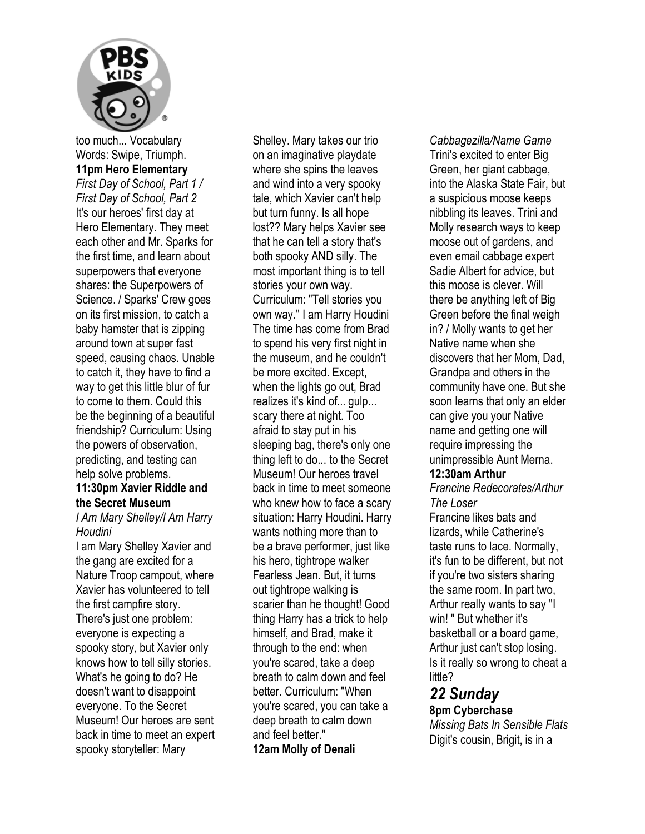

too much... Vocabulary Words: Swipe, Triumph. **11pm Hero Elementary**  *First Day of School, Part 1 / First Day of School, Part 2*  It's our heroes' first day at Hero Elementary. They meet each other and Mr. Sparks for the first time, and learn about superpowers that everyone shares: the Superpowers of Science. / Sparks' Crew goes on its first mission, to catch a baby hamster that is zipping around town at super fast speed, causing chaos. Unable to catch it, they have to find a way to get this little blur of fur to come to them. Could this be the beginning of a beautiful friendship? Curriculum: Using the powers of observation, predicting, and testing can help solve problems.

#### **11:30pm Xavier Riddle and the Secret Museum**

#### *I Am Mary Shelley/I Am Harry Houdini*

I am Mary Shelley Xavier and the gang are excited for a Nature Troop campout, where Xavier has volunteered to tell the first campfire story. There's just one problem: everyone is expecting a spooky story, but Xavier only knows how to tell silly stories. What's he going to do? He doesn't want to disappoint everyone. To the Secret Museum! Our heroes are sent back in time to meet an expert spooky storyteller: Mary

Shelley. Mary takes our trio on an imaginative playdate where she spins the leaves and wind into a very spooky tale, which Xavier can't help but turn funny. Is all hope lost?? Mary helps Xavier see that he can tell a story that's both spooky AND silly. The most important thing is to tell stories your own way. Curriculum: "Tell stories you own way." I am Harry Houdini The time has come from Brad to spend his very first night in the museum, and he couldn't be more excited. Except, when the lights go out, Brad realizes it's kind of... gulp... scary there at night. Too afraid to stay put in his sleeping bag, there's only one thing left to do... to the Secret Museum! Our heroes travel back in time to meet someone who knew how to face a scary situation: Harry Houdini. Harry wants nothing more than to be a brave performer, just like his hero, tightrope walker Fearless Jean. But, it turns out tightrope walking is scarier than he thought! Good thing Harry has a trick to help himself, and Brad, make it through to the end: when you're scared, take a deep breath to calm down and feel better. Curriculum: "When you're scared, you can take a deep breath to calm down and feel better." **12am Molly of Denali** 

*Cabbagezilla/Name Game*  Trini's excited to enter Big Green, her giant cabbage, into the Alaska State Fair, but a suspicious moose keeps nibbling its leaves. Trini and Molly research ways to keep moose out of gardens, and even email cabbage expert Sadie Albert for advice, but this moose is clever. Will there be anything left of Big Green before the final weigh in? / Molly wants to get her Native name when she discovers that her Mom, Dad, Grandpa and others in the community have one. But she soon learns that only an elder can give you your Native name and getting one will require impressing the unimpressible Aunt Merna. **12:30am Arthur**  *Francine Redecorates/Arthur The Loser* 

Francine likes bats and lizards, while Catherine's taste runs to lace. Normally, it's fun to be different, but not if you're two sisters sharing the same room. In part two, Arthur really wants to say "I win! " But whether it's basketball or a board game, Arthur just can't stop losing. Is it really so wrong to cheat a little?

## *22 Sunday*

## **8pm Cyberchase**

*Missing Bats In Sensible Flats*  Digit's cousin, Brigit, is in a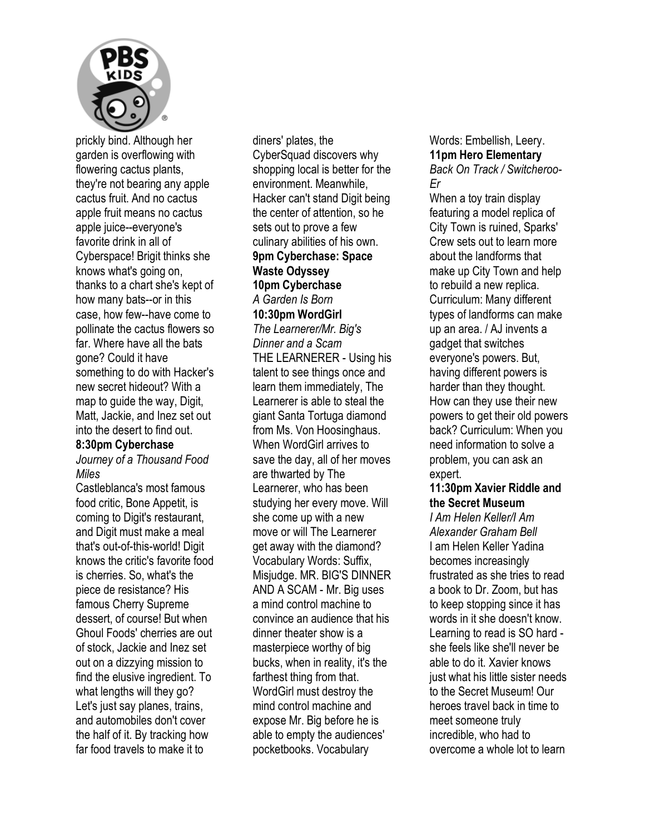

prickly bind. Although her garden is overflowing with flowering cactus plants, they're not bearing any apple cactus fruit. And no cactus apple fruit means no cactus apple juice--everyone's favorite drink in all of Cyberspace! Brigit thinks she knows what's going on, thanks to a chart she's kept of how many bats--or in this case, how few--have come to pollinate the cactus flowers so far. Where have all the bats gone? Could it have something to do with Hacker's new secret hideout? With a map to guide the way, Digit, Matt, Jackie, and Inez set out into the desert to find out.

#### **8:30pm Cyberchase**

*Journey of a Thousand Food Miles* 

Castleblanca's most famous food critic, Bone Appetit, is coming to Digit's restaurant, and Digit must make a meal that's out-of-this-world! Digit knows the critic's favorite food is cherries. So, what's the piece de resistance? His famous Cherry Supreme dessert, of course! But when Ghoul Foods' cherries are out of stock, Jackie and Inez set out on a dizzying mission to find the elusive ingredient. To what lengths will they go? Let's just say planes, trains, and automobiles don't cover the half of it. By tracking how far food travels to make it to

diners' plates, the CyberSquad discovers why shopping local is better for the environment. Meanwhile, Hacker can't stand Digit being the center of attention, so he sets out to prove a few culinary abilities of his own. **9pm Cyberchase: Space Waste Odyssey 10pm Cyberchase**  *A Garden Is Born*  **10:30pm WordGirl**  *The Learnerer/Mr. Big's Dinner and a Scam*  THE LEARNERER - Using his talent to see things once and learn them immediately, The Learnerer is able to steal the giant Santa Tortuga diamond from Ms. Von Hoosinghaus. When WordGirl arrives to save the day, all of her moves are thwarted by The Learnerer, who has been studying her every move. Will she come up with a new move or will The Learnerer get away with the diamond? Vocabulary Words: Suffix, Misjudge. MR. BIG'S DINNER AND A SCAM - Mr. Big uses a mind control machine to convince an audience that his dinner theater show is a masterpiece worthy of big bucks, when in reality, it's the farthest thing from that. WordGirl must destroy the mind control machine and expose Mr. Big before he is able to empty the audiences' pocketbooks. Vocabulary

Words: Embellish, Leery. **11pm Hero Elementary**  *Back On Track / Switcheroo-Er* 

When a toy train display featuring a model replica of City Town is ruined, Sparks' Crew sets out to learn more about the landforms that make up City Town and help to rebuild a new replica. Curriculum: Many different types of landforms can make up an area. / AJ invents a gadget that switches everyone's powers. But, having different powers is harder than they thought. How can they use their new powers to get their old powers back? Curriculum: When you need information to solve a problem, you can ask an expert.

#### **11:30pm Xavier Riddle and the Secret Museum**

*I Am Helen Keller/I Am Alexander Graham Bell*  I am Helen Keller Yadina becomes increasingly frustrated as she tries to read a book to Dr. Zoom, but has to keep stopping since it has words in it she doesn't know. Learning to read is SO hard she feels like she'll never be able to do it. Xavier knows just what his little sister needs to the Secret Museum! Our heroes travel back in time to meet someone truly incredible, who had to overcome a whole lot to learn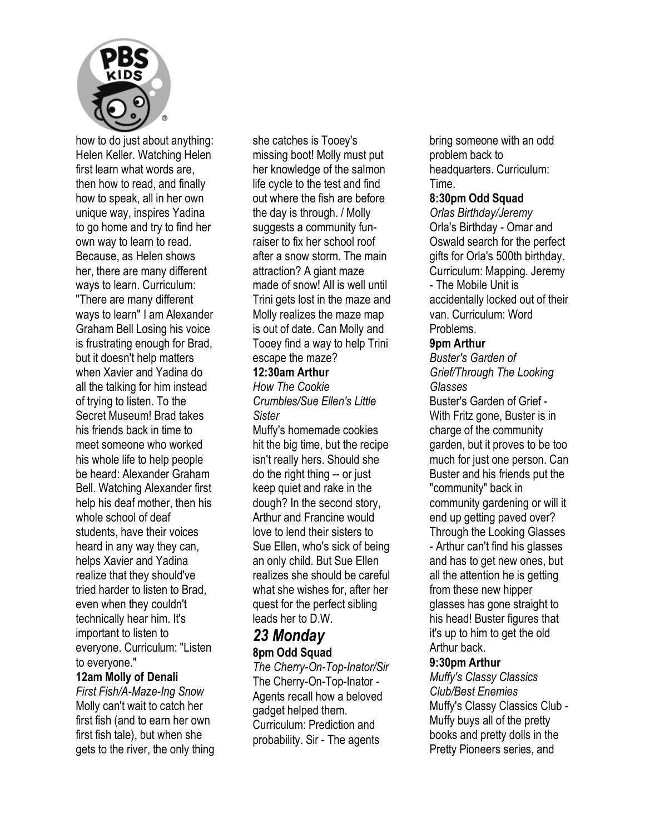

how to do just about anything: Helen Keller. Watching Helen first learn what words are, then how to read, and finally how to speak, all in her own unique way, inspires Yadina to go home and try to find her own way to learn to read. Because, as Helen shows her, there are many different ways to learn. Curriculum: "There are many different ways to learn" I am Alexander Graham Bell Losing his voice is frustrating enough for Brad, but it doesn't help matters when Xavier and Yadina do all the talking for him instead of trying to listen. To the Secret Museum! Brad takes his friends back in time to meet someone who worked his whole life to help people be heard: Alexander Graham Bell. Watching Alexander first help his deaf mother, then his whole school of deaf students, have their voices heard in any way they can, helps Xavier and Yadina realize that they should've tried harder to listen to Brad, even when they couldn't technically hear him. It's important to listen to everyone. Curriculum: "Listen to everyone."

#### **12am Molly of Denali**

*First Fish/A-Maze-Ing Snow*  Molly can't wait to catch her first fish (and to earn her own first fish tale), but when she gets to the river, the only thing she catches is Tooey's missing boot! Molly must put her knowledge of the salmon life cycle to the test and find out where the fish are before the day is through. / Molly suggests a community funraiser to fix her school roof after a snow storm. The main attraction? A giant maze made of snow! All is well until Trini gets lost in the maze and Molly realizes the maze map is out of date. Can Molly and Tooey find a way to help Trini escape the maze?

#### **12:30am Arthur**

*How The Cookie Crumbles/Sue Ellen's Little Sister* 

Muffy's homemade cookies hit the big time, but the recipe isn't really hers. Should she do the right thing -- or just keep quiet and rake in the dough? In the second story, Arthur and Francine would love to lend their sisters to Sue Ellen, who's sick of being an only child. But Sue Ellen realizes she should be careful what she wishes for, after her quest for the perfect sibling leads her to D.W.

### *23 Monday*  **8pm Odd Squad**

*The Cherry-On-Top-Inator/Sir*  The Cherry-On-Top-Inator - Agents recall how a beloved gadget helped them. Curriculum: Prediction and probability. Sir - The agents

bring someone with an odd problem back to headquarters. Curriculum: Time.

#### **8:30pm Odd Squad**

*Orlas Birthday/Jeremy*  Orla's Birthday - Omar and Oswald search for the perfect gifts for Orla's 500th birthday. Curriculum: Mapping. Jeremy - The Mobile Unit is accidentally locked out of their van. Curriculum: Word Problems.

#### **9pm Arthur**

*Buster's Garden of Grief/Through The Looking Glasses* 

Buster's Garden of Grief - With Fritz gone, Buster is in charge of the community garden, but it proves to be too much for just one person. Can Buster and his friends put the "community" back in community gardening or will it end up getting paved over? Through the Looking Glasses - Arthur can't find his glasses and has to get new ones, but all the attention he is getting from these new hipper glasses has gone straight to his head! Buster figures that it's up to him to get the old Arthur back.

#### **9:30pm Arthur**

*Muffy's Classy Classics Club/Best Enemies*  Muffy's Classy Classics Club - Muffy buys all of the pretty books and pretty dolls in the Pretty Pioneers series, and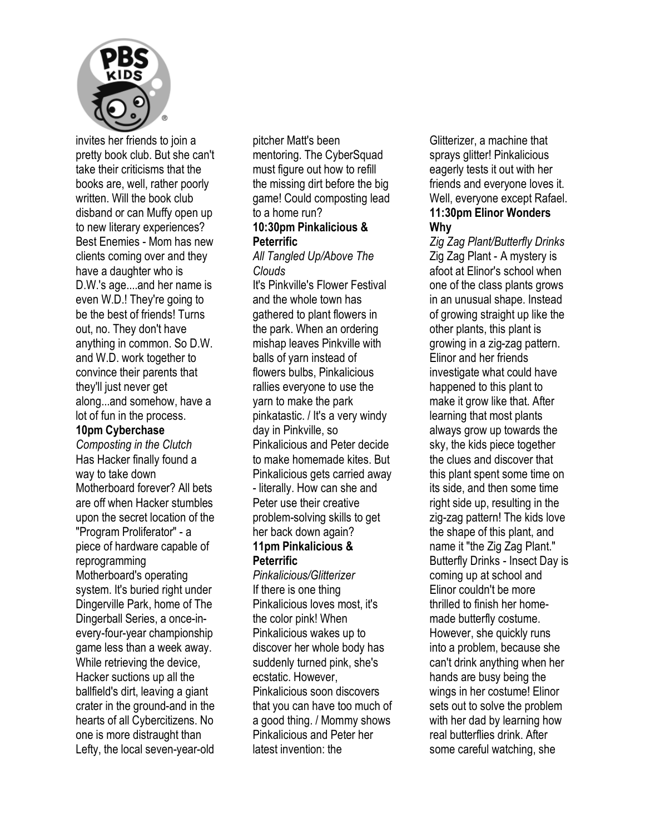

invites her friends to join a pretty book club. But she can't take their criticisms that the books are, well, rather poorly written. Will the book club disband or can Muffy open up to new literary experiences? Best Enemies - Mom has new clients coming over and they have a daughter who is D.W.'s age....and her name is even W.D.! They're going to be the best of friends! Turns out, no. They don't have anything in common. So D.W. and W.D. work together to convince their parents that they'll just never get along...and somehow, have a lot of fun in the process.

#### **10pm Cyberchase**

*Composting in the Clutch*  Has Hacker finally found a way to take down Motherboard forever? All bets are off when Hacker stumbles upon the secret location of the "Program Proliferator" - a piece of hardware capable of reprogramming Motherboard's operating system. It's buried right under Dingerville Park, home of The Dingerball Series, a once-inevery-four-year championship game less than a week away. While retrieving the device, Hacker suctions up all the ballfield's dirt, leaving a giant crater in the ground-and in the hearts of all Cybercitizens. No one is more distraught than Lefty, the local seven-year-old

pitcher Matt's been mentoring. The CyberSquad must figure out how to refill the missing dirt before the big game! Could composting lead to a home run?

#### **10:30pm Pinkalicious & Peterrific**

*All Tangled Up/Above The Clouds* 

It's Pinkville's Flower Festival and the whole town has gathered to plant flowers in the park. When an ordering mishap leaves Pinkville with balls of yarn instead of flowers bulbs, Pinkalicious rallies everyone to use the yarn to make the park pinkatastic. / It's a very windy day in Pinkville, so Pinkalicious and Peter decide to make homemade kites. But Pinkalicious gets carried away - literally. How can she and Peter use their creative problem-solving skills to get her back down again? **11pm Pinkalicious & Peterrific** 

*Pinkalicious/Glitterizer*  If there is one thing Pinkalicious loves most, it's the color pink! When Pinkalicious wakes up to discover her whole body has suddenly turned pink, she's ecstatic. However, Pinkalicious soon discovers that you can have too much of a good thing. / Mommy shows Pinkalicious and Peter her latest invention: the

Glitterizer, a machine that sprays glitter! Pinkalicious eagerly tests it out with her friends and everyone loves it. Well, everyone except Rafael. **11:30pm Elinor Wonders Why** 

*Zig Zag Plant/Butterfly Drinks*  Zig Zag Plant - A mystery is afoot at Elinor's school when one of the class plants grows in an unusual shape. Instead of growing straight up like the other plants, this plant is growing in a zig-zag pattern. Elinor and her friends investigate what could have happened to this plant to make it grow like that. After learning that most plants always grow up towards the sky, the kids piece together the clues and discover that this plant spent some time on its side, and then some time right side up, resulting in the zig-zag pattern! The kids love the shape of this plant, and name it "the Zig Zag Plant." Butterfly Drinks - Insect Day is coming up at school and Elinor couldn't be more thrilled to finish her homemade butterfly costume. However, she quickly runs into a problem, because she can't drink anything when her hands are busy being the wings in her costume! Elinor sets out to solve the problem with her dad by learning how real butterflies drink. After some careful watching, she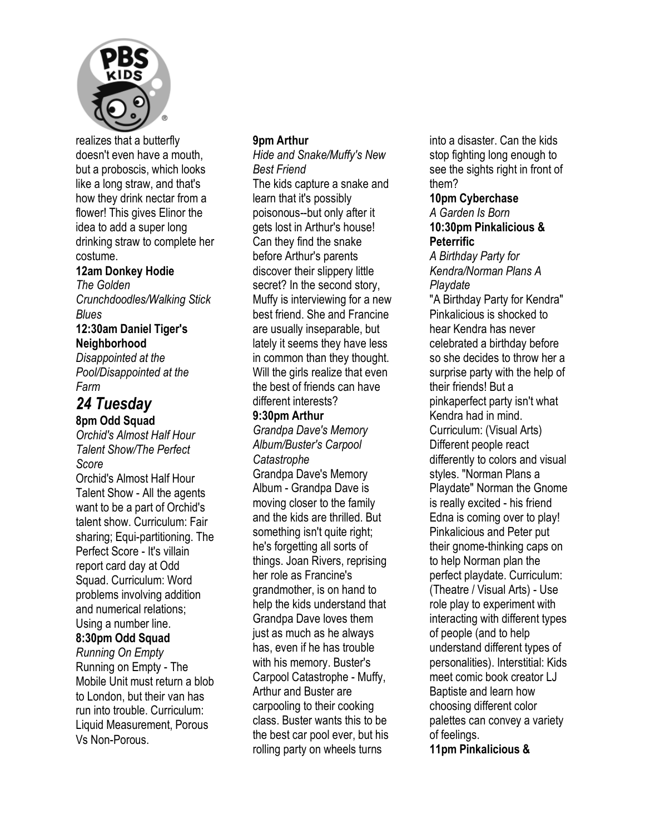

realizes that a butterfly doesn't even have a mouth, but a proboscis, which looks like a long straw, and that's how they drink nectar from a flower! This gives Elinor the idea to add a super long drinking straw to complete her costume.

#### **12am Donkey Hodie**

*The Golden Crunchdoodles/Walking Stick Blues* 

#### **12:30am Daniel Tiger's Neighborhood**

*Disappointed at the Pool/Disappointed at the Farm* 

## *24 Tuesday*  **8pm Odd Squad**

*Orchid's Almost Half Hour Talent Show/The Perfect Score* 

Orchid's Almost Half Hour Talent Show - All the agents want to be a part of Orchid's talent show. Curriculum: Fair sharing; Equi-partitioning. The Perfect Score - It's villain report card day at Odd Squad. Curriculum: Word problems involving addition and numerical relations; Using a number line. **8:30pm Odd Squad** 

*Running On Empty*  Running on Empty - The Mobile Unit must return a blob to London, but their van has run into trouble. Curriculum: Liquid Measurement, Porous Vs Non-Porous.

#### **9pm Arthur**

*Hide and Snake/Muffy's New Best Friend*  The kids capture a snake and learn that it's possibly poisonous--but only after it gets lost in Arthur's house! Can they find the snake before Arthur's parents discover their slippery little secret? In the second story, Muffy is interviewing for a new best friend. She and Francine are usually inseparable, but lately it seems they have less in common than they thought. Will the girls realize that even the best of friends can have different interests?

#### **9:30pm Arthur**

*Grandpa Dave's Memory Album/Buster's Carpool Catastrophe*  Grandpa Dave's Memory Album - Grandpa Dave is moving closer to the family and the kids are thrilled. But something isn't quite right; he's forgetting all sorts of things. Joan Rivers, reprising her role as Francine's grandmother, is on hand to help the kids understand that Grandpa Dave loves them just as much as he always has, even if he has trouble with his memory. Buster's Carpool Catastrophe - Muffy, Arthur and Buster are carpooling to their cooking class. Buster wants this to be the best car pool ever, but his rolling party on wheels turns

into a disaster. Can the kids stop fighting long enough to see the sights right in front of them?

#### **10pm Cyberchase**  *A Garden Is Born*  **10:30pm Pinkalicious &**

**Peterrific**  *A Birthday Party for Kendra/Norman Plans A Playdate*  "A Birthday Party for Kendra" Pinkalicious is shocked to hear Kendra has never celebrated a birthday before so she decides to throw her a surprise party with the help of their friends! But a pinkaperfect party isn't what Kendra had in mind. Curriculum: (Visual Arts) Different people react differently to colors and visual styles. "Norman Plans a Playdate" Norman the Gnome is really excited - his friend Edna is coming over to play! Pinkalicious and Peter put their gnome-thinking caps on to help Norman plan the perfect playdate. Curriculum: (Theatre / Visual Arts) - Use role play to experiment with interacting with different types of people (and to help understand different types of personalities). Interstitial: Kids meet comic book creator LJ Baptiste and learn how choosing different color palettes can convey a variety of feelings.

**11pm Pinkalicious &**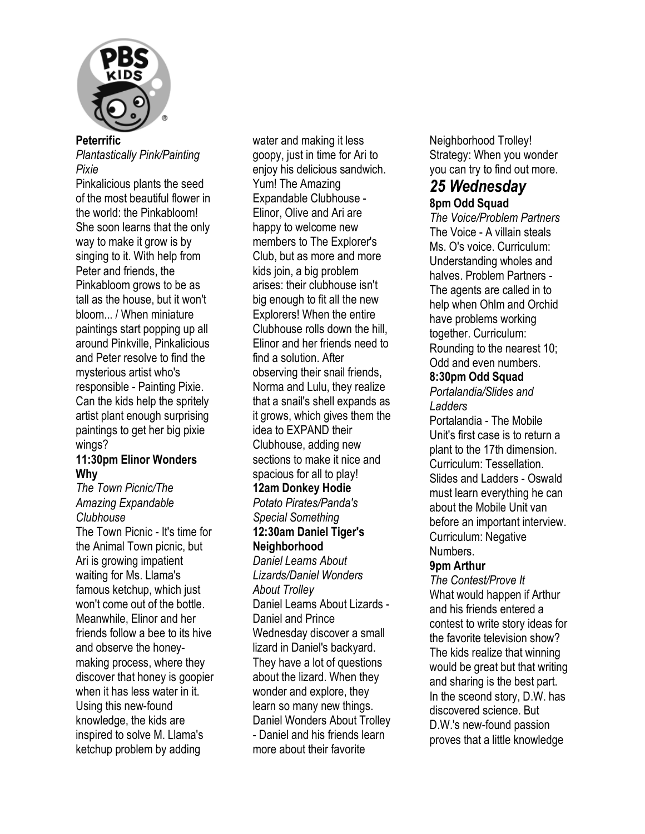

#### **Peterrific**

*Plantastically Pink/Painting Pixie* 

Pinkalicious plants the seed of the most beautiful flower in the world: the Pinkabloom! She soon learns that the only way to make it grow is by singing to it. With help from Peter and friends, the Pinkabloom grows to be as tall as the house, but it won't bloom... / When miniature paintings start popping up all around Pinkville, Pinkalicious and Peter resolve to find the mysterious artist who's responsible - Painting Pixie. Can the kids help the spritely artist plant enough surprising paintings to get her big pixie wings?

#### **11:30pm Elinor Wonders Why**

*The Town Picnic/The Amazing Expandable Clubhouse* 

The Town Picnic - It's time for the Animal Town picnic, but Ari is growing impatient waiting for Ms. Llama's famous ketchup, which just won't come out of the bottle. Meanwhile, Elinor and her friends follow a bee to its hive and observe the honeymaking process, where they discover that honey is goopier when it has less water in it. Using this new-found knowledge, the kids are inspired to solve M. Llama's ketchup problem by adding

water and making it less goopy, just in time for Ari to enjoy his delicious sandwich. Yum! The Amazing Expandable Clubhouse - Elinor, Olive and Ari are happy to welcome new members to The Explorer's Club, but as more and more kids join, a big problem arises: their clubhouse isn't big enough to fit all the new Explorers! When the entire Clubhouse rolls down the hill, Elinor and her friends need to find a solution. After observing their snail friends, Norma and Lulu, they realize that a snail's shell expands as it grows, which gives them the idea to EXPAND their Clubhouse, adding new sections to make it nice and spacious for all to play! **12am Donkey Hodie**  *Potato Pirates/Panda's Special Something*  **12:30am Daniel Tiger's Neighborhood**  *Daniel Learns About Lizards/Daniel Wonders About Trolley*  Daniel Learns About Lizards - Daniel and Prince Wednesday discover a small lizard in Daniel's backyard. They have a lot of questions about the lizard. When they wonder and explore, they learn so many new things. Daniel Wonders About Trolley - Daniel and his friends learn more about their favorite

Neighborhood Trolley! Strategy: When you wonder you can try to find out more.

#### *25 Wednesday*  **8pm Odd Squad**

*The Voice/Problem Partners*  The Voice - A villain steals Ms. O's voice. Curriculum: Understanding wholes and halves. Problem Partners - The agents are called in to help when Ohlm and Orchid have problems working together. Curriculum: Rounding to the nearest 10; Odd and even numbers.

#### **8:30pm Odd Squad**

*Portalandia/Slides and Ladders* 

Portalandia - The Mobile Unit's first case is to return a plant to the 17th dimension. Curriculum: Tessellation. Slides and Ladders - Oswald must learn everything he can about the Mobile Unit van before an important interview. Curriculum: Negative Numbers.

#### **9pm Arthur**

*The Contest/Prove It*  What would happen if Arthur and his friends entered a contest to write story ideas for the favorite television show? The kids realize that winning would be great but that writing and sharing is the best part. In the sceond story, D.W. has discovered science. But D.W.'s new-found passion proves that a little knowledge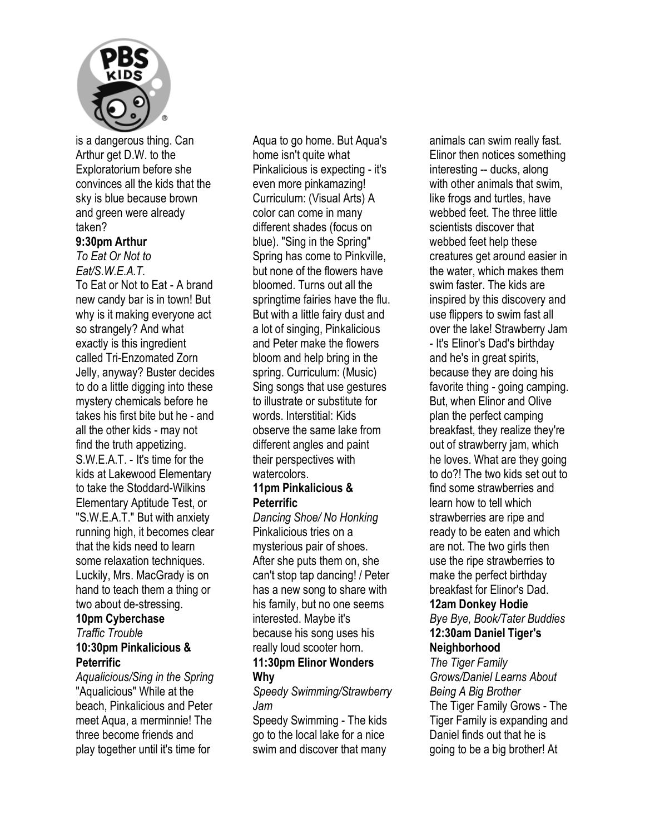

is a dangerous thing. Can Arthur get D.W. to the Exploratorium before she convinces all the kids that the sky is blue because brown and green were already taken?

#### **9:30pm Arthur**

*To Eat Or Not to Eat/S.W.E.A.T.* 

To Eat or Not to Eat - A brand new candy bar is in town! But why is it making everyone act so strangely? And what exactly is this ingredient called Tri-Enzomated Zorn Jelly, anyway? Buster decides to do a little digging into these mystery chemicals before he takes his first bite but he - and all the other kids - may not find the truth appetizing. S.W.E.A.T. - It's time for the kids at Lakewood Elementary to take the Stoddard-Wilkins Elementary Aptitude Test, or "S.W.E.A.T." But with anxiety running high, it becomes clear that the kids need to learn some relaxation techniques. Luckily, Mrs. MacGrady is on hand to teach them a thing or two about de-stressing. **10pm Cyberchase** 

## *Traffic Trouble*  **10:30pm Pinkalicious &**

#### **Peterrific**

*Aqualicious/Sing in the Spring*  "Aqualicious" While at the beach, Pinkalicious and Peter meet Aqua, a merminnie! The three become friends and play together until it's time for

Aqua to go home. But Aqua's home isn't quite what Pinkalicious is expecting - it's even more pinkamazing! Curriculum: (Visual Arts) A color can come in many different shades (focus on blue). "Sing in the Spring" Spring has come to Pinkville, but none of the flowers have bloomed. Turns out all the springtime fairies have the flu. But with a little fairy dust and a lot of singing, Pinkalicious and Peter make the flowers bloom and help bring in the spring. Curriculum: (Music) Sing songs that use gestures to illustrate or substitute for words. Interstitial: Kids observe the same lake from different angles and paint their perspectives with watercolors.

#### **11pm Pinkalicious & Peterrific**

*Dancing Shoe/ No Honking*  Pinkalicious tries on a mysterious pair of shoes. After she puts them on, she can't stop tap dancing! / Peter has a new song to share with his family, but no one seems interested. Maybe it's because his song uses his really loud scooter horn. **11:30pm Elinor Wonders Why** 

*Speedy Swimming/Strawberry Jam* 

Speedy Swimming - The kids go to the local lake for a nice swim and discover that many

animals can swim really fast. Elinor then notices something interesting -- ducks, along with other animals that swim, like frogs and turtles, have webbed feet. The three little scientists discover that webbed feet help these creatures get around easier in the water, which makes them swim faster. The kids are inspired by this discovery and use flippers to swim fast all over the lake! Strawberry Jam - It's Elinor's Dad's birthday and he's in great spirits, because they are doing his favorite thing - going camping. But, when Elinor and Olive plan the perfect camping breakfast, they realize they're out of strawberry jam, which he loves. What are they going to do?! The two kids set out to find some strawberries and learn how to tell which strawberries are ripe and ready to be eaten and which are not. The two girls then use the ripe strawberries to make the perfect birthday breakfast for Elinor's Dad.

#### **12am Donkey Hodie**

*Bye Bye, Book/Tater Buddies*  **12:30am Daniel Tiger's Neighborhood** 

*The Tiger Family Grows/Daniel Learns About Being A Big Brother*  The Tiger Family Grows - The Tiger Family is expanding and Daniel finds out that he is going to be a big brother! At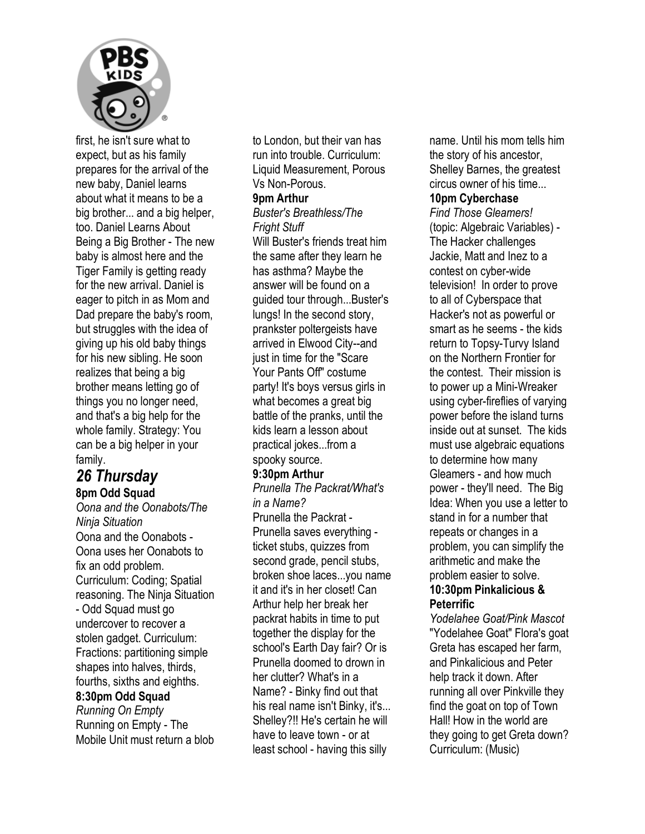

first, he isn't sure what to expect, but as his family prepares for the arrival of the new baby, Daniel learns about what it means to be a big brother... and a big helper, too. Daniel Learns About Being a Big Brother - The new baby is almost here and the Tiger Family is getting ready for the new arrival. Daniel is eager to pitch in as Mom and Dad prepare the baby's room, but struggles with the idea of giving up his old baby things for his new sibling. He soon realizes that being a big brother means letting go of things you no longer need, and that's a big help for the whole family. Strategy: You can be a big helper in your family.

### *26 Thursday*  **8pm Odd Squad**

*Oona and the Oonabots/The Ninja Situation*  Oona and the Oonabots - Oona uses her Oonabots to fix an odd problem. Curriculum: Coding; Spatial reasoning. The Ninja Situation - Odd Squad must go undercover to recover a stolen gadget. Curriculum: Fractions: partitioning simple shapes into halves, thirds, fourths, sixths and eighths. **8:30pm Odd Squad**  *Running On Empty*  Running on Empty - The Mobile Unit must return a blob

to London, but their van has run into trouble. Curriculum: Liquid Measurement, Porous Vs Non-Porous.

#### **9pm Arthur**

*Buster's Breathless/The Fright Stuff* 

Will Buster's friends treat him the same after they learn he has asthma? Maybe the answer will be found on a guided tour through...Buster's lungs! In the second story, prankster poltergeists have arrived in Elwood City--and just in time for the "Scare Your Pants Off" costume party! It's boys versus girls in what becomes a great big battle of the pranks, until the kids learn a lesson about practical jokes...from a spooky source.

#### **9:30pm Arthur**

*Prunella The Packrat/What's in a Name?*  Prunella the Packrat - Prunella saves everything ticket stubs, quizzes from second grade, pencil stubs, broken shoe laces...you name it and it's in her closet! Can Arthur help her break her

packrat habits in time to put together the display for the school's Earth Day fair? Or is Prunella doomed to drown in her clutter? What's in a Name? - Binky find out that his real name isn't Binky, it's... Shelley?!! He's certain he will have to leave town - or at least school - having this silly

name. Until his mom tells him the story of his ancestor, Shelley Barnes, the greatest circus owner of his time...

#### **10pm Cyberchase**

*Find Those Gleamers!*  (topic: Algebraic Variables) - The Hacker challenges Jackie, Matt and Inez to a contest on cyber-wide television! In order to prove to all of Cyberspace that Hacker's not as powerful or smart as he seems - the kids return to Topsy-Turvy Island on the Northern Frontier for the contest. Their mission is to power up a Mini-Wreaker using cyber-fireflies of varying power before the island turns inside out at sunset. The kids must use algebraic equations to determine how many Gleamers - and how much power - they'll need. The Big Idea: When you use a letter to stand in for a number that repeats or changes in a problem, you can simplify the arithmetic and make the problem easier to solve. **10:30pm Pinkalicious & Peterrific** 

*Yodelahee Goat/Pink Mascot*  "Yodelahee Goat" Flora's goat Greta has escaped her farm, and Pinkalicious and Peter help track it down. After running all over Pinkville they find the goat on top of Town Hall! How in the world are they going to get Greta down? Curriculum: (Music)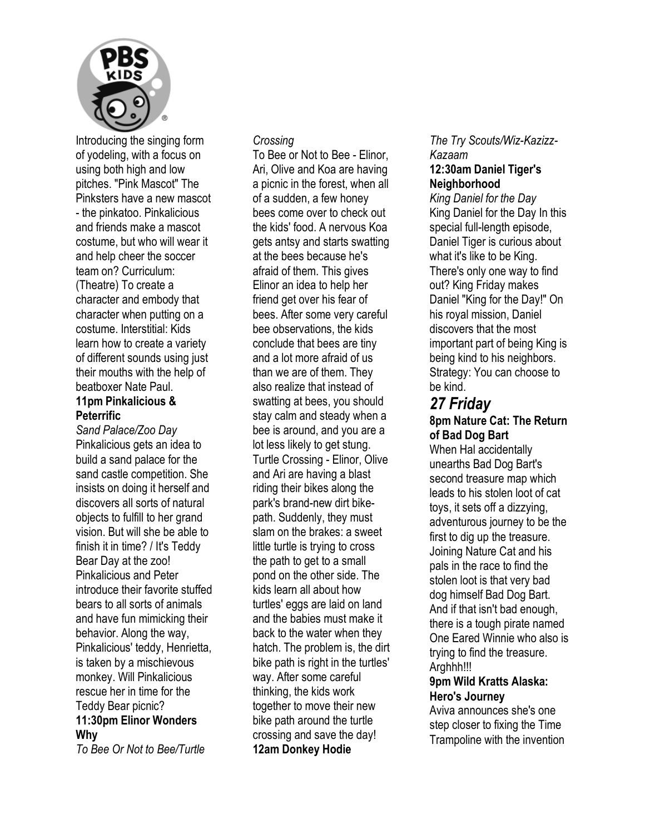

Introducing the singing form of yodeling, with a focus on using both high and low pitches. "Pink Mascot" The Pinksters have a new mascot - the pinkatoo. Pinkalicious and friends make a mascot costume, but who will wear it and help cheer the soccer team on? Curriculum: (Theatre) To create a character and embody that character when putting on a costume. Interstitial: Kids learn how to create a variety of different sounds using just their mouths with the help of beatboxer Nate Paul. **11pm Pinkalicious &** 

## **Peterrific**

*Sand Palace/Zoo Day*  Pinkalicious gets an idea to build a sand palace for the sand castle competition. She insists on doing it herself and discovers all sorts of natural objects to fulfill to her grand vision. But will she be able to finish it in time? / It's Teddy Bear Day at the zoo! Pinkalicious and Peter introduce their favorite stuffed bears to all sorts of animals and have fun mimicking their behavior. Along the way, Pinkalicious' teddy, Henrietta, is taken by a mischievous monkey. Will Pinkalicious rescue her in time for the Teddy Bear picnic? **11:30pm Elinor Wonders Why** 

*To Bee Or Not to Bee/Turtle* 

#### *Crossing*

To Bee or Not to Bee - Elinor, Ari, Olive and Koa are having a picnic in the forest, when all of a sudden, a few honey bees come over to check out the kids' food. A nervous Koa gets antsy and starts swatting at the bees because he's afraid of them. This gives Elinor an idea to help her friend get over his fear of bees. After some very careful bee observations, the kids conclude that bees are tiny and a lot more afraid of us than we are of them. They also realize that instead of swatting at bees, you should stay calm and steady when a bee is around, and you are a lot less likely to get stung. Turtle Crossing - Elinor, Olive and Ari are having a blast riding their bikes along the park's brand-new dirt bikepath. Suddenly, they must slam on the brakes: a sweet little turtle is trying to cross the path to get to a small pond on the other side. The kids learn all about how turtles' eggs are laid on land and the babies must make it back to the water when they hatch. The problem is, the dirt bike path is right in the turtles' way. After some careful thinking, the kids work together to move their new bike path around the turtle crossing and save the day! **12am Donkey Hodie** 

#### *The Try Scouts/Wiz-Kazizz-Kazaam*  **12:30am Daniel Tiger's Neighborhood**

*King Daniel for the Day*  King Daniel for the Day In this special full-length episode, Daniel Tiger is curious about what it's like to be King. There's only one way to find out? King Friday makes Daniel "King for the Day!" On his royal mission, Daniel discovers that the most important part of being King is being kind to his neighbors. Strategy: You can choose to be kind.

### *27 Friday*  **8pm Nature Cat: The Return of Bad Dog Bart**

When Hal accidentally unearths Bad Dog Bart's second treasure map which leads to his stolen loot of cat toys, it sets off a dizzying, adventurous journey to be the first to dig up the treasure. Joining Nature Cat and his pals in the race to find the stolen loot is that very bad dog himself Bad Dog Bart. And if that isn't bad enough, there is a tough pirate named One Eared Winnie who also is trying to find the treasure. Arahhh!!!

#### **9pm Wild Kratts Alaska: Hero's Journey**

Aviva announces she's one step closer to fixing the Time Trampoline with the invention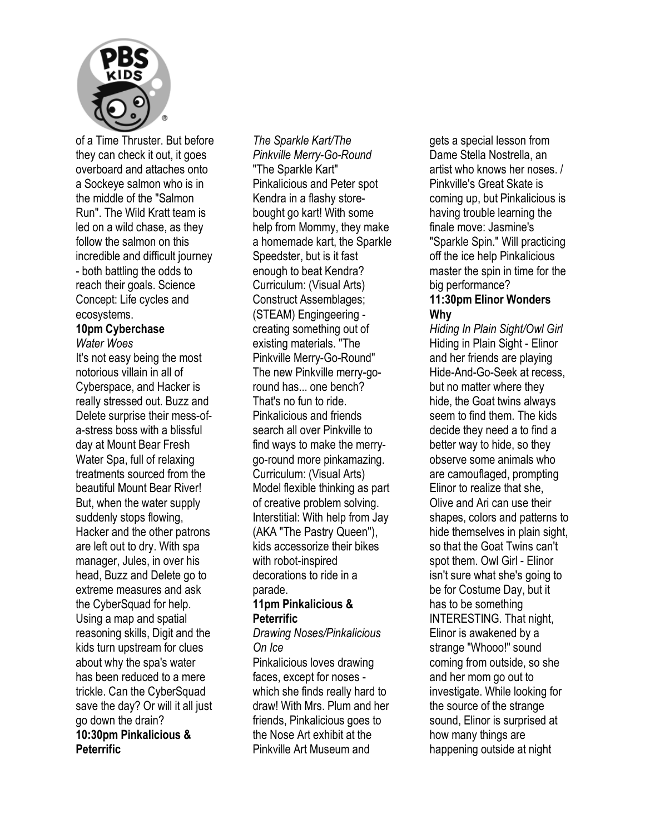

of a Time Thruster. But before they can check it out, it goes overboard and attaches onto a Sockeye salmon who is in the middle of the "Salmon Run". The Wild Kratt team is led on a wild chase, as they follow the salmon on this incredible and difficult journey - both battling the odds to reach their goals. Science Concept: Life cycles and ecosystems.

#### **10pm Cyberchase**  *Water Woes*

It's not easy being the most notorious villain in all of Cyberspace, and Hacker is really stressed out. Buzz and Delete surprise their mess-ofa-stress boss with a blissful day at Mount Bear Fresh Water Spa, full of relaxing treatments sourced from the beautiful Mount Bear River! But, when the water supply suddenly stops flowing, Hacker and the other patrons are left out to dry. With spa manager, Jules, in over his head, Buzz and Delete go to extreme measures and ask the CyberSquad for help. Using a map and spatial reasoning skills, Digit and the kids turn upstream for clues about why the spa's water has been reduced to a mere trickle. Can the CyberSquad save the day? Or will it all just go down the drain? **10:30pm Pinkalicious & Peterrific** 

#### *The Sparkle Kart/The Pinkville Merry-Go-Round*  "The Sparkle Kart" Pinkalicious and Peter spot Kendra in a flashy storebought go kart! With some help from Mommy, they make a homemade kart, the Sparkle Speedster, but is it fast enough to beat Kendra? Curriculum: (Visual Arts) Construct Assemblages; (STEAM) Engingeering creating something out of existing materials. "The Pinkville Merry-Go-Round" The new Pinkville merry-goround has... one bench? That's no fun to ride. Pinkalicious and friends search all over Pinkville to find ways to make the merrygo-round more pinkamazing. Curriculum: (Visual Arts) Model flexible thinking as part of creative problem solving. Interstitial: With help from Jay (AKA "The Pastry Queen"), kids accessorize their bikes with robot-inspired decorations to ride in a parade.

#### **11pm Pinkalicious & Peterrific**

*Drawing Noses/Pinkalicious On Ice* 

Pinkalicious loves drawing faces, except for noses which she finds really hard to draw! With Mrs. Plum and her friends, Pinkalicious goes to the Nose Art exhibit at the Pinkville Art Museum and

gets a special lesson from Dame Stella Nostrella, an artist who knows her noses. / Pinkville's Great Skate is coming up, but Pinkalicious is having trouble learning the finale move: Jasmine's "Sparkle Spin." Will practicing off the ice help Pinkalicious master the spin in time for the big performance?

#### **11:30pm Elinor Wonders Why**

*Hiding In Plain Sight/Owl Girl*  Hiding in Plain Sight - Elinor and her friends are playing Hide-And-Go-Seek at recess, but no matter where they hide, the Goat twins always seem to find them. The kids decide they need a to find a better way to hide, so they observe some animals who are camouflaged, prompting Elinor to realize that she, Olive and Ari can use their shapes, colors and patterns to hide themselves in plain sight, so that the Goat Twins can't spot them. Owl Girl - Elinor isn't sure what she's going to be for Costume Day, but it has to be something INTERESTING. That night, Elinor is awakened by a strange "Whooo!" sound coming from outside, so she and her mom go out to investigate. While looking for the source of the strange sound, Elinor is surprised at how many things are happening outside at night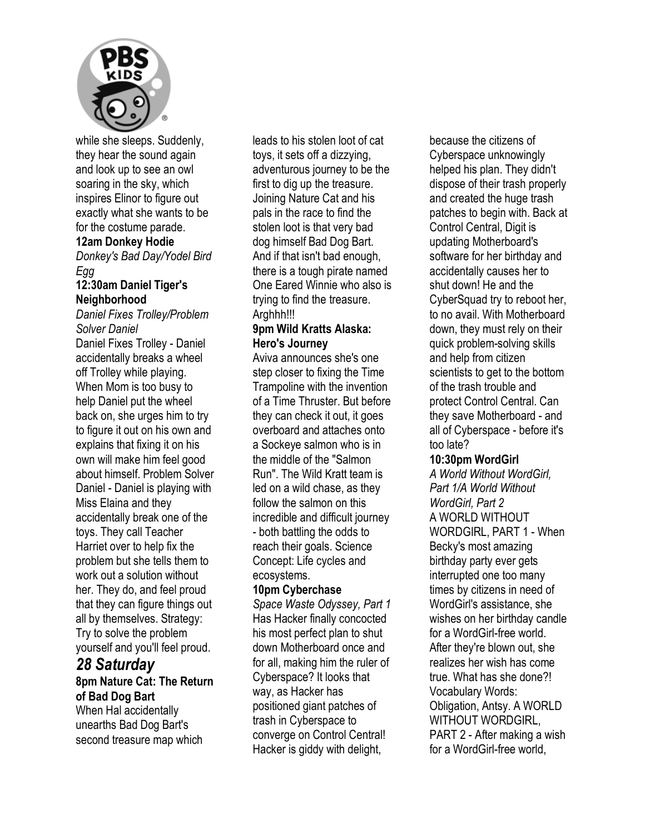

while she sleeps. Suddenly, they hear the sound again and look up to see an owl soaring in the sky, which inspires Elinor to figure out exactly what she wants to be for the costume parade.

#### **12am Donkey Hodie**

*Donkey's Bad Day/Yodel Bird Egg* 

#### **12:30am Daniel Tiger's Neighborhood**

*Daniel Fixes Trolley/Problem Solver Daniel*  Daniel Fixes Trolley - Daniel accidentally breaks a wheel off Trolley while playing. When Mom is too busy to help Daniel put the wheel back on, she urges him to try to figure it out on his own and explains that fixing it on his own will make him feel good about himself. Problem Solver Daniel - Daniel is playing with Miss Elaina and they accidentally break one of the toys. They call Teacher Harriet over to help fix the problem but she tells them to work out a solution without her. They do, and feel proud that they can figure things out all by themselves. Strategy: Try to solve the problem yourself and you'll feel proud.

#### *28 Saturday*  **8pm Nature Cat: The Return of Bad Dog Bart**  When Hal accidentally unearths Bad Dog Bart's second treasure map which

leads to his stolen loot of cat toys, it sets off a dizzying, adventurous journey to be the first to dig up the treasure. Joining Nature Cat and his pals in the race to find the stolen loot is that very bad dog himself Bad Dog Bart. And if that isn't bad enough, there is a tough pirate named One Eared Winnie who also is trying to find the treasure. Arghhh!!!

#### **9pm Wild Kratts Alaska: Hero's Journey**

Aviva announces she's one step closer to fixing the Time Trampoline with the invention of a Time Thruster. But before they can check it out, it goes overboard and attaches onto a Sockeye salmon who is in the middle of the "Salmon Run". The Wild Kratt team is led on a wild chase, as they follow the salmon on this incredible and difficult journey - both battling the odds to reach their goals. Science Concept: Life cycles and ecosystems.

#### **10pm Cyberchase**

*Space Waste Odyssey, Part 1*  Has Hacker finally concocted his most perfect plan to shut down Motherboard once and for all, making him the ruler of Cyberspace? It looks that way, as Hacker has positioned giant patches of trash in Cyberspace to converge on Control Central! Hacker is giddy with delight,

because the citizens of Cyberspace unknowingly helped his plan. They didn't dispose of their trash properly and created the huge trash patches to begin with. Back at Control Central, Digit is updating Motherboard's software for her birthday and accidentally causes her to shut down! He and the CyberSquad try to reboot her, to no avail. With Motherboard down, they must rely on their quick problem-solving skills and help from citizen scientists to get to the bottom of the trash trouble and protect Control Central. Can they save Motherboard - and all of Cyberspace - before it's too late?

#### **10:30pm WordGirl**

*A World Without WordGirl, Part 1/A World Without WordGirl, Part 2*  A WORLD WITHOUT WORDGIRL, PART 1 - When Becky's most amazing birthday party ever gets interrupted one too many times by citizens in need of WordGirl's assistance, she wishes on her birthday candle for a WordGirl-free world. After they're blown out, she realizes her wish has come true. What has she done?! Vocabulary Words: Obligation, Antsy. A WORLD WITHOUT WORDGIRL, PART 2 - After making a wish for a WordGirl-free world,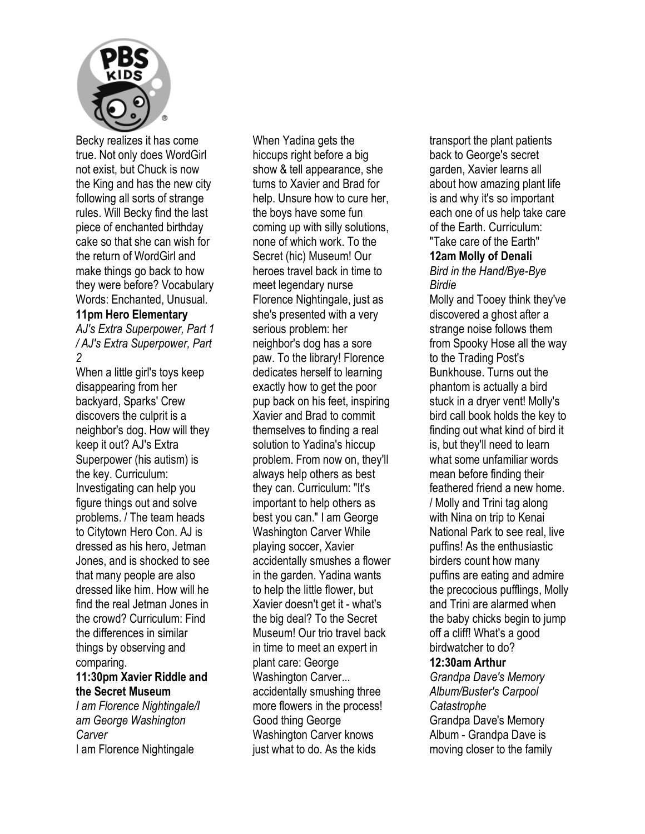

Becky realizes it has come true. Not only does WordGirl not exist, but Chuck is now the King and has the new city following all sorts of strange rules. Will Becky find the last piece of enchanted birthday cake so that she can wish for the return of WordGirl and make things go back to how they were before? Vocabulary Words: Enchanted, Unusual.

#### **11pm Hero Elementary**

*AJ's Extra Superpower, Part 1 / AJ's Extra Superpower, Part 2* 

When a little girl's toys keep disappearing from her backyard, Sparks' Crew discovers the culprit is a neighbor's dog. How will they keep it out? AJ's Extra Superpower (his autism) is the key. Curriculum: Investigating can help you figure things out and solve problems. / The team heads to Citytown Hero Con. AJ is dressed as his hero, Jetman Jones, and is shocked to see that many people are also dressed like him. How will he find the real Jetman Jones in the crowd? Curriculum: Find the differences in similar things by observing and comparing.

#### **11:30pm Xavier Riddle and the Secret Museum**

*I am Florence Nightingale/I am George Washington Carver*  I am Florence Nightingale

When Yadina gets the hiccups right before a big show & tell appearance, she turns to Xavier and Brad for help. Unsure how to cure her, the boys have some fun coming up with silly solutions, none of which work. To the Secret (hic) Museum! Our heroes travel back in time to meet legendary nurse Florence Nightingale, just as she's presented with a very serious problem: her neighbor's dog has a sore paw. To the library! Florence dedicates herself to learning exactly how to get the poor pup back on his feet, inspiring Xavier and Brad to commit themselves to finding a real solution to Yadina's hiccup problem. From now on, they'll always help others as best they can. Curriculum: "It's important to help others as best you can." I am George Washington Carver While playing soccer, Xavier accidentally smushes a flower in the garden. Yadina wants to help the little flower, but Xavier doesn't get it - what's the big deal? To the Secret Museum! Our trio travel back in time to meet an expert in plant care: George Washington Carver... accidentally smushing three more flowers in the process! Good thing George Washington Carver knows just what to do. As the kids

transport the plant patients back to George's secret garden, Xavier learns all about how amazing plant life is and why it's so important each one of us help take care of the Earth. Curriculum:

#### "Take care of the Earth" **12am Molly of Denali**  *Bird in the Hand/Bye-Bye*

*Birdie*  Molly and Tooey think they've discovered a ghost after a strange noise follows them from Spooky Hose all the way to the Trading Post's Bunkhouse. Turns out the phantom is actually a bird stuck in a dryer vent! Molly's bird call book holds the key to finding out what kind of bird it is, but they'll need to learn what some unfamiliar words mean before finding their feathered friend a new home. / Molly and Trini tag along with Nina on trip to Kenai National Park to see real, live puffins! As the enthusiastic birders count how many puffins are eating and admire the precocious pufflings, Molly and Trini are alarmed when the baby chicks begin to jump off a cliff! What's a good birdwatcher to do? **12:30am Arthur**  *Grandpa Dave's Memory Album/Buster's Carpool Catastrophe*  Grandpa Dave's Memory

Album - Grandpa Dave is moving closer to the family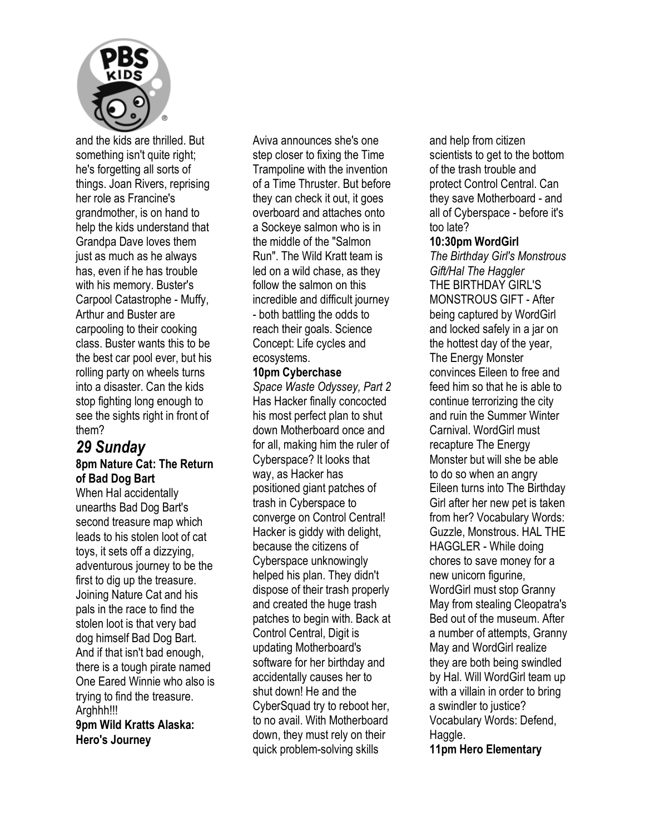

and the kids are thrilled. But something isn't quite right; he's forgetting all sorts of things. Joan Rivers, reprising her role as Francine's grandmother, is on hand to help the kids understand that Grandpa Dave loves them just as much as he always has, even if he has trouble with his memory. Buster's Carpool Catastrophe - Muffy, Arthur and Buster are carpooling to their cooking class. Buster wants this to be the best car pool ever, but his rolling party on wheels turns into a disaster. Can the kids stop fighting long enough to see the sights right in front of them?

### *29 Sunday*  **8pm Nature Cat: The Return of Bad Dog Bart**

When Hal accidentally unearths Bad Dog Bart's second treasure map which leads to his stolen loot of cat toys, it sets off a dizzying, adventurous journey to be the first to dig up the treasure. Joining Nature Cat and his pals in the race to find the stolen loot is that very bad dog himself Bad Dog Bart. And if that isn't bad enough, there is a tough pirate named One Eared Winnie who also is trying to find the treasure. Arghhh!!! **9pm Wild Kratts Alaska:** 

**Hero's Journey** 

Aviva announces she's one step closer to fixing the Time Trampoline with the invention of a Time Thruster. But before they can check it out, it goes overboard and attaches onto a Sockeye salmon who is in the middle of the "Salmon Run". The Wild Kratt team is led on a wild chase, as they follow the salmon on this incredible and difficult journey - both battling the odds to reach their goals. Science Concept: Life cycles and ecosystems.

#### **10pm Cyberchase**

*Space Waste Odyssey, Part 2*  Has Hacker finally concocted his most perfect plan to shut down Motherboard once and for all, making him the ruler of Cyberspace? It looks that way, as Hacker has positioned giant patches of trash in Cyberspace to converge on Control Central! Hacker is giddy with delight, because the citizens of Cyberspace unknowingly helped his plan. They didn't dispose of their trash properly and created the huge trash patches to begin with. Back at Control Central, Digit is updating Motherboard's software for her birthday and accidentally causes her to shut down! He and the CyberSquad try to reboot her, to no avail. With Motherboard down, they must rely on their quick problem-solving skills

and help from citizen scientists to get to the bottom of the trash trouble and protect Control Central. Can they save Motherboard - and all of Cyberspace - before it's too late?

#### **10:30pm WordGirl**

*The Birthday Girl's Monstrous Gift/Hal The Haggler*  THE BIRTHDAY GIRL'S MONSTROUS GIFT - After being captured by WordGirl and locked safely in a jar on the hottest day of the year, The Energy Monster convinces Eileen to free and feed him so that he is able to continue terrorizing the city and ruin the Summer Winter Carnival. WordGirl must recapture The Energy Monster but will she be able to do so when an angry Eileen turns into The Birthday Girl after her new pet is taken from her? Vocabulary Words: Guzzle, Monstrous. HAL THE HAGGLER - While doing chores to save money for a new unicorn figurine, WordGirl must stop Granny May from stealing Cleopatra's Bed out of the museum. After a number of attempts, Granny May and WordGirl realize they are both being swindled by Hal. Will WordGirl team up with a villain in order to bring a swindler to justice? Vocabulary Words: Defend, Haggle.

**11pm Hero Elementary**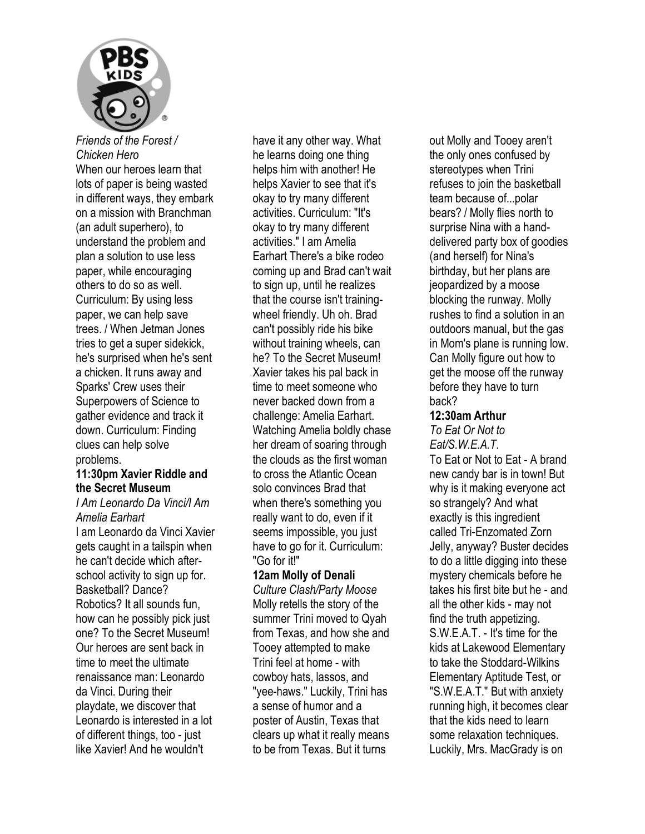

*Friends of the Forest / Chicken Hero*  When our heroes learn that

lots of paper is being wasted in different ways, they embark on a mission with Branchman (an adult superhero), to understand the problem and plan a solution to use less paper, while encouraging others to do so as well. Curriculum: By using less paper, we can help save trees. / When Jetman Jones tries to get a super sidekick. he's surprised when he's sent a chicken. It runs away and Sparks' Crew uses their Superpowers of Science to gather evidence and track it down. Curriculum: Finding clues can help solve problems.

#### **11:30pm Xavier Riddle and the Secret Museum**

#### *I Am Leonardo Da Vinci/I Am Amelia Earhart*

I am Leonardo da Vinci Xavier gets caught in a tailspin when he can't decide which afterschool activity to sign up for. Basketball? Dance? Robotics? It all sounds fun, how can he possibly pick just one? To the Secret Museum! Our heroes are sent back in time to meet the ultimate renaissance man: Leonardo da Vinci. During their playdate, we discover that Leonardo is interested in a lot of different things, too - just like Xavier! And he wouldn't

have it any other way. What he learns doing one thing helps him with another! He helps Xavier to see that it's okay to try many different activities. Curriculum: "It's okay to try many different activities." I am Amelia Earhart There's a bike rodeo coming up and Brad can't wait to sign up, until he realizes that the course isn't trainingwheel friendly. Uh oh. Brad can't possibly ride his bike without training wheels, can he? To the Secret Museum! Xavier takes his pal back in time to meet someone who never backed down from a challenge: Amelia Earhart. Watching Amelia boldly chase her dream of soaring through the clouds as the first woman to cross the Atlantic Ocean solo convinces Brad that when there's something you really want to do, even if it seems impossible, you just have to go for it. Curriculum: "Go for it!"

#### **12am Molly of Denali**

*Culture Clash/Party Moose*  Molly retells the story of the summer Trini moved to Qyah from Texas, and how she and Tooey attempted to make Trini feel at home - with cowboy hats, lassos, and "yee-haws." Luckily, Trini has a sense of humor and a poster of Austin, Texas that clears up what it really means to be from Texas. But it turns

out Molly and Tooey aren't the only ones confused by stereotypes when Trini refuses to join the basketball team because of...polar bears? / Molly flies north to surprise Nina with a handdelivered party box of goodies (and herself) for Nina's birthday, but her plans are jeopardized by a moose blocking the runway. Molly rushes to find a solution in an outdoors manual, but the gas in Mom's plane is running low. Can Molly figure out how to get the moose off the runway before they have to turn back?

#### **12:30am Arthur**

*To Eat Or Not to Eat/S.W.E.A.T.* 

To Eat or Not to Eat - A brand new candy bar is in town! But why is it making everyone act so strangely? And what exactly is this ingredient called Tri-Enzomated Zorn Jelly, anyway? Buster decides to do a little digging into these mystery chemicals before he takes his first bite but he - and all the other kids - may not find the truth appetizing. S.W.E.A.T. - It's time for the kids at Lakewood Elementary to take the Stoddard-Wilkins Elementary Aptitude Test, or "S.W.E.A.T." But with anxiety running high, it becomes clear that the kids need to learn some relaxation techniques. Luckily, Mrs. MacGrady is on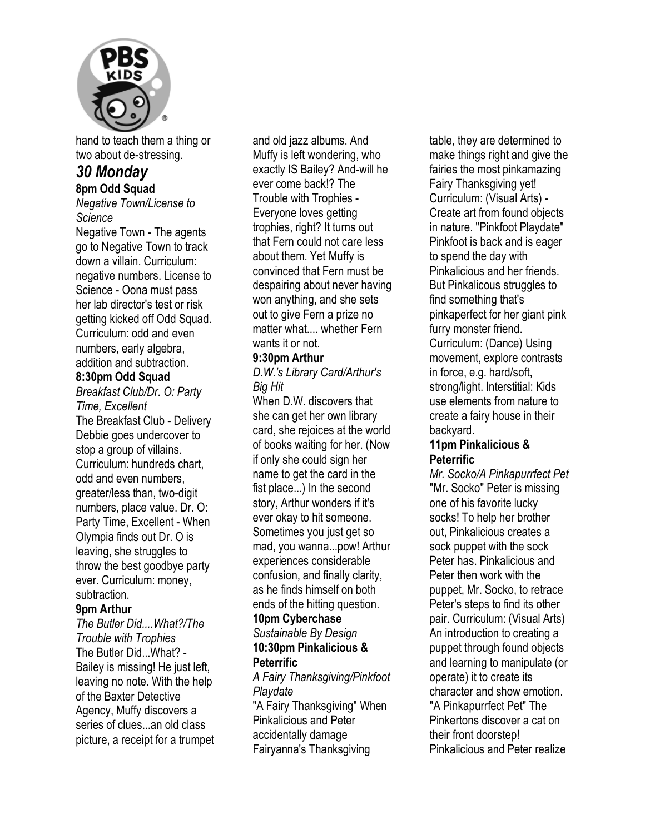

hand to teach them a thing or two about de-stressing.

#### *30 Monday*  **8pm Odd Squad**

*Negative Town/License to Science* 

Negative Town - The agents go to Negative Town to track down a villain. Curriculum: negative numbers. License to Science - Oona must pass her lab director's test or risk getting kicked off Odd Squad. Curriculum: odd and even numbers, early algebra, addition and subtraction.

#### **8:30pm Odd Squad**

*Breakfast Club/Dr. O: Party Time, Excellent*  The Breakfast Club - Delivery Debbie goes undercover to stop a group of villains. Curriculum: hundreds chart, odd and even numbers, greater/less than, two-digit numbers, place value. Dr. O: Party Time, Excellent - When Olympia finds out Dr. O is leaving, she struggles to throw the best goodbye party ever. Curriculum: money, subtraction.

#### **9pm Arthur**

*The Butler Did....What?/The Trouble with Trophies*  The Butler Did...What? - Bailey is missing! He just left, leaving no note. With the help of the Baxter Detective Agency, Muffy discovers a series of clues...an old class picture, a receipt for a trumpet and old jazz albums. And Muffy is left wondering, who exactly IS Bailey? And-will he ever come back!? The Trouble with Trophies - Everyone loves getting trophies, right? It turns out that Fern could not care less about them. Yet Muffy is convinced that Fern must be despairing about never having won anything, and she sets out to give Fern a prize no matter what.... whether Fern wants it or not.

#### **9:30pm Arthur**

*D.W.'s Library Card/Arthur's Big Hit* 

When D.W. discovers that she can get her own library card, she rejoices at the world of books waiting for her. (Now if only she could sign her name to get the card in the fist place...) In the second story, Arthur wonders if it's ever okay to hit someone. Sometimes you just get so mad, you wanna...pow! Arthur experiences considerable confusion, and finally clarity, as he finds himself on both ends of the hitting question.

#### **10pm Cyberchase**

*Sustainable By Design*  **10:30pm Pinkalicious & Peterrific** 

#### *A Fairy Thanksgiving/Pinkfoot Playdate*

"A Fairy Thanksgiving" When Pinkalicious and Peter accidentally damage Fairyanna's Thanksgiving

table, they are determined to make things right and give the fairies the most pinkamazing Fairy Thanksgiving yet! Curriculum: (Visual Arts) - Create art from found objects in nature. "Pinkfoot Playdate" Pinkfoot is back and is eager to spend the day with Pinkalicious and her friends. But Pinkalicous struggles to find something that's pinkaperfect for her giant pink furry monster friend. Curriculum: (Dance) Using movement, explore contrasts in force, e.g. hard/soft, strong/light. Interstitial: Kids use elements from nature to create a fairy house in their backyard.

#### **11pm Pinkalicious & Peterrific**

*Mr. Socko/A Pinkapurrfect Pet*  "Mr. Socko" Peter is missing one of his favorite lucky socks! To help her brother out, Pinkalicious creates a sock puppet with the sock Peter has. Pinkalicious and Peter then work with the puppet, Mr. Socko, to retrace Peter's steps to find its other pair. Curriculum: (Visual Arts) An introduction to creating a puppet through found objects and learning to manipulate (or operate) it to create its character and show emotion. "A Pinkapurrfect Pet" The Pinkertons discover a cat on their front doorstep! Pinkalicious and Peter realize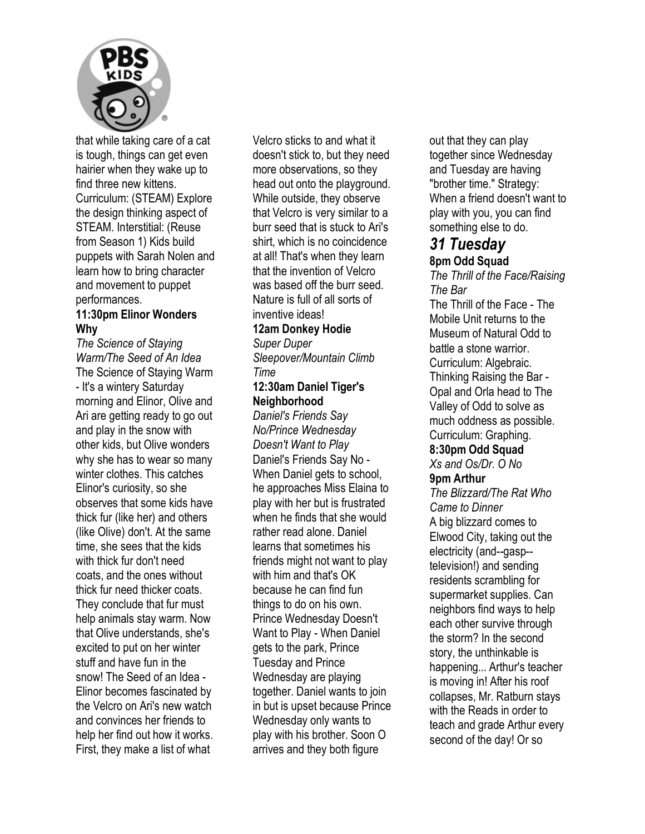

that while taking care of a cat is tough, things can get even hairier when they wake up to find three new kittens. Curriculum: (STEAM) Explore the design thinking aspect of STEAM. Interstitial: (Reuse from Season 1) Kids build puppets with Sarah Nolen and learn how to bring character and movement to puppet performances.

#### **11:30pm Elinor Wonders Why**

*The Science of Staying Warm/The Seed of An Idea*  The Science of Staying Warm - It's a wintery Saturday morning and Elinor, Olive and Ari are getting ready to go out and play in the snow with other kids, but Olive wonders why she has to wear so many winter clothes. This catches Elinor's curiosity, so she observes that some kids have thick fur (like her) and others (like Olive) don't. At the same time, she sees that the kids with thick fur don't need coats, and the ones without thick fur need thicker coats. They conclude that fur must help animals stay warm. Now that Olive understands, she's excited to put on her winter stuff and have fun in the snow! The Seed of an Idea - Elinor becomes fascinated by the Velcro on Ari's new watch and convinces her friends to help her find out how it works. First, they make a list of what

Velcro sticks to and what it doesn't stick to, but they need more observations, so they head out onto the playground. While outside, they observe that Velcro is very similar to a burr seed that is stuck to Ari's shirt, which is no coincidence at all! That's when they learn that the invention of Velcro was based off the burr seed. Nature is full of all sorts of inventive ideas!

## **12am Donkey Hodie**

*Super Duper Sleepover/Mountain Climb Time* 

#### **12:30am Daniel Tiger's Neighborhood**

*Daniel's Friends Say No/Prince Wednesday Doesn't Want to Play*  Daniel's Friends Say No - When Daniel gets to school, he approaches Miss Elaina to play with her but is frustrated when he finds that she would rather read alone. Daniel learns that sometimes his friends might not want to play with him and that's OK because he can find fun things to do on his own. Prince Wednesday Doesn't Want to Play - When Daniel gets to the park, Prince Tuesday and Prince Wednesday are playing together. Daniel wants to join in but is upset because Prince Wednesday only wants to play with his brother. Soon O arrives and they both figure

out that they can play together since Wednesday and Tuesday are having "brother time." Strategy: When a friend doesn't want to play with you, you can find something else to do.

## *31 Tuesday*

### **8pm Odd Squad**

*The Thrill of the Face/Raising The Bar*  The Thrill of the Face - The Mobile Unit returns to the Museum of Natural Odd to battle a stone warrior. Curriculum: Algebraic. Thinking Raising the Bar - Opal and Orla head to The Valley of Odd to solve as much oddness as possible. Curriculum: Graphing.

## **8:30pm Odd Squad**

*Xs and Os/Dr. O No*  **9pm Arthur** 

*The Blizzard/The Rat Who Came to Dinner*  A big blizzard comes to Elwood City, taking out the electricity (and--gasp- television!) and sending residents scrambling for supermarket supplies. Can neighbors find ways to help each other survive through the storm? In the second story, the unthinkable is happening... Arthur's teacher is moving in! After his roof collapses, Mr. Ratburn stays with the Reads in order to teach and grade Arthur every second of the day! Or so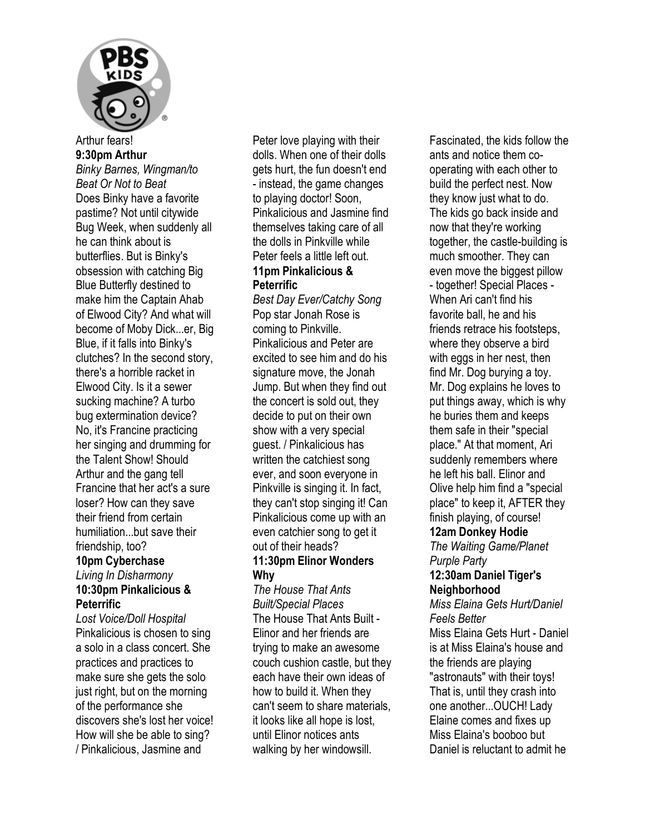

## **9:30pm Arthur**

*Binky Barnes, Wingman/to Beat Or Not to Beat*  Does Binky have a favorite pastime? Not until citywide Bug Week, when suddenly all he can think about is butterflies. But is Binky's obsession with catching Big Blue Butterfly destined to make him the Captain Ahab of Elwood City? And what will become of Moby Dick...er, Big Blue, if it falls into Binky's clutches? In the second story, there's a horrible racket in Elwood City. Is it a sewer sucking machine? A turbo bug extermination device? No, it's Francine practicing her singing and drumming for the Talent Show! Should Arthur and the gang tell Francine that her act's a sure loser? How can they save their friend from certain humiliation...but save their friendship, too?

### **10pm Cyberchase**

#### *Living In Disharmony*  **10:30pm Pinkalicious & Peterrific**

*Lost Voice/Doll Hospital*  Pinkalicious is chosen to sing a solo in a class concert. She practices and practices to make sure she gets the solo just right, but on the morning of the performance she discovers she's lost her voice! How will she be able to sing? / Pinkalicious, Jasmine and

Peter love playing with their dolls. When one of their dolls gets hurt, the fun doesn't end - instead, the game changes to playing doctor! Soon, Pinkalicious and Jasmine find themselves taking care of all the dolls in Pinkville while Peter feels a little left out. **11pm Pinkalicious & Peterrific** 

*Best Day Ever/Catchy Song*  Pop star Jonah Rose is coming to Pinkville. Pinkalicious and Peter are excited to see him and do his signature move, the Jonah Jump. But when they find out the concert is sold out, they decide to put on their own show with a very special guest. / Pinkalicious has written the catchiest song ever, and soon everyone in Pinkville is singing it. In fact, they can't stop singing it! Can Pinkalicious come up with an even catchier song to get it out of their heads? **11:30pm Elinor Wonders Why** 

*The House That Ants Built/Special Places*  The House That Ants Built - Elinor and her friends are trying to make an awesome couch cushion castle, but they each have their own ideas of how to build it. When they can't seem to share materials, it looks like all hope is lost, until Elinor notices ants walking by her windowsill.

Fascinated, the kids follow the ants and notice them cooperating with each other to build the perfect nest. Now they know just what to do. The kids go back inside and now that they're working together, the castle-building is much smoother. They can even move the biggest pillow - together! Special Places - When Ari can't find his favorite ball, he and his friends retrace his footsteps, where they observe a bird with eggs in her nest, then find Mr. Dog burying a toy. Mr. Dog explains he loves to put things away, which is why he buries them and keeps them safe in their "special place." At that moment, Ari suddenly remembers where he left his ball. Elinor and Olive help him find a "special place" to keep it, AFTER they finish playing, of course!

#### **12am Donkey Hodie**

*The Waiting Game/Planet Purple Party* 

#### **12:30am Daniel Tiger's Neighborhood**

*Miss Elaina Gets Hurt/Daniel Feels Better*  Miss Elaina Gets Hurt - Daniel

is at Miss Elaina's house and the friends are playing "astronauts" with their toys! That is, until they crash into one another...OUCH! Lady Elaine comes and fixes up Miss Elaina's booboo but Daniel is reluctant to admit he